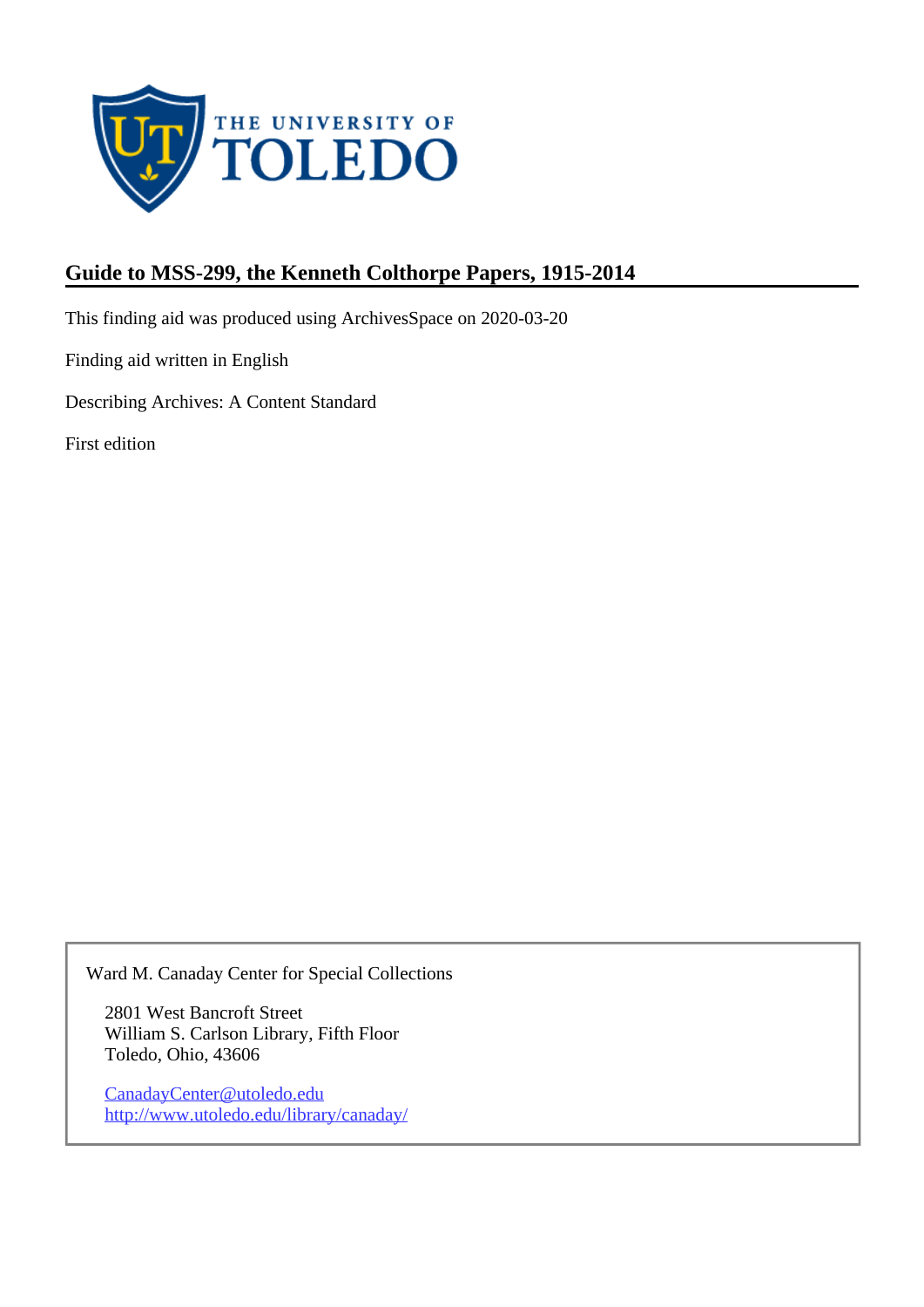

# **Guide to MSS-299, the Kenneth Colthorpe Papers, 1915-2014**

This finding aid was produced using ArchivesSpace on 2020-03-20

Finding aid written in English

Describing Archives: A Content Standard

First edition

Ward M. Canaday Center for Special Collections

2801 West Bancroft Street William S. Carlson Library, Fifth Floor Toledo, Ohio, 43606

CanadayCenter@utoledo.edu <http://www.utoledo.edu/library/canaday/>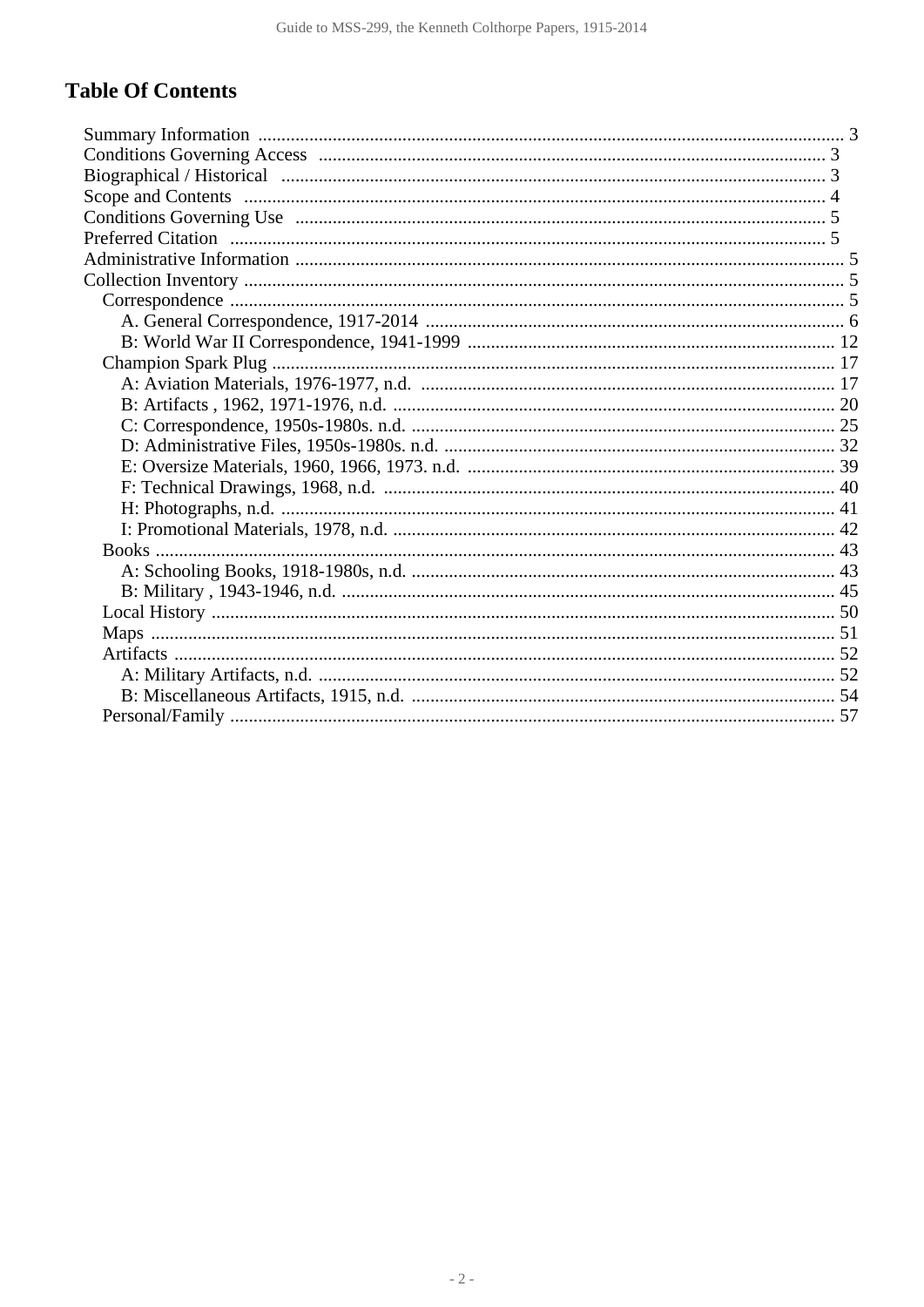# **Table Of Contents**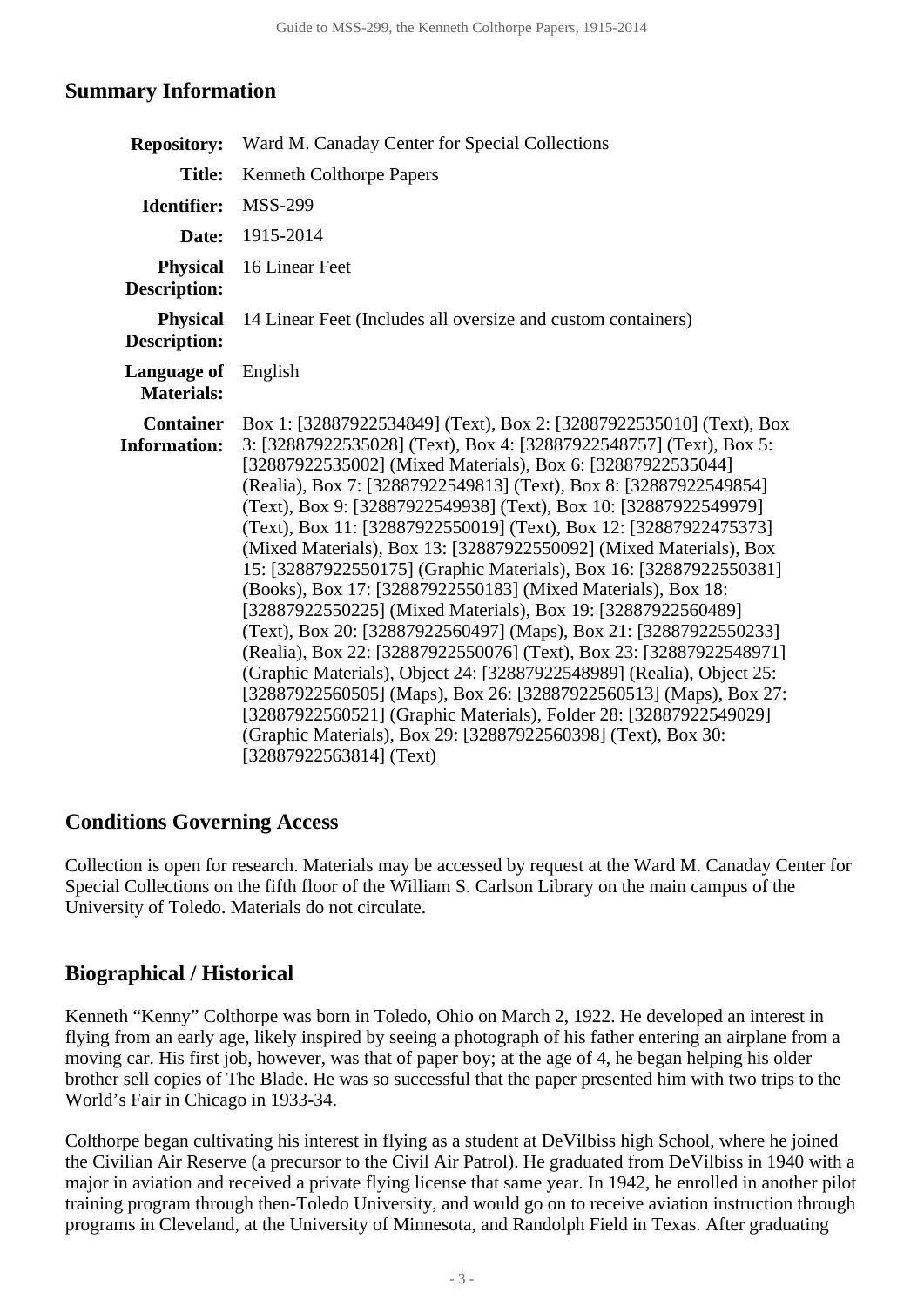## <span id="page-2-0"></span>**Summary Information**

| <b>Repository:</b>                      | Ward M. Canaday Center for Special Collections                                                                                                                                                                                                                                                                                                                                                                                                                                                                                                                                                                                                                                                                                                                                                                                                                                                                                                                                                                                                                                                                                                                |
|-----------------------------------------|---------------------------------------------------------------------------------------------------------------------------------------------------------------------------------------------------------------------------------------------------------------------------------------------------------------------------------------------------------------------------------------------------------------------------------------------------------------------------------------------------------------------------------------------------------------------------------------------------------------------------------------------------------------------------------------------------------------------------------------------------------------------------------------------------------------------------------------------------------------------------------------------------------------------------------------------------------------------------------------------------------------------------------------------------------------------------------------------------------------------------------------------------------------|
| <b>Title:</b>                           | <b>Kenneth Colthorpe Papers</b>                                                                                                                                                                                                                                                                                                                                                                                                                                                                                                                                                                                                                                                                                                                                                                                                                                                                                                                                                                                                                                                                                                                               |
| Identifier:                             | <b>MSS-299</b>                                                                                                                                                                                                                                                                                                                                                                                                                                                                                                                                                                                                                                                                                                                                                                                                                                                                                                                                                                                                                                                                                                                                                |
| Date:                                   | 1915-2014                                                                                                                                                                                                                                                                                                                                                                                                                                                                                                                                                                                                                                                                                                                                                                                                                                                                                                                                                                                                                                                                                                                                                     |
| <b>Physical</b><br><b>Description:</b>  | 16 Linear Feet                                                                                                                                                                                                                                                                                                                                                                                                                                                                                                                                                                                                                                                                                                                                                                                                                                                                                                                                                                                                                                                                                                                                                |
| <b>Physical</b><br><b>Description:</b>  | 14 Linear Feet (Includes all oversize and custom containers)                                                                                                                                                                                                                                                                                                                                                                                                                                                                                                                                                                                                                                                                                                                                                                                                                                                                                                                                                                                                                                                                                                  |
| Language of<br><b>Materials:</b>        | English                                                                                                                                                                                                                                                                                                                                                                                                                                                                                                                                                                                                                                                                                                                                                                                                                                                                                                                                                                                                                                                                                                                                                       |
| <b>Container</b><br><b>Information:</b> | Box 1: [32887922534849] (Text), Box 2: [32887922535010] (Text), Box<br>3: [32887922535028] (Text), Box 4: [32887922548757] (Text), Box 5:<br>[32887922535002] (Mixed Materials), Box 6: [32887922535044]<br>(Realia), Box 7: [32887922549813] (Text), Box 8: [32887922549854]<br>(Text), Box 9: [32887922549938] (Text), Box 10: [32887922549979]<br>(Text), Box 11: [32887922550019] (Text), Box 12: [32887922475373]<br>(Mixed Materials), Box 13: [32887922550092] (Mixed Materials), Box<br>15: [32887922550175] (Graphic Materials), Box 16: [32887922550381]<br>(Books), Box 17: [32887922550183] (Mixed Materials), Box 18:<br>[32887922550225] (Mixed Materials), Box 19: [32887922560489]<br>(Text), Box 20: [32887922560497] (Maps), Box 21: [32887922550233]<br>(Realia), Box 22: [32887922550076] (Text), Box 23: [32887922548971]<br>(Graphic Materials), Object 24: [32887922548989] (Realia), Object 25:<br>[32887922560505] (Maps), Box 26: [32887922560513] (Maps), Box 27:<br>[32887922560521] (Graphic Materials), Folder 28: [32887922549029]<br>(Graphic Materials), Box 29: [32887922560398] (Text), Box 30:<br>[32887922563814] (Text) |

## <span id="page-2-1"></span>**Conditions Governing Access**

Collection is open for research. Materials may be accessed by request at the Ward M. Canaday Center for Special Collections on the fifth floor of the William S. Carlson Library on the main campus of the University of Toledo. Materials do not circulate.

## <span id="page-2-2"></span>**Biographical / Historical**

Kenneth "Kenny" Colthorpe was born in Toledo, Ohio on March 2, 1922. He developed an interest in flying from an early age, likely inspired by seeing a photograph of his father entering an airplane from a moving car. His first job, however, was that of paper boy; at the age of 4, he began helping his older brother sell copies of The Blade. He was so successful that the paper presented him with two trips to the World's Fair in Chicago in 1933-34.

Colthorpe began cultivating his interest in flying as a student at DeVilbiss high School, where he joined the Civilian Air Reserve (a precursor to the Civil Air Patrol). He graduated from DeVilbiss in 1940 with a major in aviation and received a private flying license that same year. In 1942, he enrolled in another pilot training program through then-Toledo University, and would go on to receive aviation instruction through programs in Cleveland, at the University of Minnesota, and Randolph Field in Texas. After graduating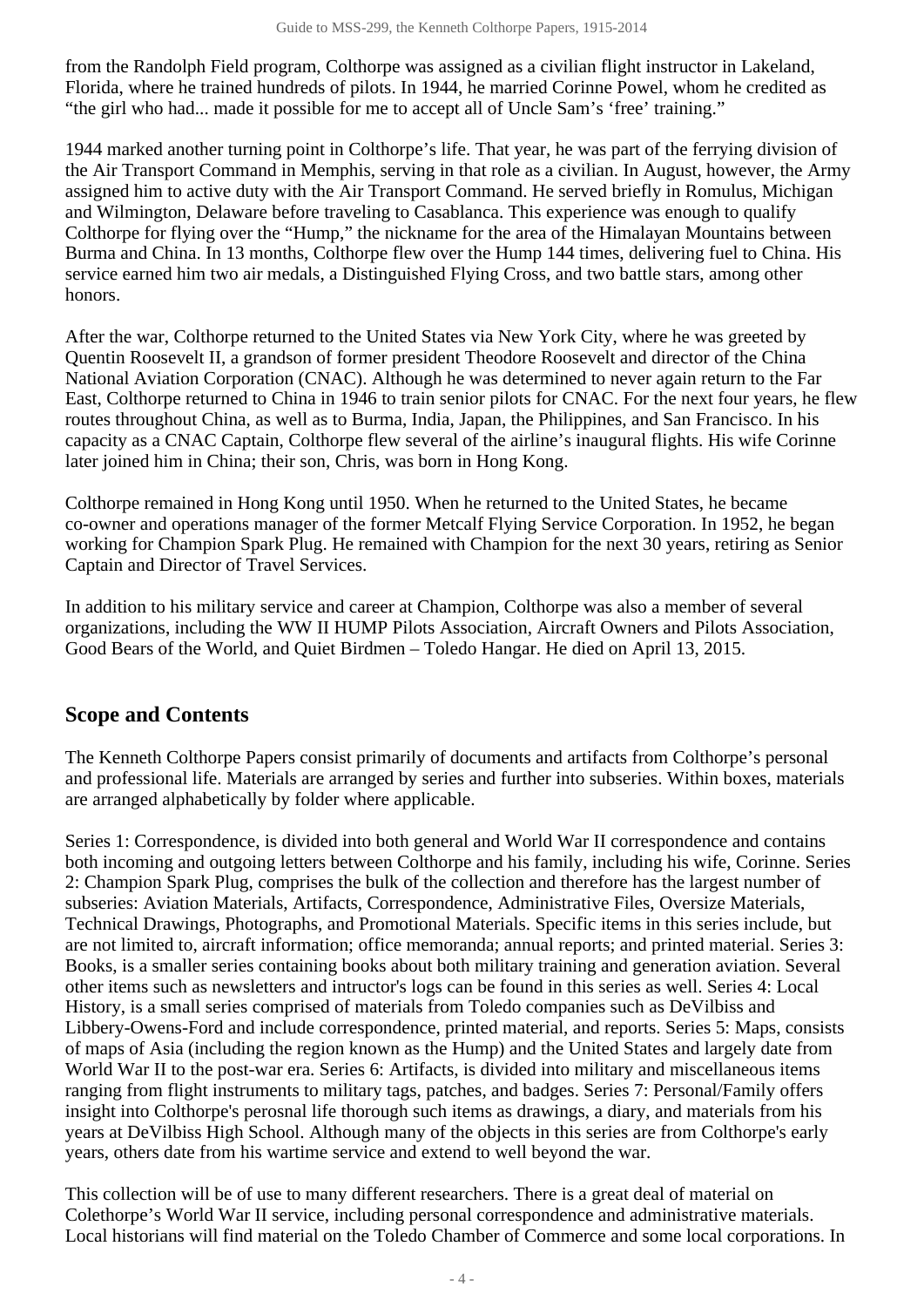from the Randolph Field program, Colthorpe was assigned as a civilian flight instructor in Lakeland, Florida, where he trained hundreds of pilots. In 1944, he married Corinne Powel, whom he credited as "the girl who had... made it possible for me to accept all of Uncle Sam's 'free' training."

1944 marked another turning point in Colthorpe's life. That year, he was part of the ferrying division of the Air Transport Command in Memphis, serving in that role as a civilian. In August, however, the Army assigned him to active duty with the Air Transport Command. He served briefly in Romulus, Michigan and Wilmington, Delaware before traveling to Casablanca. This experience was enough to qualify Colthorpe for flying over the "Hump," the nickname for the area of the Himalayan Mountains between Burma and China. In 13 months, Colthorpe flew over the Hump 144 times, delivering fuel to China. His service earned him two air medals, a Distinguished Flying Cross, and two battle stars, among other honors.

After the war, Colthorpe returned to the United States via New York City, where he was greeted by Quentin Roosevelt II, a grandson of former president Theodore Roosevelt and director of the China National Aviation Corporation (CNAC). Although he was determined to never again return to the Far East, Colthorpe returned to China in 1946 to train senior pilots for CNAC. For the next four years, he flew routes throughout China, as well as to Burma, India, Japan, the Philippines, and San Francisco. In his capacity as a CNAC Captain, Colthorpe flew several of the airline's inaugural flights. His wife Corinne later joined him in China; their son, Chris, was born in Hong Kong.

Colthorpe remained in Hong Kong until 1950. When he returned to the United States, he became co-owner and operations manager of the former Metcalf Flying Service Corporation. In 1952, he began working for Champion Spark Plug. He remained with Champion for the next 30 years, retiring as Senior Captain and Director of Travel Services.

In addition to his military service and career at Champion, Colthorpe was also a member of several organizations, including the WW II HUMP Pilots Association, Aircraft Owners and Pilots Association, Good Bears of the World, and Quiet Birdmen – Toledo Hangar. He died on April 13, 2015.

## <span id="page-3-0"></span>**Scope and Contents**

The Kenneth Colthorpe Papers consist primarily of documents and artifacts from Colthorpe's personal and professional life. Materials are arranged by series and further into subseries. Within boxes, materials are arranged alphabetically by folder where applicable.

Series 1: Correspondence, is divided into both general and World War II correspondence and contains both incoming and outgoing letters between Colthorpe and his family, including his wife, Corinne. Series 2: Champion Spark Plug, comprises the bulk of the collection and therefore has the largest number of subseries: Aviation Materials, Artifacts, Correspondence, Administrative Files, Oversize Materials, Technical Drawings, Photographs, and Promotional Materials. Specific items in this series include, but are not limited to, aircraft information; office memoranda; annual reports; and printed material. Series 3: Books, is a smaller series containing books about both military training and generation aviation. Several other items such as newsletters and intructor's logs can be found in this series as well. Series 4: Local History, is a small series comprised of materials from Toledo companies such as DeVilbiss and Libbery-Owens-Ford and include correspondence, printed material, and reports. Series 5: Maps, consists of maps of Asia (including the region known as the Hump) and the United States and largely date from World War II to the post-war era. Series 6: Artifacts, is divided into military and miscellaneous items ranging from flight instruments to military tags, patches, and badges. Series 7: Personal/Family offers insight into Colthorpe's perosnal life thorough such items as drawings, a diary, and materials from his years at DeVilbiss High School. Although many of the objects in this series are from Colthorpe's early years, others date from his wartime service and extend to well beyond the war.

This collection will be of use to many different researchers. There is a great deal of material on Colethorpe's World War II service, including personal correspondence and administrative materials. Local historians will find material on the Toledo Chamber of Commerce and some local corporations. In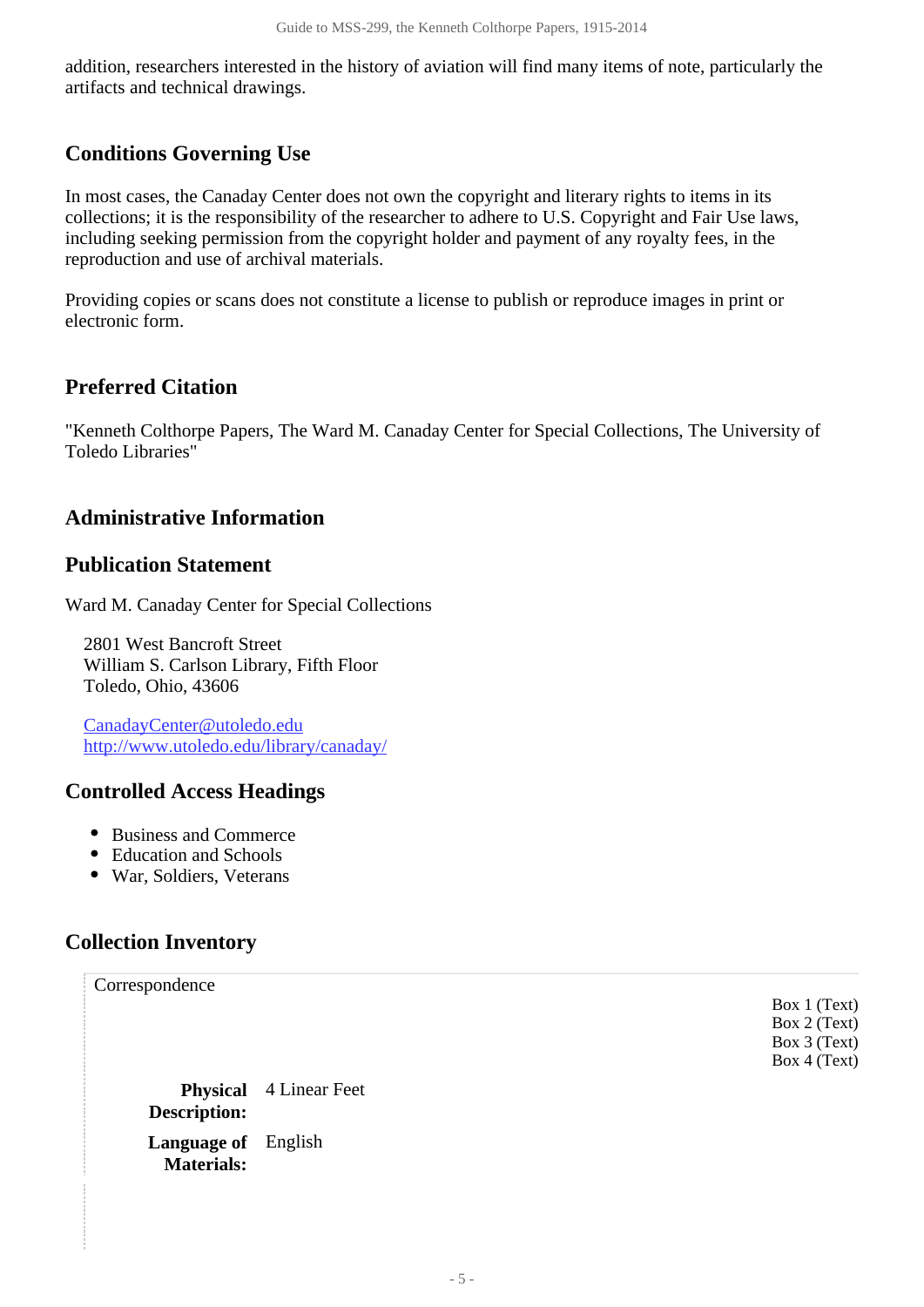addition, researchers interested in the history of aviation will find many items of note, particularly the artifacts and technical drawings.

## <span id="page-4-0"></span>**Conditions Governing Use**

In most cases, the Canaday Center does not own the copyright and literary rights to items in its collections; it is the responsibility of the researcher to adhere to U.S. Copyright and Fair Use laws, including seeking permission from the copyright holder and payment of any royalty fees, in the reproduction and use of archival materials.

Providing copies or scans does not constitute a license to publish or reproduce images in print or electronic form.

## <span id="page-4-1"></span>**Preferred Citation**

"Kenneth Colthorpe Papers, The Ward M. Canaday Center for Special Collections, The University of Toledo Libraries"

## <span id="page-4-2"></span>**Administrative Information**

#### **Publication Statement**

Ward M. Canaday Center for Special Collections

2801 West Bancroft Street William S. Carlson Library, Fifth Floor Toledo, Ohio, 43606

CanadayCenter@utoledo.edu <http://www.utoledo.edu/library/canaday/>

#### **Controlled Access Headings**

- Business and Commerce
- Education and Schools
- War, Soldiers, Veterans

## <span id="page-4-3"></span>**Collection Inventory**

<span id="page-4-4"></span>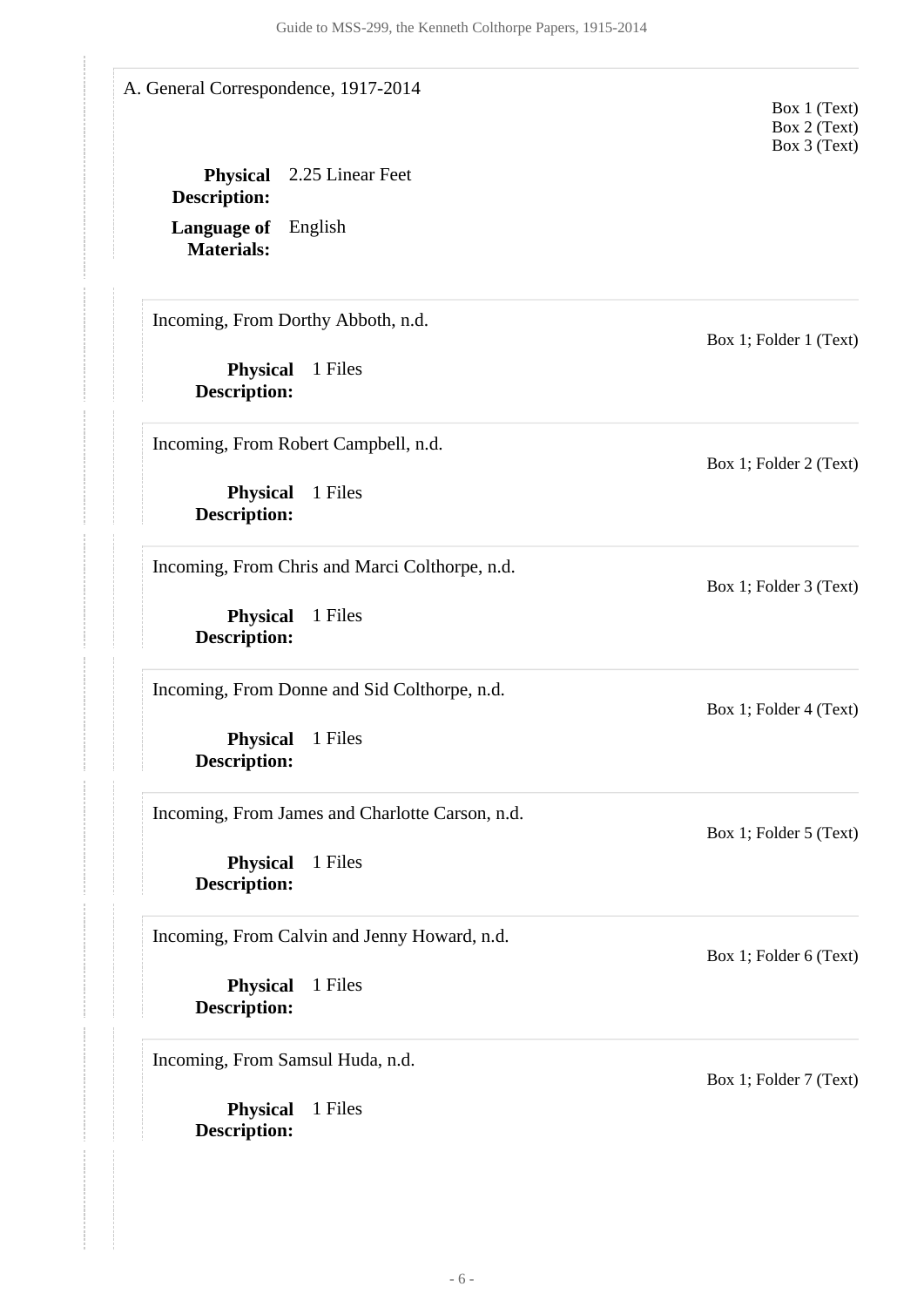<span id="page-5-0"></span>**Physical** 1 Files **Description: Physical** 1 Files **Description: Physical** 1 Files **Description: Physical** 1 Files **Description: Physical** 1 Files **Description: Physical** 1 Files **Description: Physical** 1 Files **Description: Language of** English **Materials: Physical** 2.25 Linear Feet **Description:** A. General Correspondence, 1917-2014 Box 1 (Text) Box 2 (Text) Box 3 (Text) Incoming, From Dorthy Abboth, n.d. Box 1; Folder 1 (Text) Incoming, From Robert Campbell, n.d. Box 1; Folder 2 (Text) Incoming, From Chris and Marci Colthorpe, n.d. Box 1; Folder 3 (Text) Incoming, From Donne and Sid Colthorpe, n.d. Box 1; Folder 4 (Text) Incoming, From James and Charlotte Carson, n.d. Box 1; Folder 5 (Text) Incoming, From Calvin and Jenny Howard, n.d. Box 1; Folder 6 (Text) Incoming, From Samsul Huda, n.d. Box 1; Folder 7 (Text)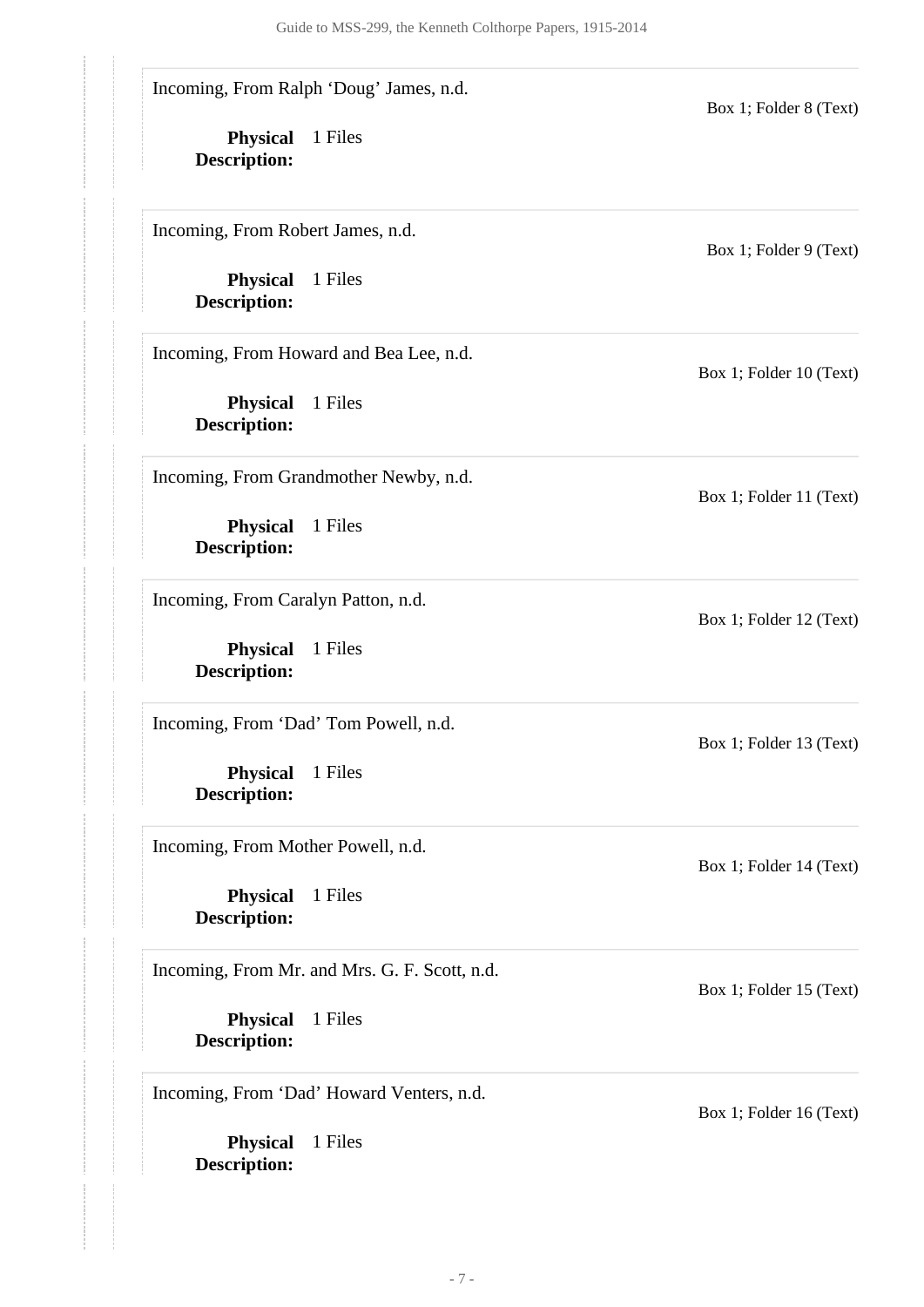Incoming, From Ralph 'Doug' James, n.d.

**Physical** 1 Files **Description:**

Incoming, From Robert James, n.d.

**Physical** 1 Files **Description:**

Incoming, From Howard and Bea Lee, n.d.

**Physical** 1 Files **Description:**

Incoming, From Grandmother Newby, n.d.

**Physical** 1 Files **Description:**

Incoming, From Caralyn Patton, n.d.

**Physical** 1 Files **Description:**

Incoming, From 'Dad' Tom Powell, n.d.

**Physical** 1 Files **Description:**

Incoming, From Mother Powell, n.d.

**Physical** 1 Files **Description:**

Incoming, From Mr. and Mrs. G. F. Scott, n.d.

**Physical** 1 Files **Description:**

Incoming, From 'Dad' Howard Venters, n.d.

**Physical** 1 Files **Description:**

Box 1; Folder 9 (Text)

Box 1; Folder 8 (Text)

Box 1; Folder 10 (Text)

Box 1; Folder 11 (Text)

Box 1; Folder 12 (Text)

Box 1; Folder 13 (Text)

Box 1; Folder 14 (Text)

Box 1; Folder 15 (Text)

Box 1; Folder 16 (Text)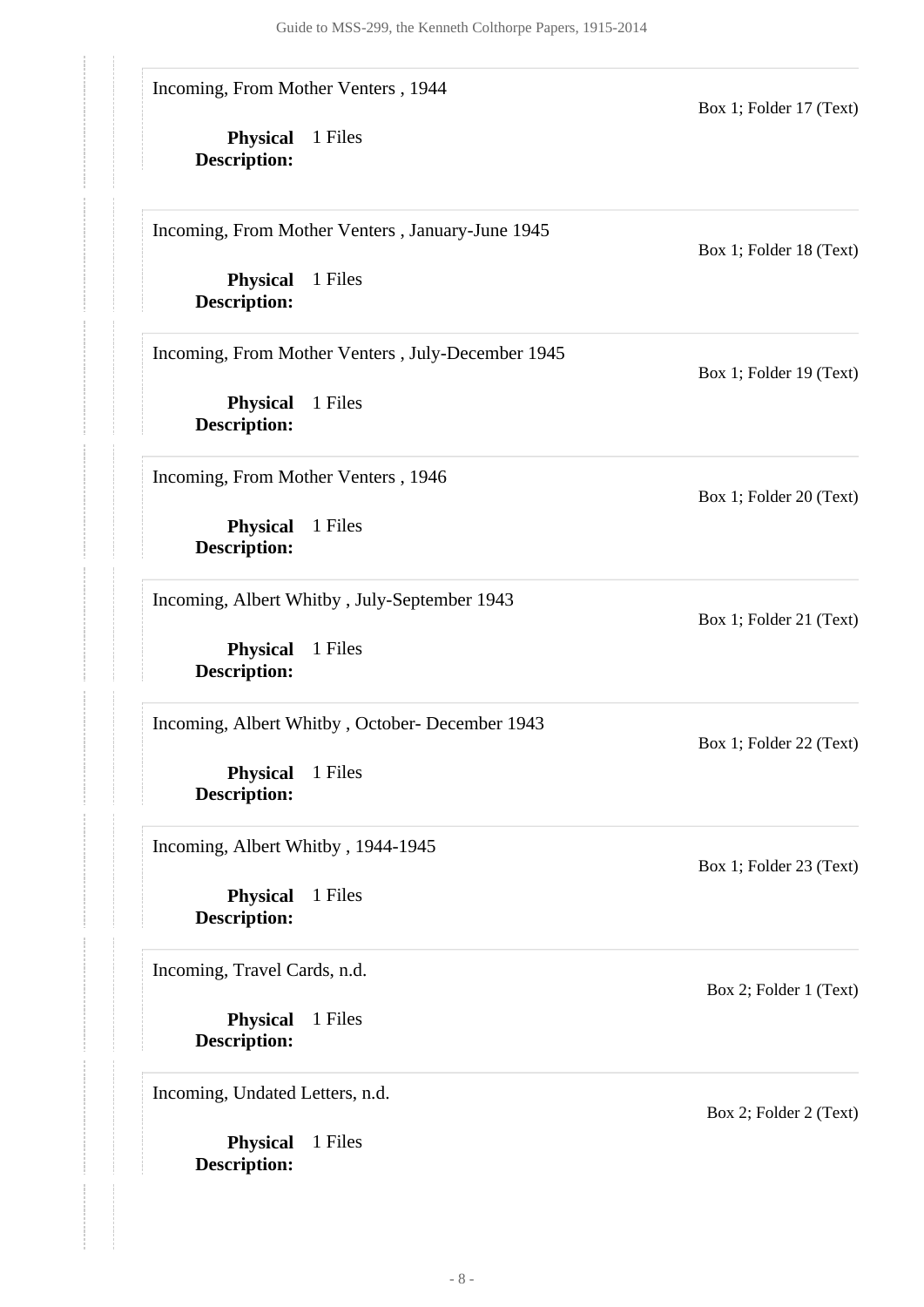Incoming, From Mother Venters , 1944

**Physical** 1 Files **Description:**

Box 1; Folder 17 (Text)

Box 1; Folder 18 (Text)

Box 1; Folder 19 (Text)

Box 1; Folder 20 (Text)

Box 1; Folder 21 (Text)

Box 1; Folder 22 (Text)

Box 1; Folder 23 (Text)

Incoming, From Mother Venters , January-June 1945

**Physical** 1 Files **Description:**

Incoming, From Mother Venters , July-December 1945

**Physical** 1 Files **Description:**

Incoming, From Mother Venters , 1946

**Physical** 1 Files **Description:**

Incoming, Albert Whitby , July-September 1943

**Physical** 1 Files **Description:**

Incoming, Albert Whitby , October- December 1943

**Physical** 1 Files **Description:**

Incoming, Albert Whitby , 1944-1945

**Physical** 1 Files **Description:**

Incoming, Travel Cards, n.d.

**Physical** 1 Files **Description:**

Incoming, Undated Letters, n.d.

**Physical** 1 Files **Description:**

Box 2; Folder 2 (Text)

Box 2; Folder 1 (Text)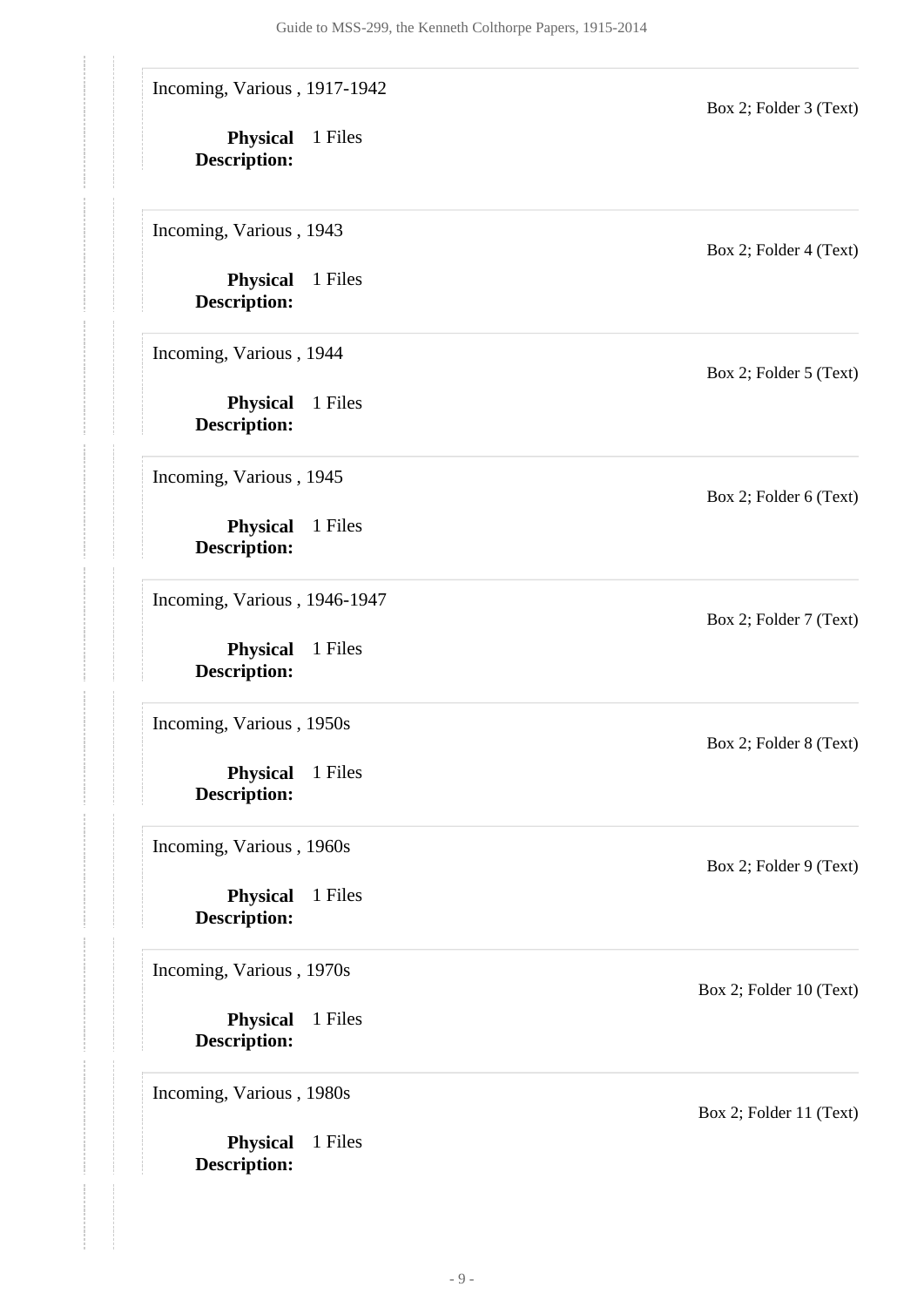Incoming, Various , 1917-1942

**Physical** 1 Files **Description:**

Incoming, Various , 1943

**Physical** 1 Files **Description:**

Incoming, Various , 1944

**Physical** 1 Files **Description:**

Incoming, Various , 1945

**Physical** 1 Files **Description:**

Incoming, Various , 1946-1947

**Physical** 1 Files **Description:**

Incoming, Various , 1950s

**Physical** 1 Files **Description:**

Incoming, Various , 1960s

**Physical** 1 Files **Description:**

Incoming, Various , 1970s

**Physical** 1 Files **Description:**

Incoming, Various , 1980s

**Physical** 1 Files **Description:**

Box 2; Folder 4 (Text)

Box 2; Folder 3 (Text)

Box 2; Folder 5 (Text)

Box 2; Folder 6 (Text)

Box 2; Folder 7 (Text)

Box 2; Folder 8 (Text)

Box 2; Folder 9 (Text)

Box 2; Folder 10 (Text)

Box 2; Folder 11 (Text)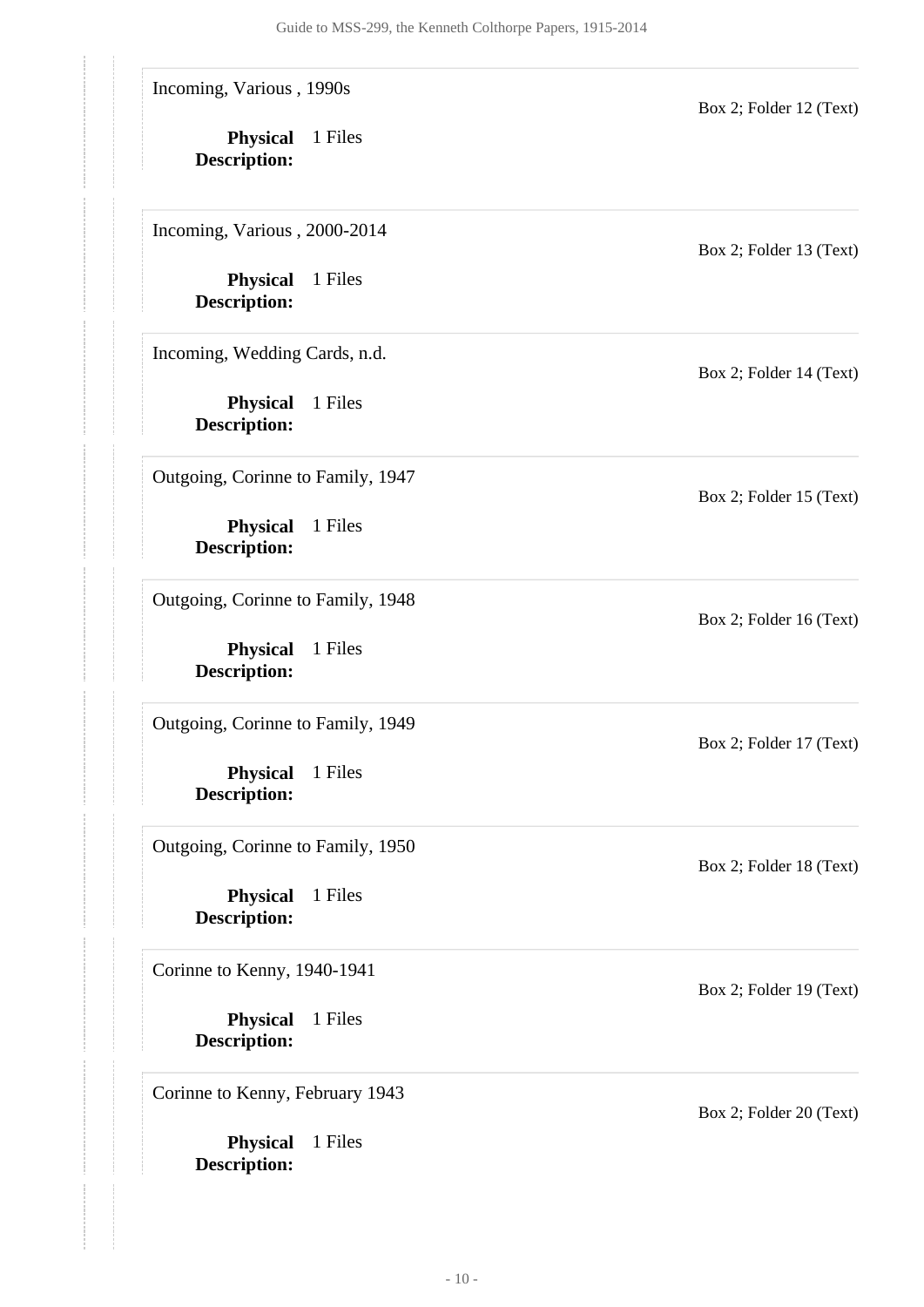Incoming, Various , 1990s

**Physical** 1 Files **Description:**

Incoming, Various , 2000-2014

**Physical** 1 Files **Description:**

Incoming, Wedding Cards, n.d.

**Physical** 1 Files **Description:**

Outgoing, Corinne to Family, 1947

**Physical** 1 Files **Description:**

Outgoing, Corinne to Family, 1948

**Physical** 1 Files **Description:**

Outgoing, Corinne to Family, 1949

**Physical** 1 Files **Description:**

Outgoing, Corinne to Family, 1950

**Physical** 1 Files **Description:**

Corinne to Kenny, 1940-1941

**Physical** 1 Files **Description:**

Corinne to Kenny, February 1943

**Physical** 1 Files **Description:**

Box 2; Folder 13 (Text)

Box 2; Folder 12 (Text)

Box 2; Folder 14 (Text)

Box 2; Folder 15 (Text)

Box 2; Folder 16 (Text)

Box 2; Folder 17 (Text)

Box 2; Folder 18 (Text)

Box 2; Folder 19 (Text)

Box 2; Folder 20 (Text)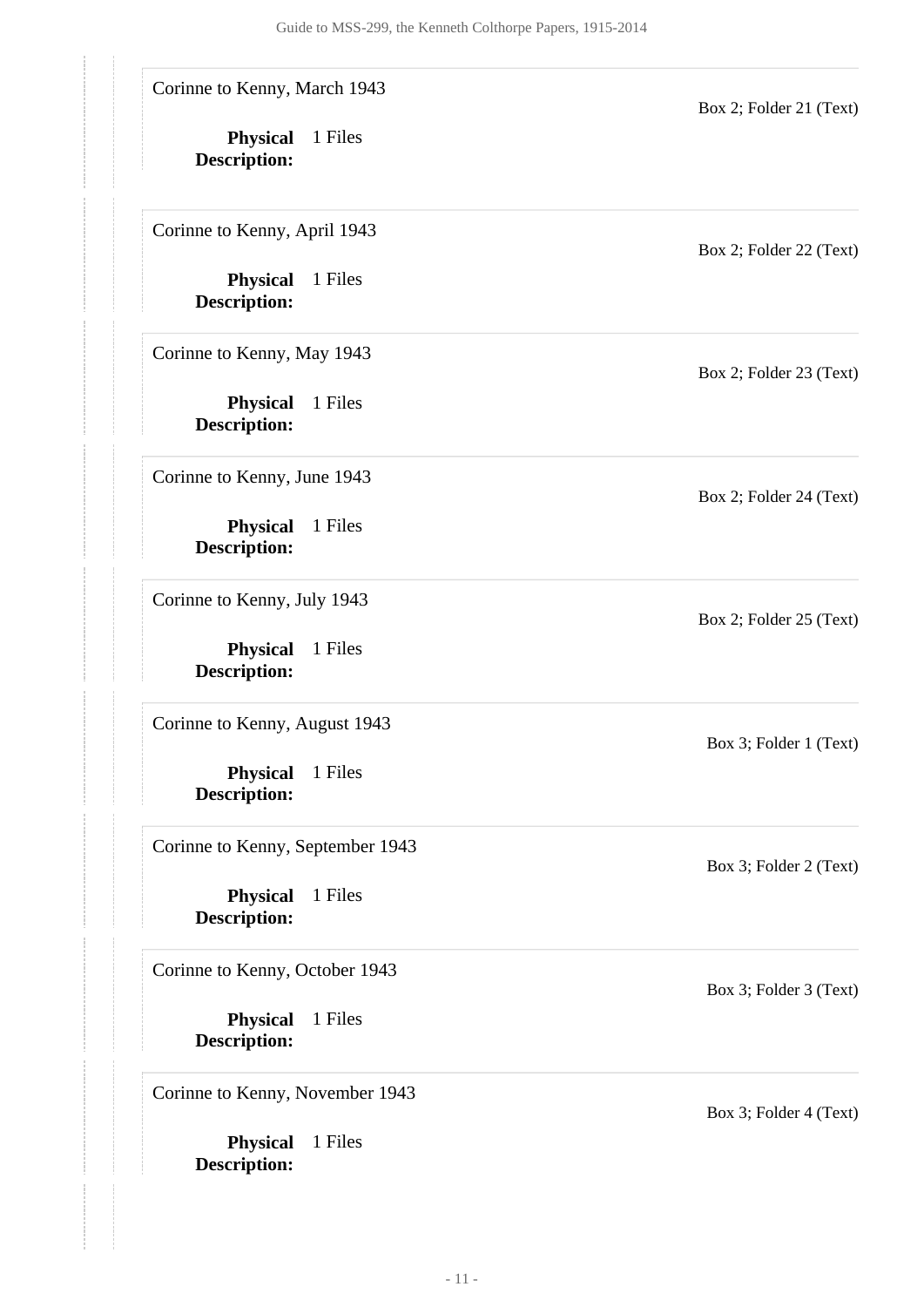Corinne to Kenny, March 1943

**Physical** 1 Files **Description:**

Corinne to Kenny, April 1943

**Physical** 1 Files **Description:**

Corinne to Kenny, May 1943

**Physical** 1 Files **Description:**

Corinne to Kenny, June 1943

**Physical** 1 Files **Description:**

Corinne to Kenny, July 1943

**Physical** 1 Files **Description:**

Corinne to Kenny, August 1943

**Physical** 1 Files **Description:**

Corinne to Kenny, September 1943

**Physical** 1 Files **Description:**

Corinne to Kenny, October 1943

**Physical** 1 Files **Description:**

Corinne to Kenny, November 1943

**Physical** 1 Files **Description:**

Box 2; Folder 22 (Text)

Box 2; Folder 21 (Text)

Box 2; Folder 23 (Text)

Box 2; Folder 24 (Text)

Box 2; Folder 25 (Text)

Box 3; Folder 1 (Text)

Box 3; Folder 2 (Text)

Box 3; Folder 3 (Text)

Box 3; Folder 4 (Text)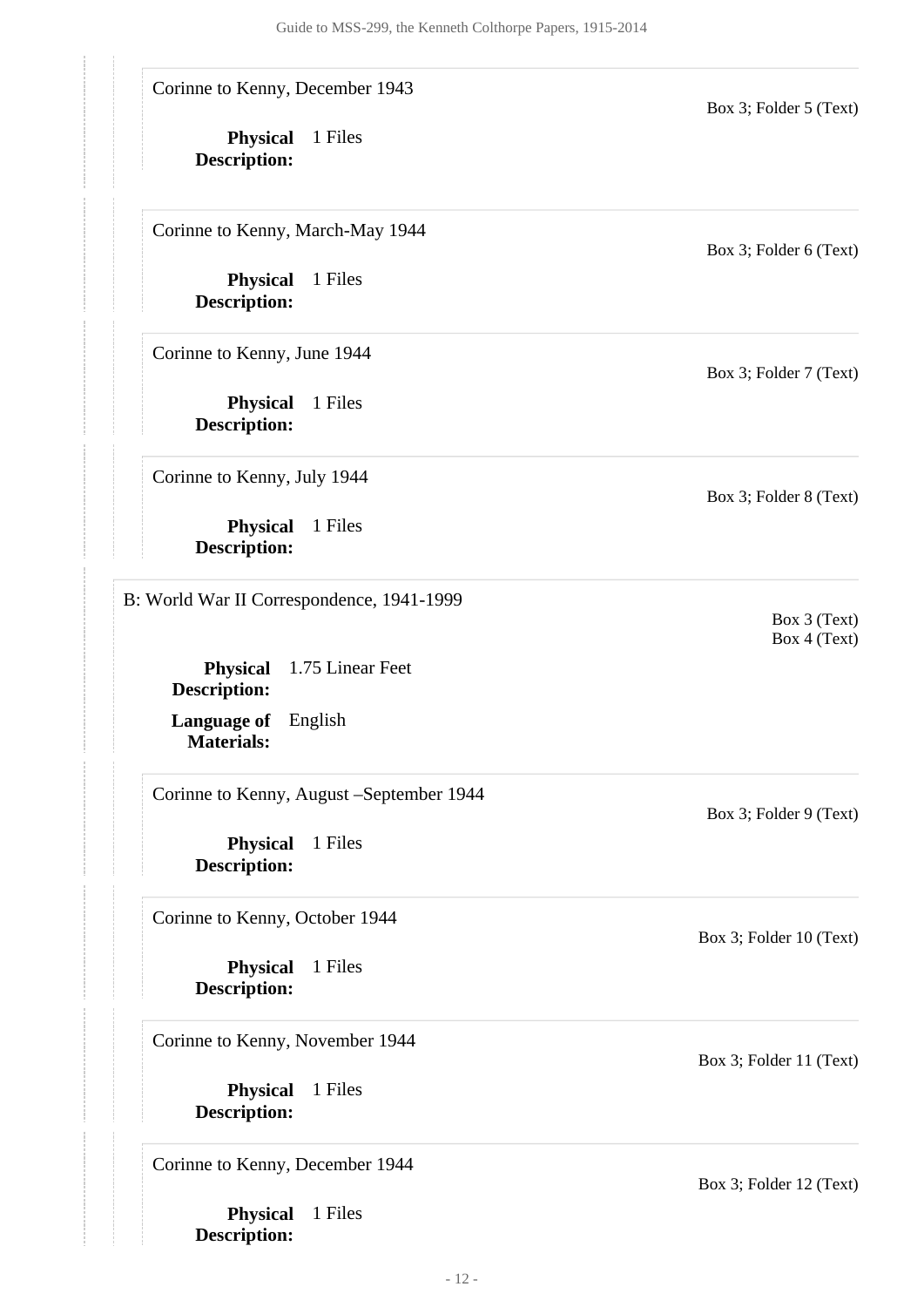Corinne to Kenny, December 1943

**Physical** 1 Files **Description:**

Corinne to Kenny, March-May 1944

**Physical** 1 Files **Description:**

Corinne to Kenny, June 1944

**Physical** 1 Files **Description:**

Corinne to Kenny, July 1944

**Physical** 1 Files **Description:**

<span id="page-11-0"></span>B: World War II Correspondence, 1941-1999

**Physical** 1.75 Linear Feet **Description:**

**Language of** English **Materials:**

Corinne to Kenny, August –September 1944

**Physical** 1 Files **Description:**

Corinne to Kenny, October 1944

**Physical** 1 Files **Description:**

Corinne to Kenny, November 1944

**Physical** 1 Files **Description:**

Corinne to Kenny, December 1944

**Physical** 1 Files **Description:**

Box 3; Folder 11 (Text)

Box 3; Folder 12 (Text)

Box 3; Folder 5 (Text)

Box 3; Folder 7 (Text)

Box 3; Folder 8 (Text)

Box 3 (Text) Box 4 (Text)

Box 3; Folder 9 (Text)

Box 3; Folder 10 (Text)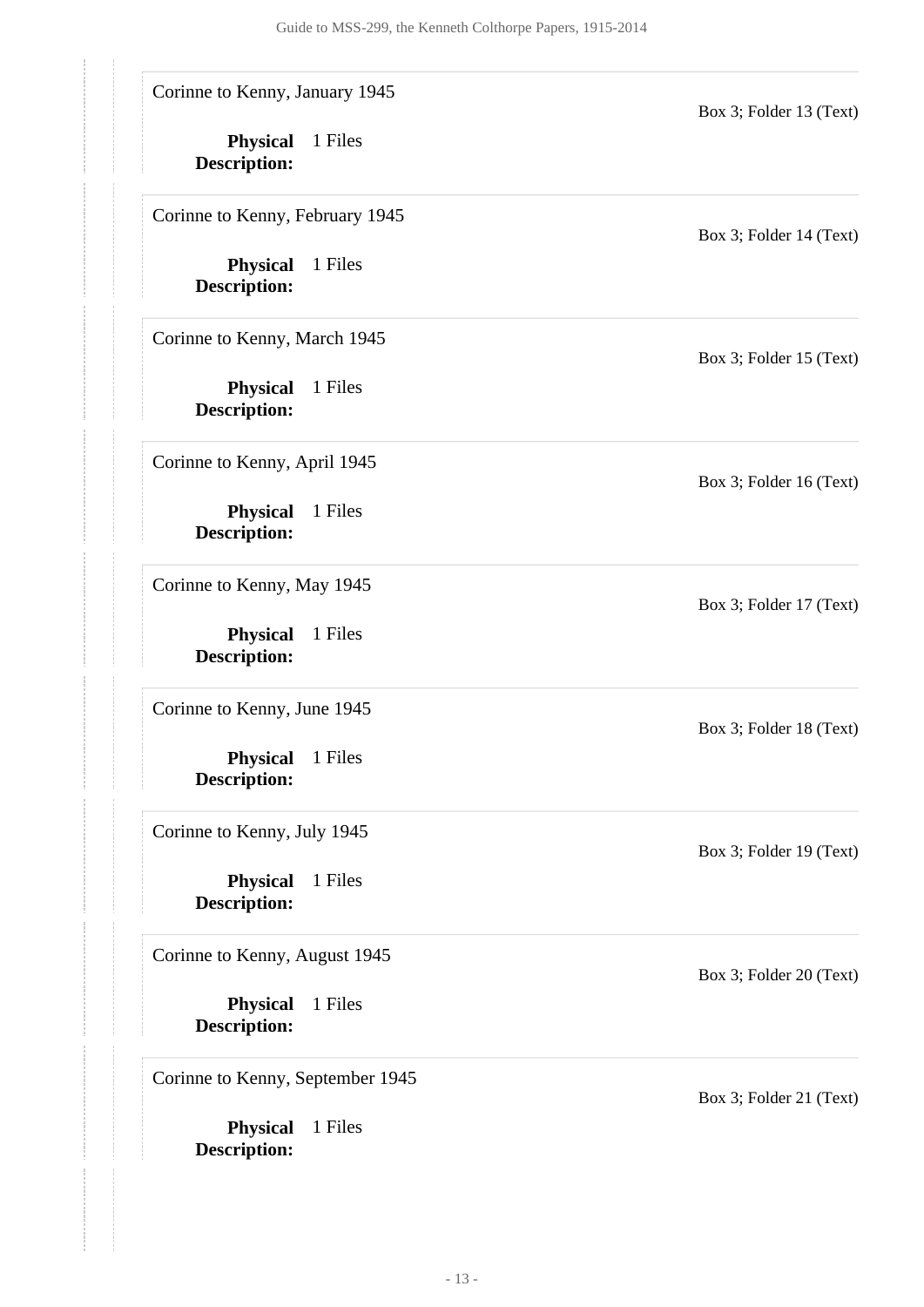Corinne to Kenny, January 1945

**Physical** 1 Files **Description:**

Corinne to Kenny, February 1945

**Physical** 1 Files **Description:**

Corinne to Kenny, March 1945

**Physical** 1 Files **Description:**

Corinne to Kenny, April 1945

**Physical** 1 Files **Description:**

Corinne to Kenny, May 1945

**Physical** 1 Files **Description:**

Corinne to Kenny, June 1945

**Physical** 1 Files **Description:**

Corinne to Kenny, July 1945

**Physical** 1 Files **Description:**

Corinne to Kenny, August 1945

**Physical** 1 Files **Description:**

Corinne to Kenny, September 1945

**Physical** 1 Files **Description:**

Box 3; Folder 13 (Text)

Box 3; Folder 14 (Text)

Box 3; Folder 15 (Text)

Box 3; Folder 16 (Text)

Box 3; Folder 17 (Text)

Box 3; Folder 18 (Text)

Box 3; Folder 19 (Text)

Box 3; Folder 20 (Text)

Box 3; Folder 21 (Text)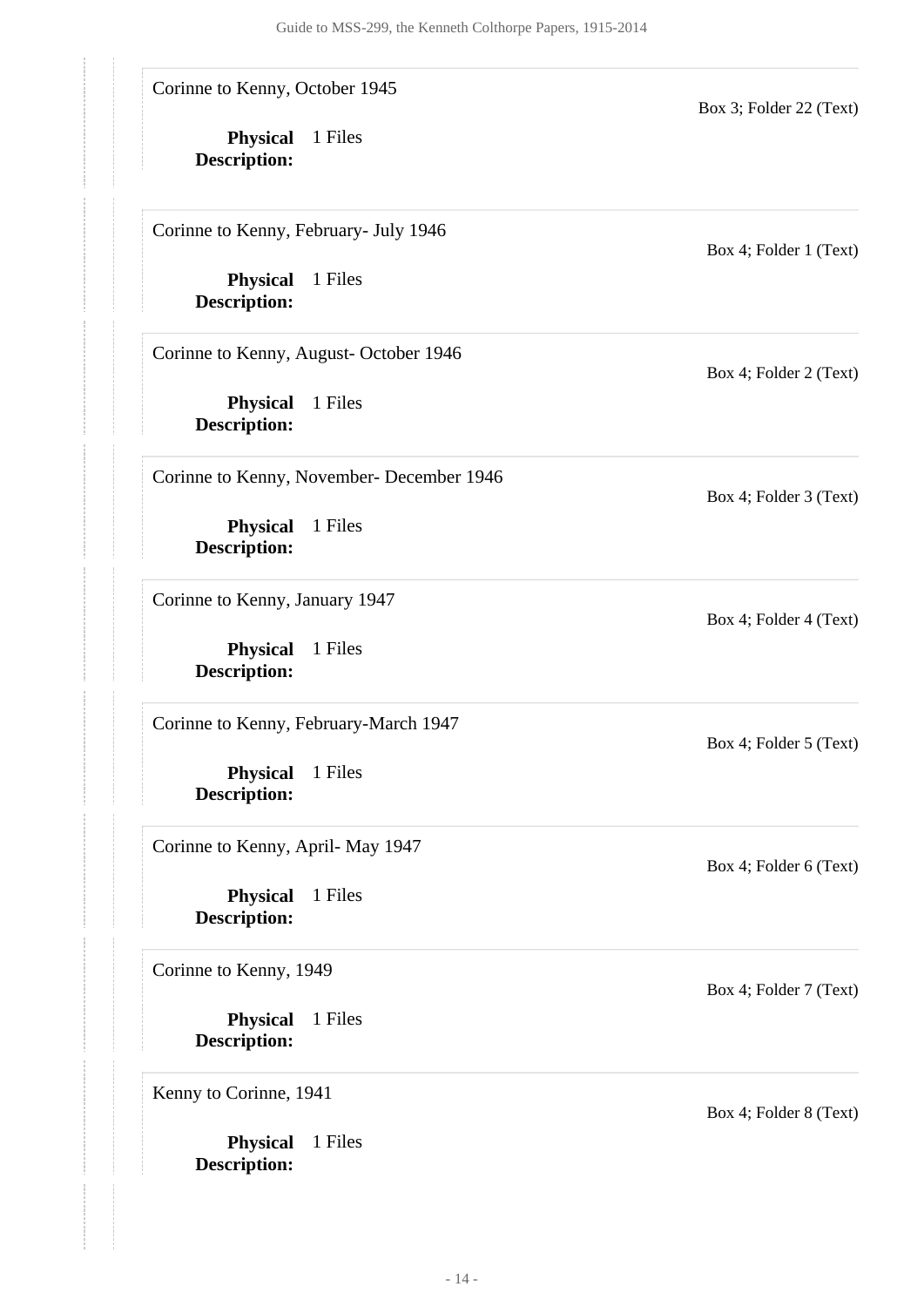Corinne to Kenny, October 1945

**Physical** 1 Files **Description:**

Corinne to Kenny, February- July 1946

**Physical** 1 Files **Description:**

Corinne to Kenny, August- October 1946

**Physical** 1 Files **Description:**

Corinne to Kenny, November- December 1946

**Physical** 1 Files **Description:**

Corinne to Kenny, January 1947

**Physical** 1 Files **Description:**

Corinne to Kenny, February-March 1947

**Physical** 1 Files **Description:**

Corinne to Kenny, April- May 1947

**Physical** 1 Files **Description:**

Corinne to Kenny, 1949

**Physical** 1 Files **Description:**

Kenny to Corinne, 1941

**Physical** 1 Files **Description:**

Box 4; Folder 1 (Text)

Box 3; Folder 22 (Text)

Box 4; Folder 2 (Text)

Box 4; Folder 3 (Text)

Box 4; Folder 4 (Text)

Box 4; Folder 5 (Text)

Box 4; Folder 6 (Text)

Box 4; Folder 7 (Text)

Box 4; Folder 8 (Text)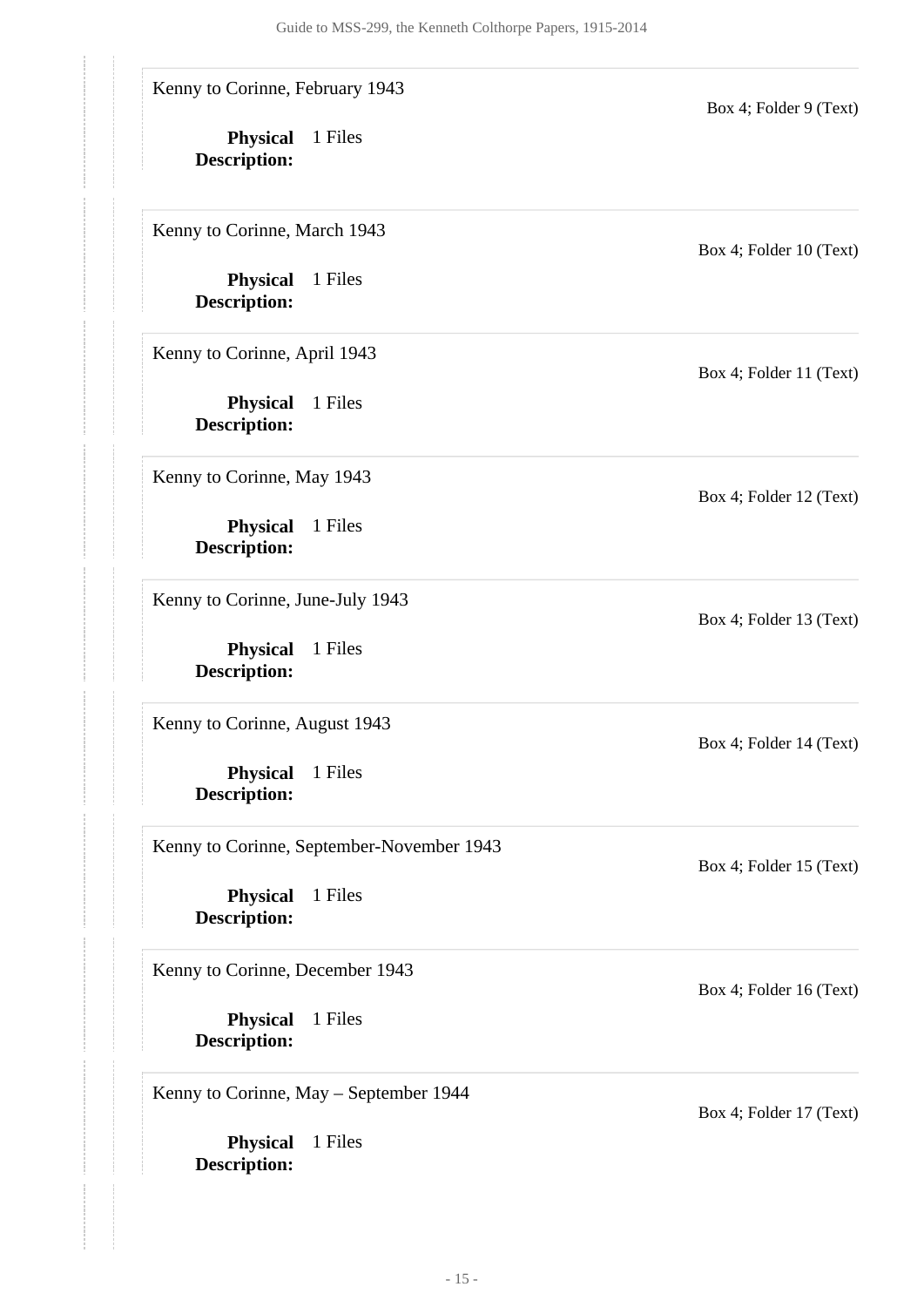Kenny to Corinne, February 1943

**Physical** 1 Files **Description:**

Kenny to Corinne, March 1943

**Physical** 1 Files **Description:**

Kenny to Corinne, April 1943

**Physical** 1 Files **Description:**

Kenny to Corinne, May 1943

**Physical** 1 Files **Description:**

Kenny to Corinne, June-July 1943

**Physical** 1 Files **Description:**

Kenny to Corinne, August 1943

**Physical** 1 Files **Description:**

Kenny to Corinne, September-November 1943

**Physical** 1 Files **Description:**

Kenny to Corinne, December 1943

**Physical** 1 Files **Description:**

Kenny to Corinne, May – September 1944

**Physical** 1 Files **Description:**

Box 4; Folder 10 (Text)

Box 4; Folder 9 (Text)

Box 4; Folder 11 (Text)

Box 4; Folder 12 (Text)

Box 4; Folder 13 (Text)

Box 4; Folder 14 (Text)

Box 4; Folder 15 (Text)

Box 4; Folder 16 (Text)

Box 4; Folder 17 (Text)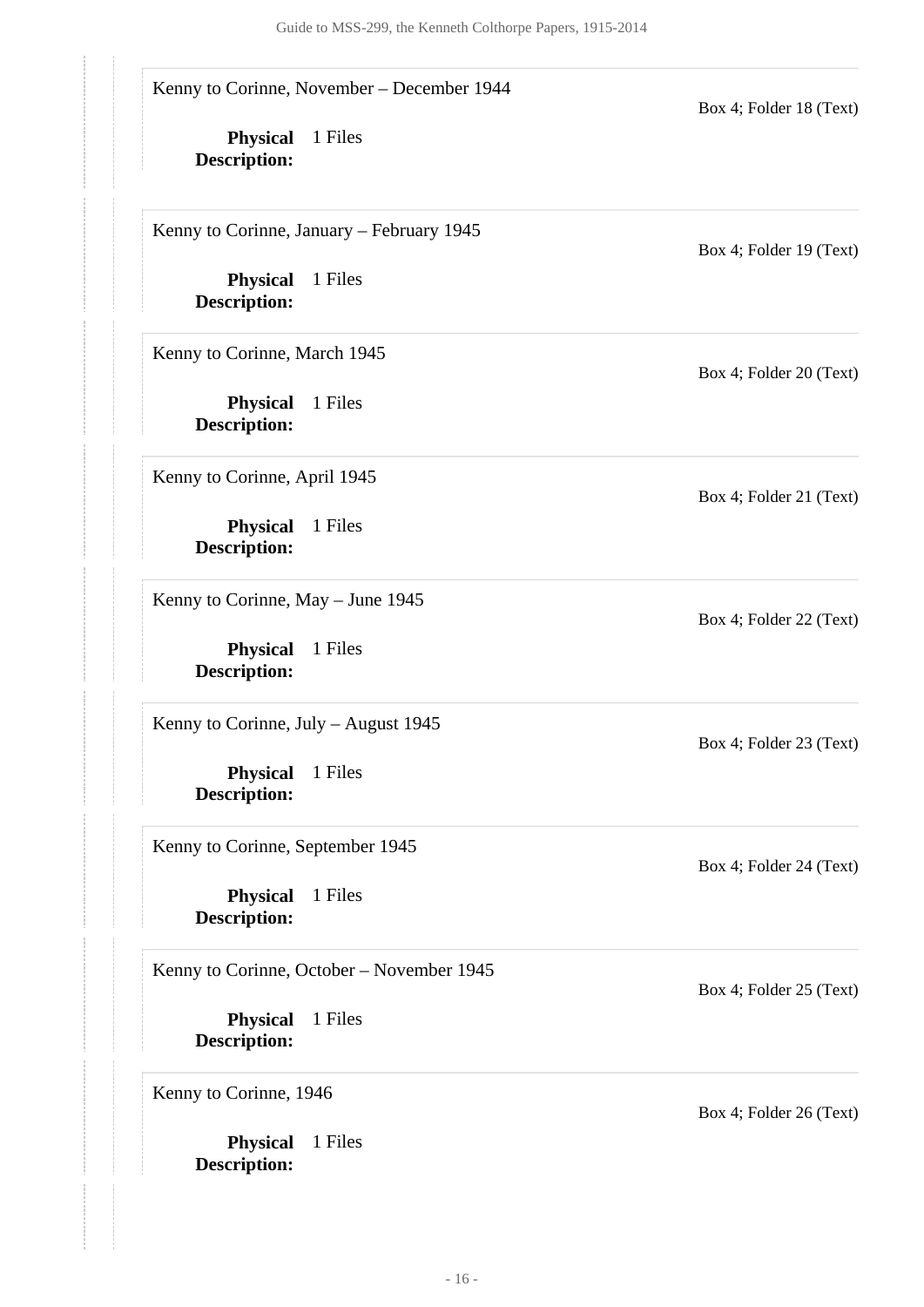Kenny to Corinne, November – December 1944

**Physical** 1 Files **Description:**

Kenny to Corinne, January – February 1945

**Physical** 1 Files **Description:**

Kenny to Corinne, March 1945

**Physical** 1 Files **Description:**

Kenny to Corinne, April 1945

**Physical** 1 Files **Description:**

Kenny to Corinne, May – June 1945

**Physical** 1 Files **Description:**

Kenny to Corinne, July – August 1945

**Physical** 1 Files **Description:**

Kenny to Corinne, September 1945

**Physical** 1 Files **Description:**

Kenny to Corinne, October – November 1945

**Physical** 1 Files **Description:**

Kenny to Corinne, 1946

**Physical** 1 Files **Description:**

Box 4; Folder 19 (Text)

Box 4; Folder 18 (Text)

Box 4; Folder 20 (Text)

Box 4; Folder 21 (Text)

Box 4; Folder 22 (Text)

Box 4; Folder 23 (Text)

Box 4; Folder 24 (Text)

Box 4; Folder 25 (Text)

Box 4; Folder 26 (Text)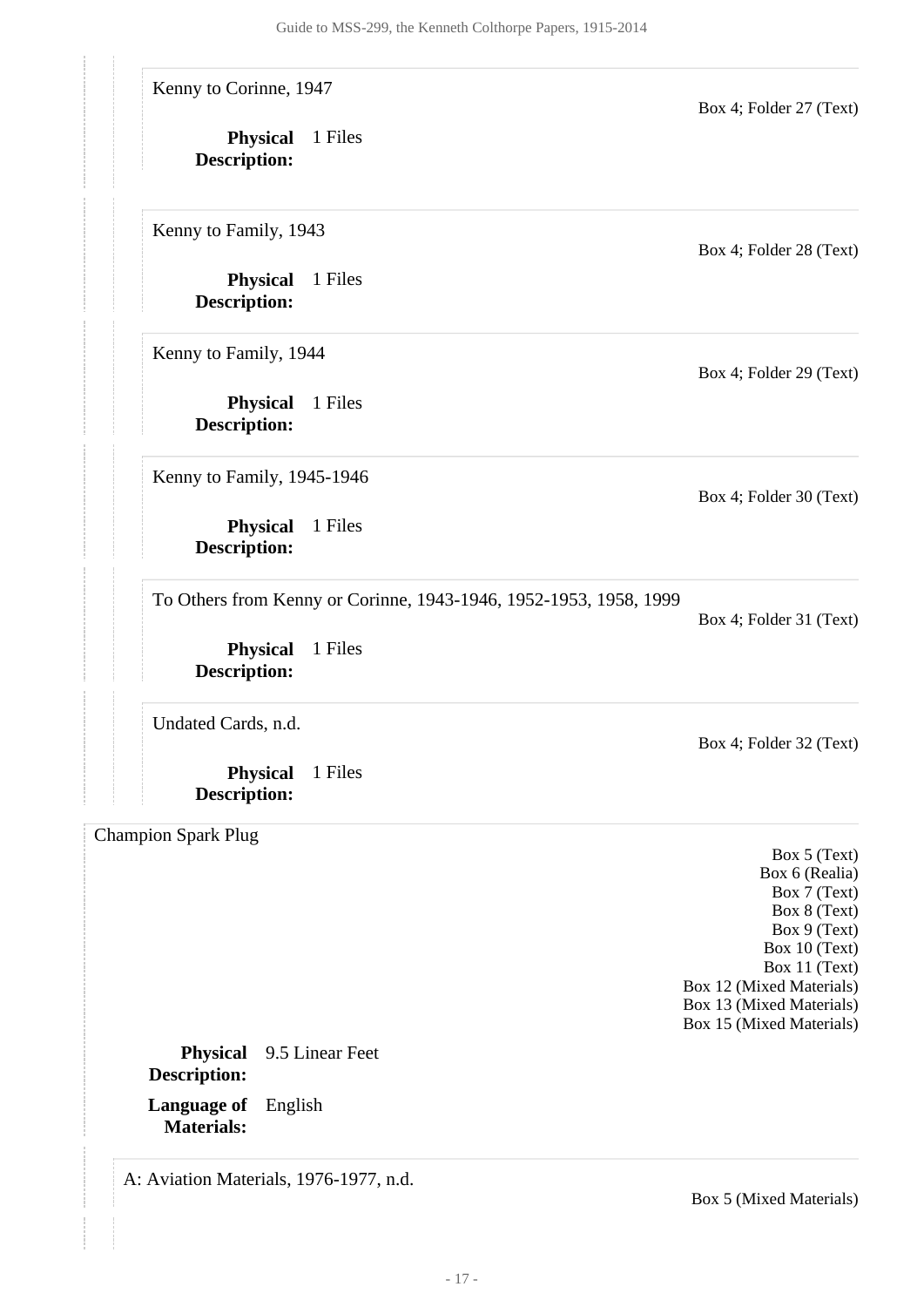Kenny to Corinne, 1947

**Physical** 1 Files **Description:**

Kenny to Family, 1943

**Physical** 1 Files **Description:**

Kenny to Family, 1944

**Physical** 1 Files **Description:**

Kenny to Family, 1945-1946

**Physical** 1 Files **Description:**

To Others from Kenny or Corinne, 1943-1946, 1952-1953, 1958, 1999

**Physical** 1 Files **Description:**

Undated Cards, n.d.

**Physical** 1 Files **Description:**

<span id="page-16-0"></span>Champion Spark Plug

Box 4; Folder 28 (Text)

Box 4; Folder 27 (Text)

Box 4; Folder 29 (Text)

Box 4; Folder 30 (Text)

Box 4; Folder 31 (Text)

Box 4; Folder 32 (Text)

Box 5 (Text) Box 6 (Realia) Box 7 (Text) Box 8 (Text) Box 9 (Text) Box 10 (Text) Box 11 (Text) Box 12 (Mixed Materials) Box 13 (Mixed Materials) Box 15 (Mixed Materials)

**Language of** English **Materials: Physical** 9.5 Linear Feet **Description:**

<span id="page-16-1"></span>A: Aviation Materials, 1976-1977, n.d.

Box 5 (Mixed Materials)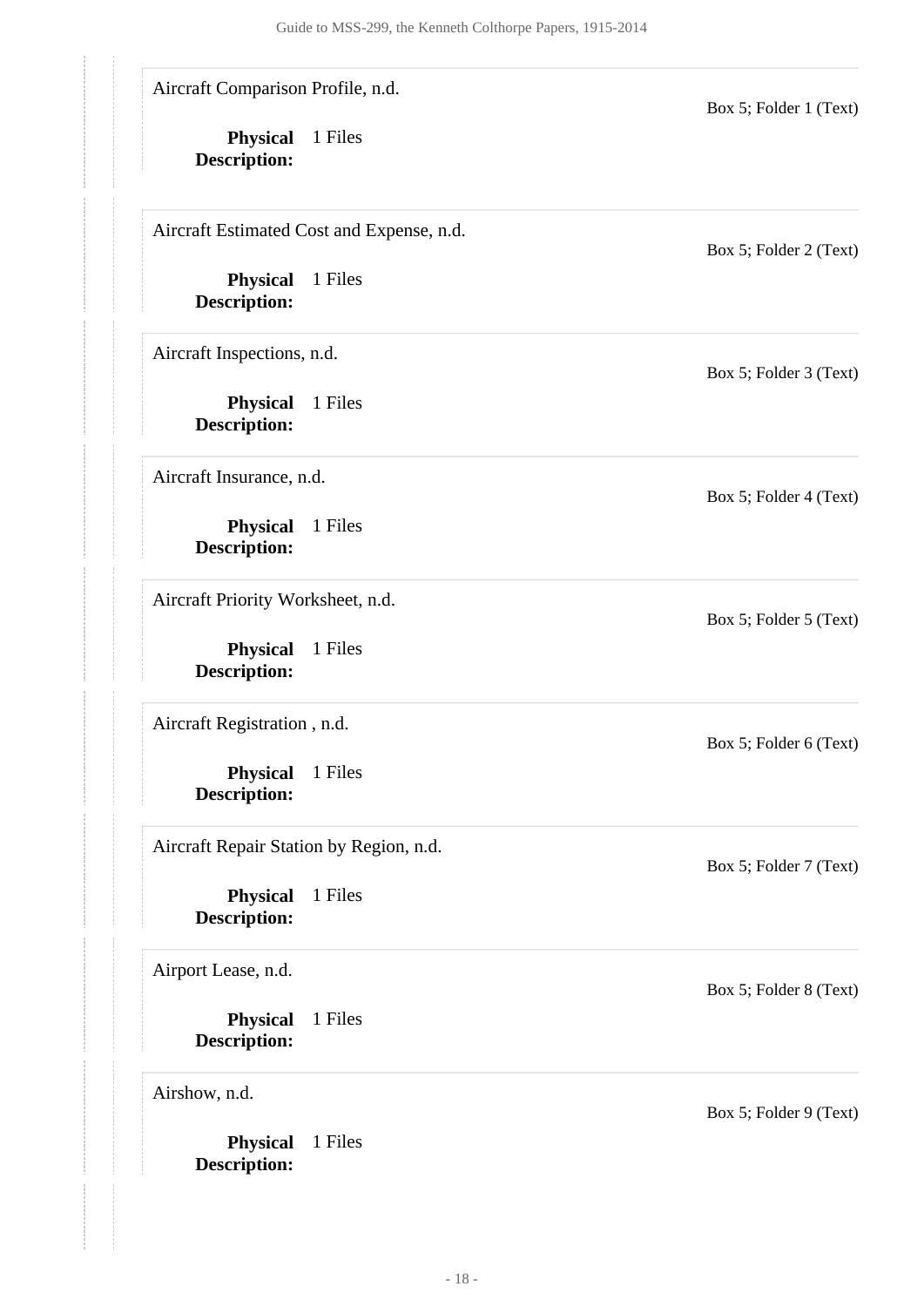Aircraft Comparison Profile, n.d.

**Physical** 1 Files **Description:**

Aircraft Estimated Cost and Expense, n.d.

**Physical** 1 Files **Description:**

Aircraft Inspections, n.d.

**Physical** 1 Files **Description:**

Aircraft Insurance, n.d.

**Physical** 1 Files **Description:**

Aircraft Priority Worksheet, n.d.

**Physical** 1 Files **Description:**

Aircraft Registration , n.d.

**Physical** 1 Files **Description:**

Aircraft Repair Station by Region, n.d.

**Physical** 1 Files **Description:**

Airport Lease, n.d.

**Physical** 1 Files **Description:**

Airshow, n.d.

**Physical** 1 Files **Description:**

Box 5; Folder 2 (Text)

Box 5; Folder 1 (Text)

Box 5; Folder 3 (Text)

Box 5; Folder 4 (Text)

Box 5; Folder 5 (Text)

Box 5; Folder 6 (Text)

Box 5; Folder 7 (Text)

Box 5; Folder 8 (Text)

Box 5; Folder 9 (Text)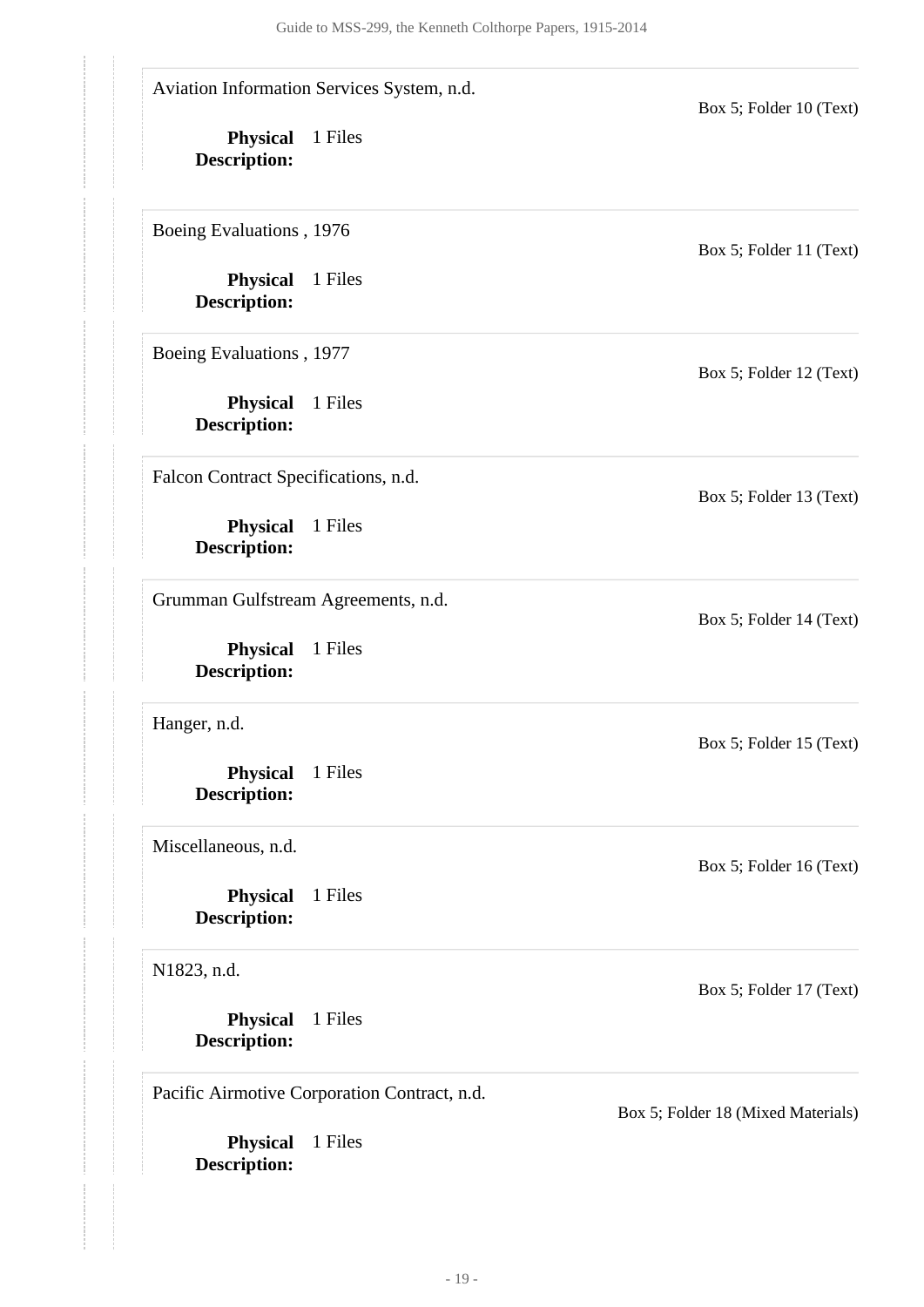**Physical** 1 Files **Description: Physical** 1 Files **Description: Physical** 1 Files **Description: Physical** 1 Files **Description: Physical** 1 Files **Description: Physical** 1 Files **Description: Physical** 1 Files **Description: Physical** 1 Files **Description: Physical** 1 Files **Description:** Aviation Information Services System, n.d. Box 5; Folder 10 (Text) Boeing Evaluations , 1976 Box 5; Folder 11 (Text) Boeing Evaluations , 1977 Box 5; Folder 12 (Text) Falcon Contract Specifications, n.d. Box 5; Folder 13 (Text) Grumman Gulfstream Agreements, n.d. Box 5; Folder 14 (Text) Hanger, n.d. Box 5; Folder 15 (Text) Miscellaneous, n.d. Box 5; Folder 16 (Text) N1823, n.d. Box 5; Folder 17 (Text) Pacific Airmotive Corporation Contract, n.d. Box 5; Folder 18 (Mixed Materials)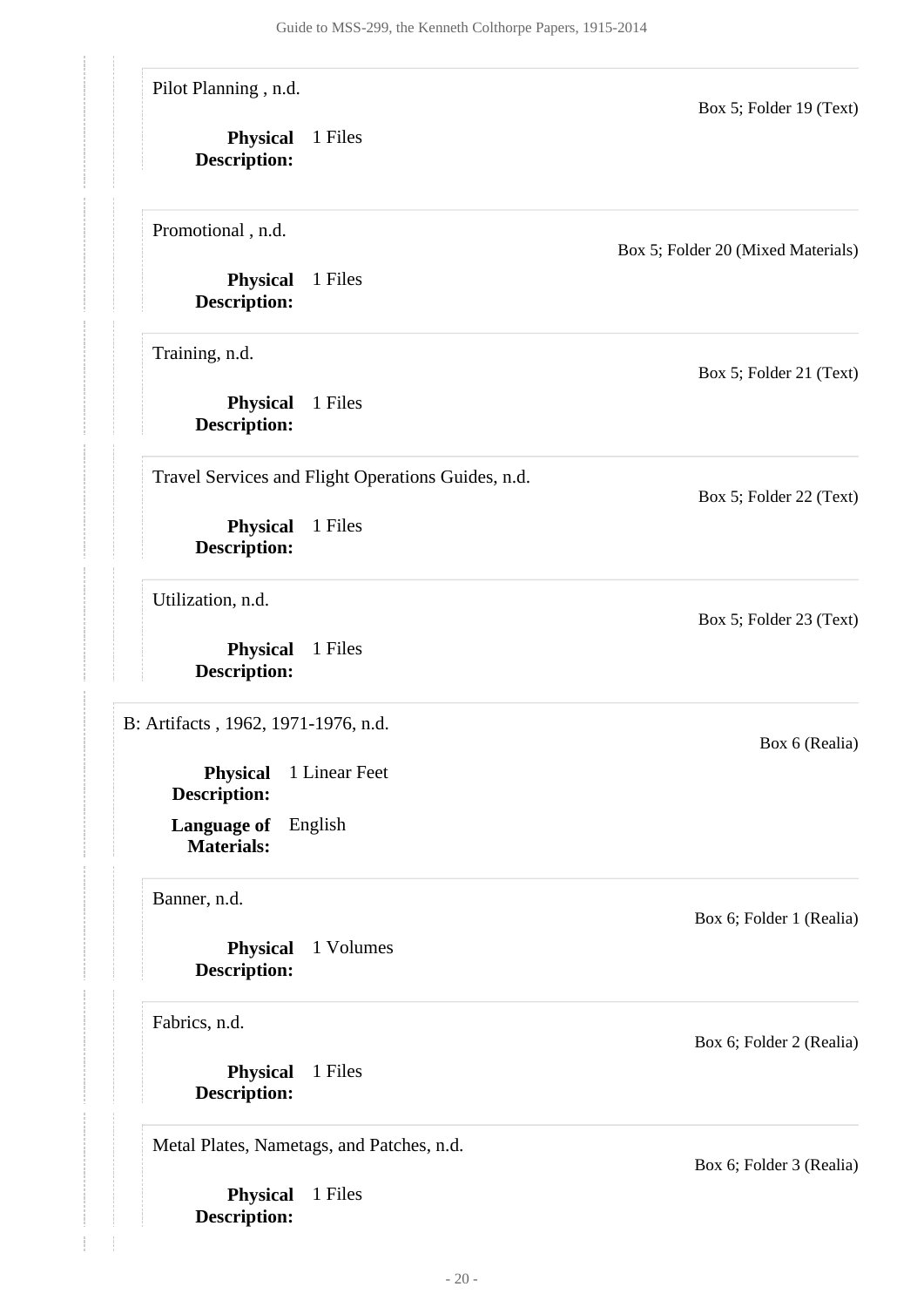<span id="page-19-0"></span>**Physical** 1 Files **Description: Physical** 1 Files **Description: Physical** 1 Volumes **Description: Language of** English **Materials: Physical** 1 Linear Feet **Description: Physical** 1 Files **Description: Physical** 1 Files **Description: Physical** 1 Files **Description: Physical** 1 Files **Description: Physical** 1 Files **Description:** Pilot Planning , n.d. Box 5; Folder 19 (Text) Promotional , n.d. Box 5; Folder 20 (Mixed Materials) Training, n.d. Box 5; Folder 21 (Text) Travel Services and Flight Operations Guides, n.d. Box 5; Folder 22 (Text) Utilization, n.d. Box 5; Folder 23 (Text) B: Artifacts , 1962, 1971-1976, n.d. Box 6 (Realia) Banner, n.d. Box 6; Folder 1 (Realia) Fabrics, n.d. Box 6; Folder 2 (Realia) Metal Plates, Nametags, and Patches, n.d. Box 6; Folder 3 (Realia)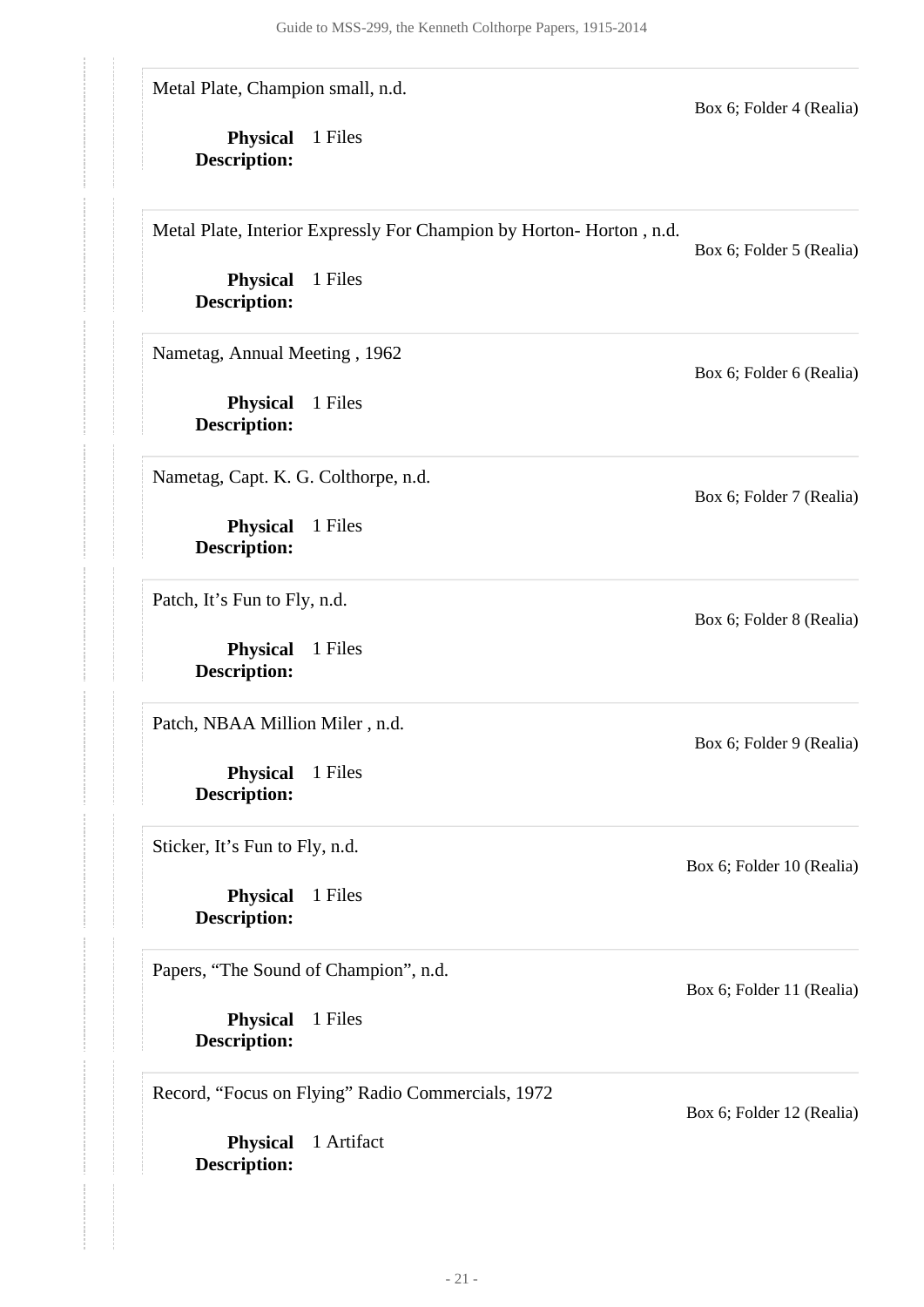Metal Plate, Champion small, n.d.

**Physical** 1 Files **Description:**

Metal Plate, Interior Expressly For Champion by Horton- Horton , n.d.

Box 6; Folder 5 (Realia)

Box 6; Folder 4 (Realia)

**Physical** 1 Files **Description:**

Nametag, Annual Meeting , 1962

**Physical** 1 Files **Description:**

Nametag, Capt. K. G. Colthorpe, n.d.

**Physical** 1 Files **Description:**

Patch, It's Fun to Fly, n.d.

**Physical** 1 Files **Description:**

Patch, NBAA Million Miler , n.d.

**Physical** 1 Files **Description:**

Sticker, It's Fun to Fly, n.d.

**Physical** 1 Files **Description:**

Papers, "The Sound of Champion", n.d.

**Physical** 1 Files **Description:**

Record, "Focus on Flying" Radio Commercials, 1972

**Physical** 1 Artifact **Description:**

Box 6; Folder 6 (Realia)

Box 6; Folder 7 (Realia)

Box 6; Folder 8 (Realia)

Box 6; Folder 9 (Realia)

Box 6; Folder 10 (Realia)

Box 6; Folder 11 (Realia)

Box 6; Folder 12 (Realia)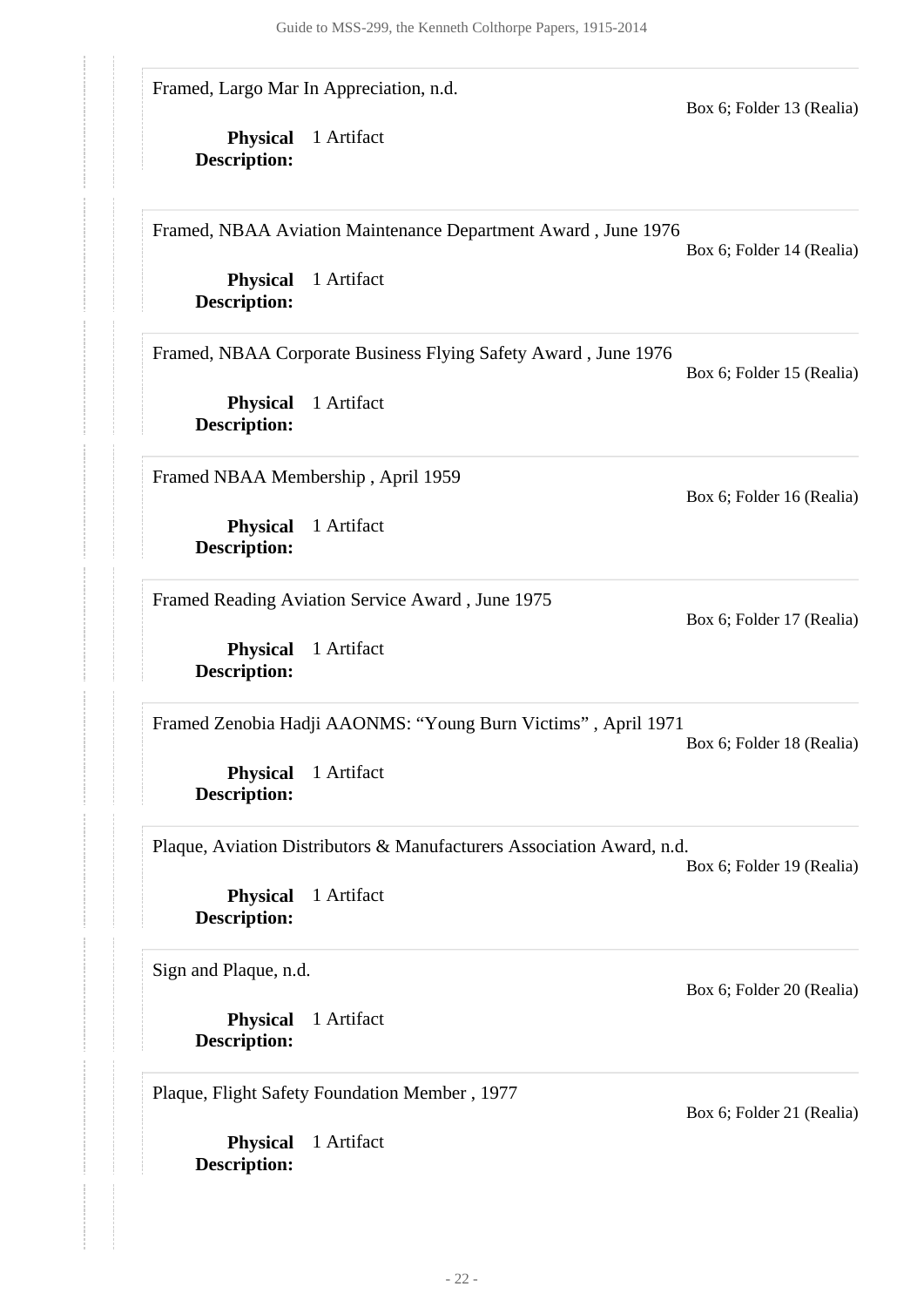**Physical** 1 Artifact **Description: Physical** 1 Artifact **Description: Physical** 1 Artifact **Description: Physical** 1 Artifact **Description: Physical** 1 Artifact **Description: Physical** 1 Artifact **Description: Physical** 1 Artifact **Description: Physical** 1 Artifact **Description: Physical** 1 Artifact **Description:** Framed, Largo Mar In Appreciation, n.d. Box 6; Folder 13 (Realia) Framed, NBAA Aviation Maintenance Department Award , June 1976 Box 6; Folder 14 (Realia) Framed, NBAA Corporate Business Flying Safety Award , June 1976 Box 6; Folder 15 (Realia) Framed NBAA Membership , April 1959 Box 6; Folder 16 (Realia) Framed Reading Aviation Service Award , June 1975 Box 6; Folder 17 (Realia) Framed Zenobia Hadji AAONMS: "Young Burn Victims" , April 1971 Box 6; Folder 18 (Realia) Plaque, Aviation Distributors & Manufacturers Association Award, n.d. Box 6; Folder 19 (Realia) Sign and Plaque, n.d. Box 6; Folder 20 (Realia) Plaque, Flight Safety Foundation Member , 1977 Box 6; Folder 21 (Realia)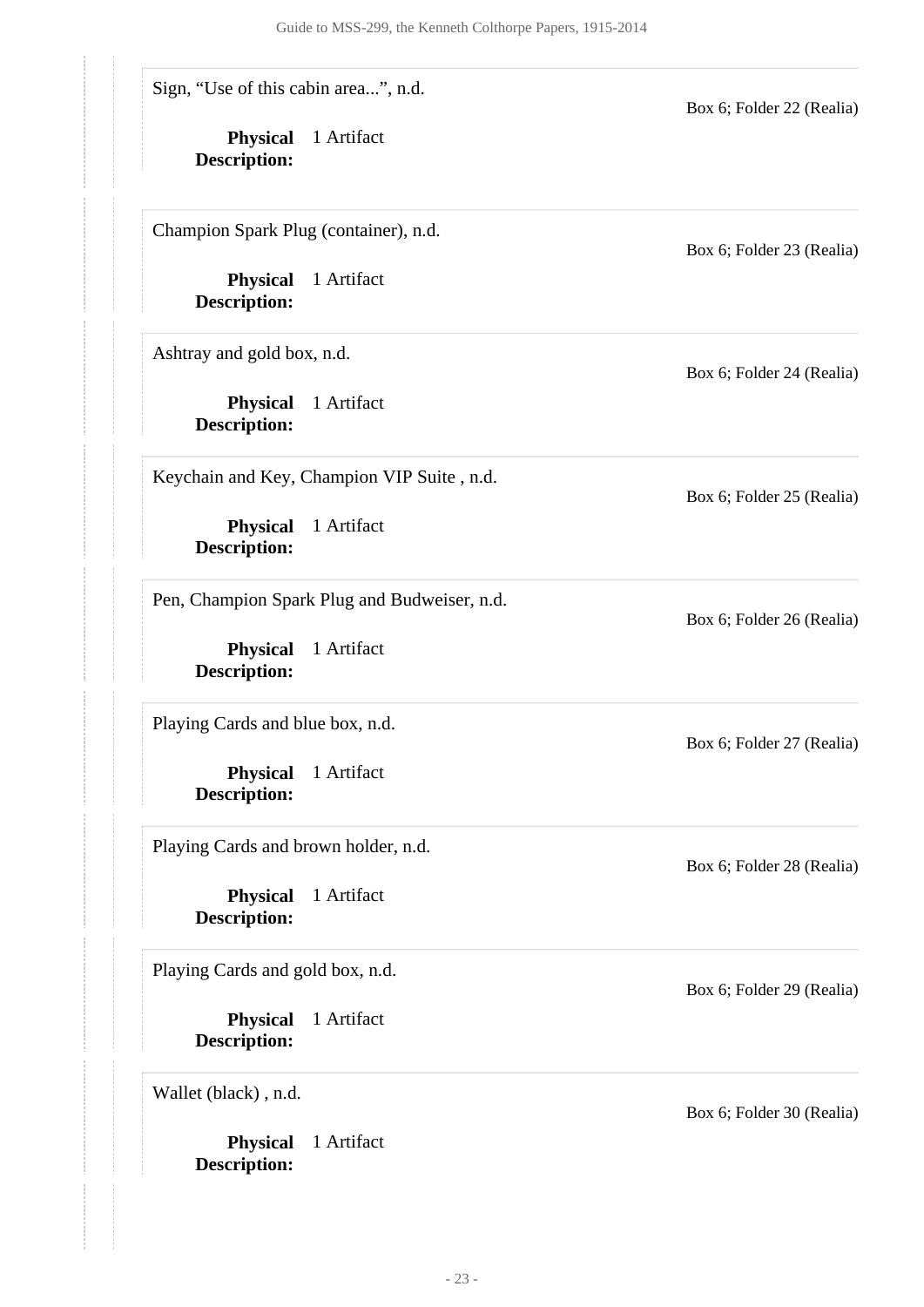Sign, "Use of this cabin area...", n.d.

**Physical** 1 Artifact **Description:**

Champion Spark Plug (container), n.d.

**Physical** 1 Artifact **Description:**

Ashtray and gold box, n.d.

**Physical** 1 Artifact **Description:**

Keychain and Key, Champion VIP Suite , n.d.

**Physical** 1 Artifact **Description:**

Pen, Champion Spark Plug and Budweiser, n.d.

**Physical** 1 Artifact **Description:**

Playing Cards and blue box, n.d.

**Physical** 1 Artifact **Description:**

Playing Cards and brown holder, n.d.

**Physical** 1 Artifact **Description:**

Playing Cards and gold box, n.d.

**Physical** 1 Artifact **Description:**

Wallet (black) , n.d.

**Physical** 1 Artifact **Description:**

Box 6; Folder 23 (Realia)

Box 6; Folder 22 (Realia)

Box 6; Folder 24 (Realia)

Box 6; Folder 25 (Realia)

Box 6; Folder 26 (Realia)

Box 6; Folder 27 (Realia)

Box 6; Folder 28 (Realia)

Box 6; Folder 29 (Realia)

Box 6; Folder 30 (Realia)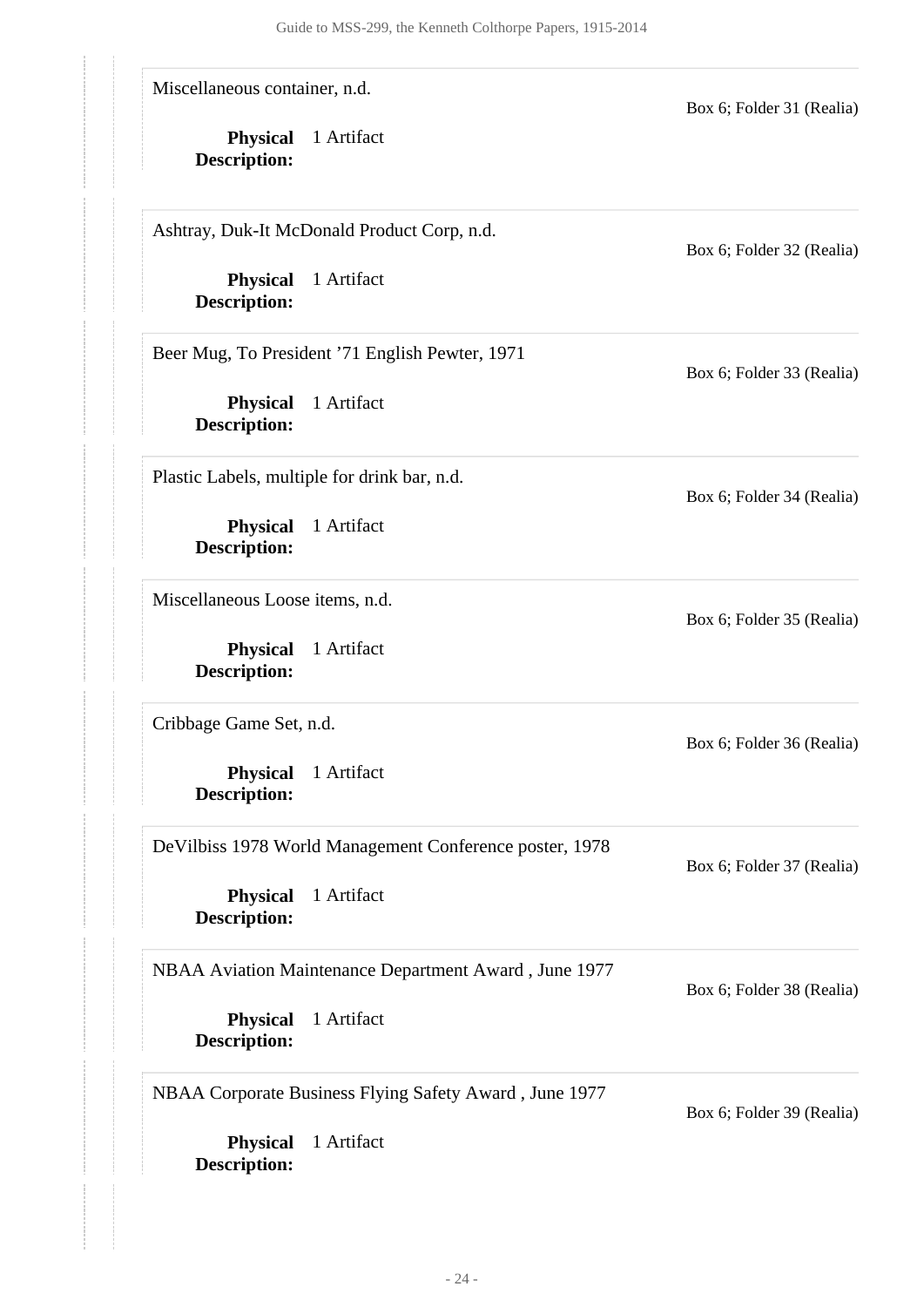Miscellaneous container, n.d.

**Physical** 1 Artifact **Description:**

Ashtray, Duk-It McDonald Product Corp, n.d.

**Physical** 1 Artifact **Description:**

Beer Mug, To President '71 English Pewter, 1971

**Physical** 1 Artifact **Description:**

Plastic Labels, multiple for drink bar, n.d.

**Physical** 1 Artifact **Description:**

Miscellaneous Loose items, n.d.

**Physical** 1 Artifact **Description:**

Cribbage Game Set, n.d.

**Physical** 1 Artifact **Description:**

DeVilbiss 1978 World Management Conference poster, 1978

**Physical** 1 Artifact **Description:**

#### NBAA Aviation Maintenance Department Award , June 1977

Box 6; Folder 38 (Realia)

Box 6; Folder 31 (Realia)

Box 6; Folder 32 (Realia)

Box 6; Folder 33 (Realia)

Box 6; Folder 34 (Realia)

Box 6; Folder 35 (Realia)

Box 6; Folder 36 (Realia)

Box 6; Folder 37 (Realia)

**Physical** 1 Artifact **Description:**

NBAA Corporate Business Flying Safety Award , June 1977

Box 6; Folder 39 (Realia)

**Physical** 1 Artifact **Description:**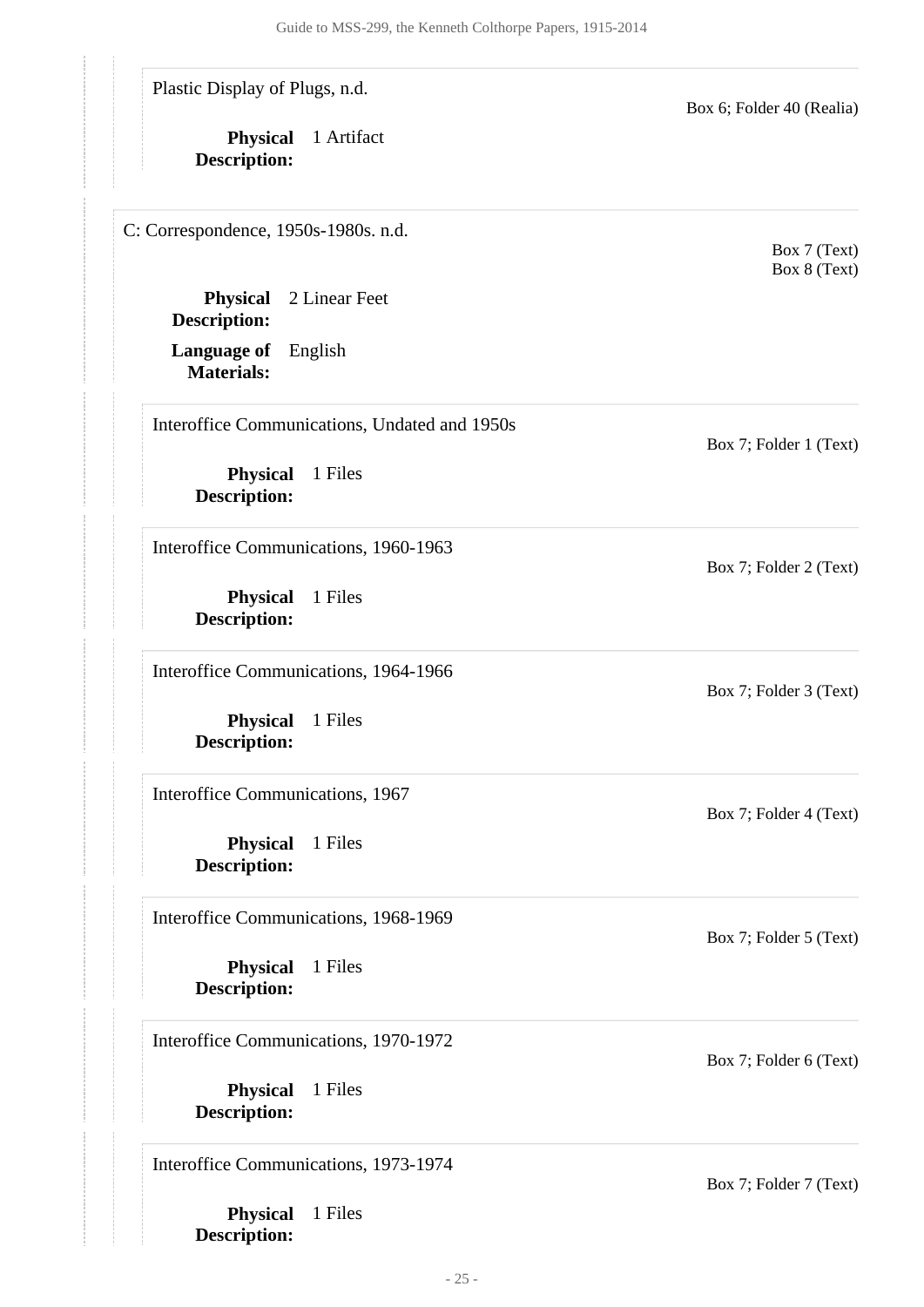Plastic Display of Plugs, n.d.

**Physical** 1 Artifact **Description:**

<span id="page-24-0"></span>C: Correspondence, 1950s-1980s. n.d.

**Physical** 2 Linear Feet **Description:**

**Language of** English **Materials:**

Interoffice Communications, Undated and 1950s

**Physical** 1 Files **Description:**

Interoffice Communications, 1960-1963

**Physical** 1 Files **Description:**

Interoffice Communications, 1964-1966

**Physical** 1 Files **Description:**

Interoffice Communications, 1967

**Physical** 1 Files **Description:**

Interoffice Communications, 1968-1969

**Physical** 1 Files **Description:**

Interoffice Communications, 1970-1972

**Physical** 1 Files **Description:**

Interoffice Communications, 1973-1974

**Physical** 1 Files **Description:**

Box 6; Folder 40 (Realia)

Box 7 (Text) Box 8 (Text)

Box 7; Folder 2 (Text)

Box 7; Folder 1 (Text)

Box 7; Folder 3 (Text)

Box 7; Folder 4 (Text)

Box 7; Folder 5 (Text)

Box 7; Folder 6 (Text)

Box 7; Folder 7 (Text)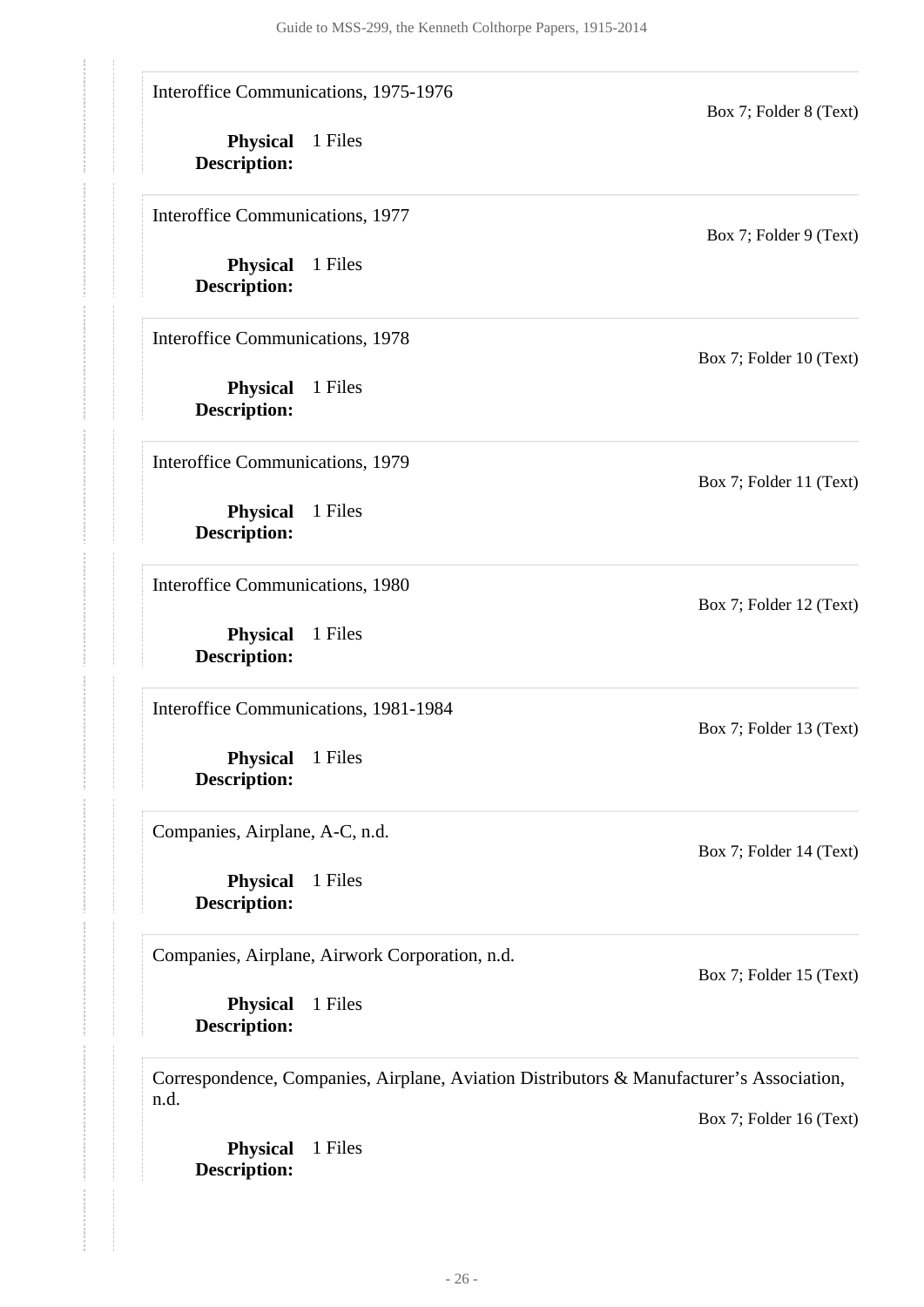Interoffice Communications, 1975-1976

**Physical** 1 Files **Description:**

Interoffice Communications, 1977

**Physical** 1 Files **Description:**

Interoffice Communications, 1978

**Physical** 1 Files **Description:**

Interoffice Communications, 1979

**Physical** 1 Files **Description:**

Interoffice Communications, 1980

**Physical** 1 Files **Description:**

Interoffice Communications, 1981-1984

**Physical** 1 Files **Description:**

Companies, Airplane, A-C, n.d.

**Physical** 1 Files **Description:**

Companies, Airplane, Airwork Corporation, n.d.

**Physical** 1 Files **Description:**

Correspondence, Companies, Airplane, Aviation Distributors & Manufacturer's Association, n.d.

Box 7; Folder 16 (Text)

**Physical** 1 Files **Description:**

Box 7; Folder 8 (Text)

Box 7; Folder 9 (Text)

Box 7; Folder 10 (Text)

Box 7; Folder 11 (Text)

Box 7; Folder 12 (Text)

Box 7; Folder 13 (Text)

Box 7; Folder 15 (Text)

Box 7; Folder 14 (Text)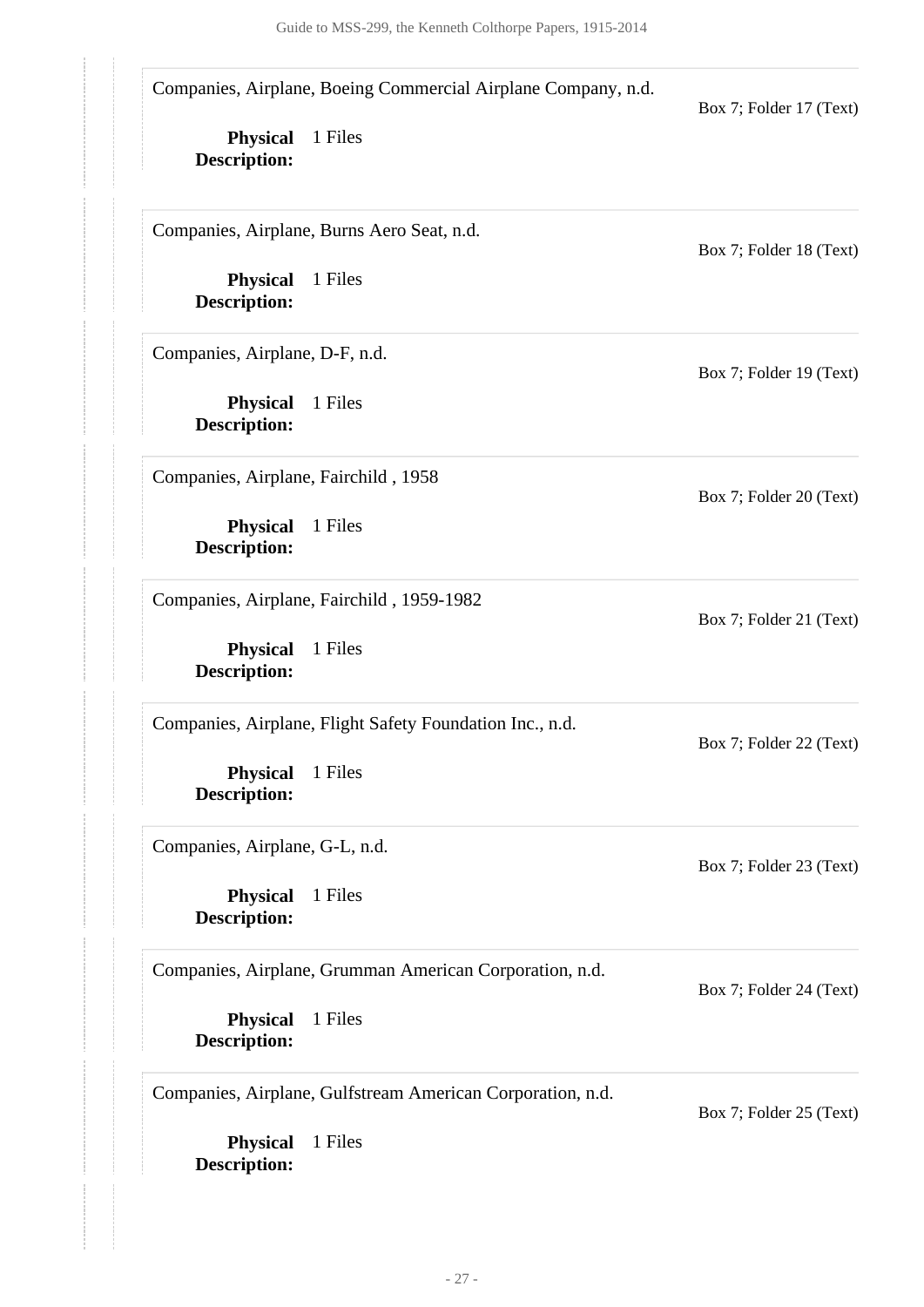Companies, Airplane, Boeing Commercial Airplane Company, n.d.

**Physical** 1 Files **Description:**

Companies, Airplane, Burns Aero Seat, n.d.

**Physical** 1 Files **Description:**

Companies, Airplane, D-F, n.d.

**Physical** 1 Files **Description:**

Companies, Airplane, Fairchild , 1958

**Physical** 1 Files **Description:**

Companies, Airplane, Fairchild , 1959-1982

**Physical** 1 Files **Description:**

Companies, Airplane, Flight Safety Foundation Inc., n.d.

**Physical** 1 Files **Description:**

Companies, Airplane, G-L, n.d.

**Physical** 1 Files **Description:**

Companies, Airplane, Grumman American Corporation, n.d.

**Physical** 1 Files

Companies, Airplane, Gulfstream American Corporation, n.d.

Box 7; Folder 25 (Text)

Box 7; Folder 24 (Text)

**Physical** 1 Files **Description:**

**Description:**

Box 7; Folder 17 (Text)

Box 7; Folder 18 (Text)

Box 7; Folder 19 (Text)

Box 7; Folder 20 (Text)

Box 7; Folder 21 (Text)

Box 7; Folder 22 (Text)

Box 7; Folder 23 (Text)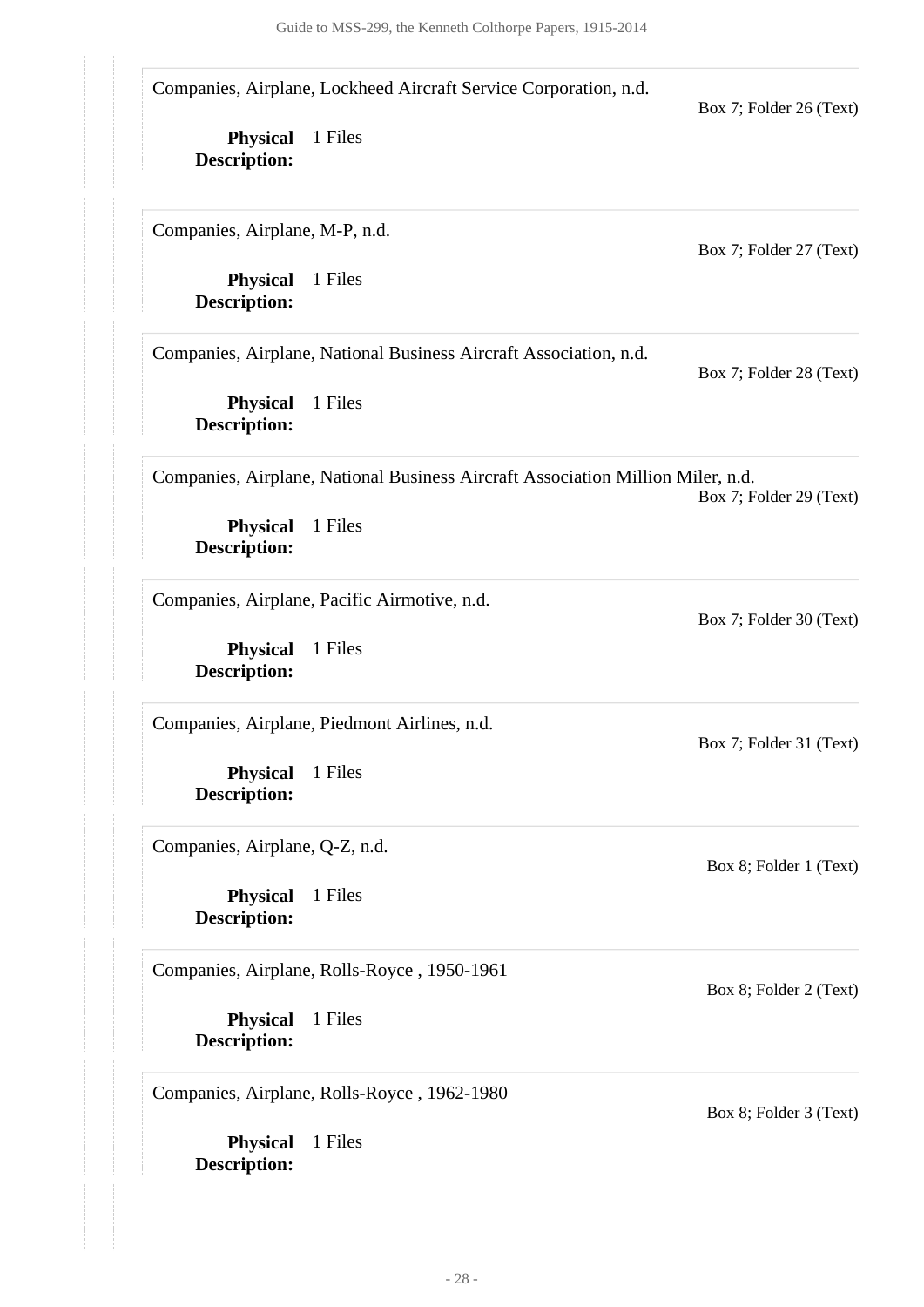Companies, Airplane, Lockheed Aircraft Service Corporation, n.d.

**Physical** 1 Files **Description:**

Companies, Airplane, M-P, n.d.

**Physical** 1 Files **Description:**

Companies, Airplane, National Business Aircraft Association, n.d.

**Physical** 1 Files **Description:**

Box 7; Folder 28 (Text)

Box 7; Folder 30 (Text)

Box 7; Folder 31 (Text)

Box 8; Folder 1 (Text)

Box 8; Folder 2 (Text)

Box 8; Folder 3 (Text)

Box 7; Folder 26 (Text)

Box 7; Folder 27 (Text)

Companies, Airplane, National Business Aircraft Association Million Miler, n.d. Box 7; Folder 29 (Text)

**Physical** 1 Files **Description:**

Companies, Airplane, Pacific Airmotive, n.d.

**Physical** 1 Files **Description:**

Companies, Airplane, Piedmont Airlines, n.d.

**Physical** 1 Files **Description:**

Companies, Airplane, Q-Z, n.d.

**Physical** 1 Files **Description:**

Companies, Airplane, Rolls-Royce , 1950-1961

**Physical** 1 Files **Description:**

Companies, Airplane, Rolls-Royce , 1962-1980

**Physical** 1 Files **Description:**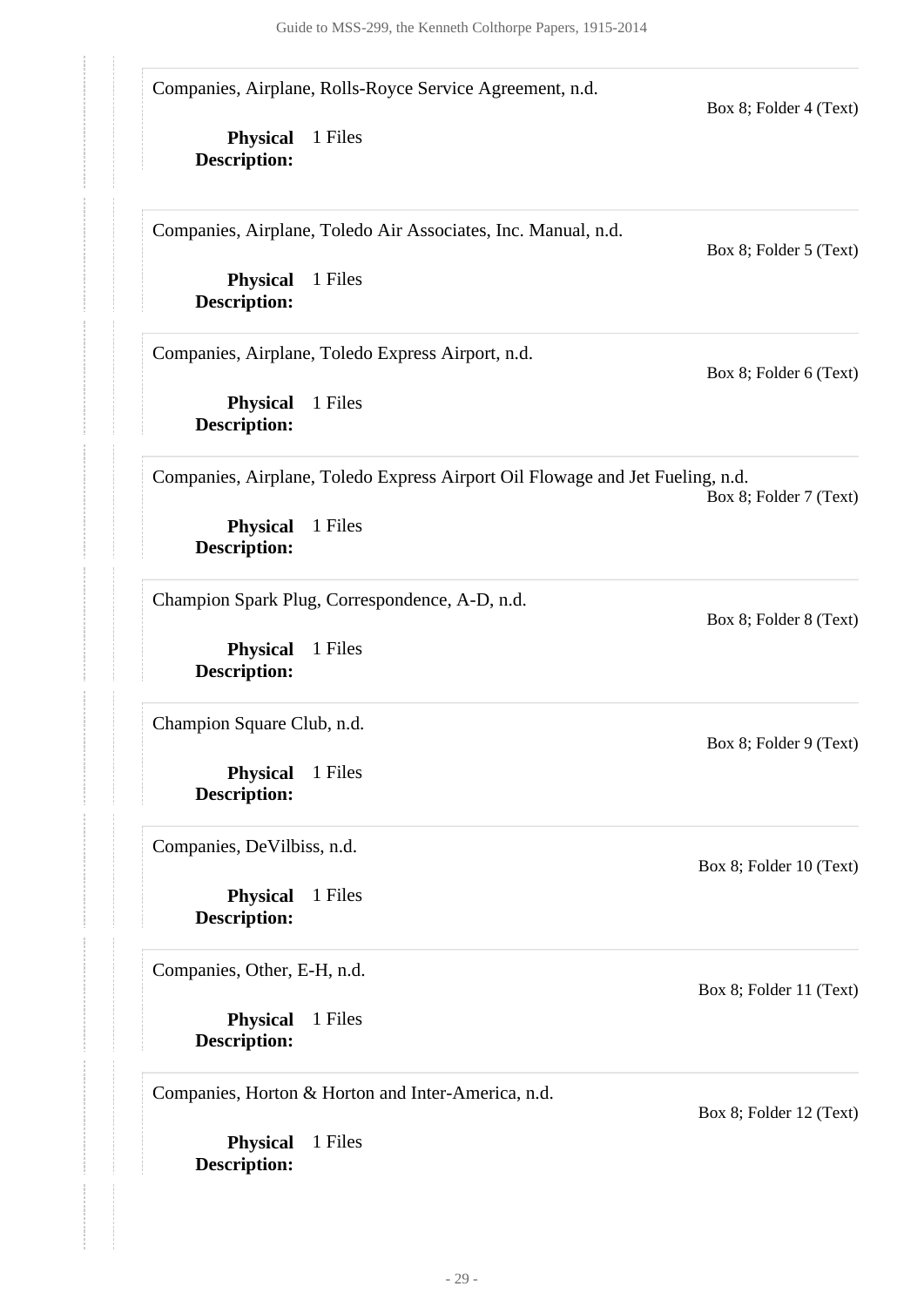Companies, Airplane, Rolls-Royce Service Agreement, n.d.

**Physical** 1 Files **Description:**

Companies, Airplane, Toledo Air Associates, Inc. Manual, n.d.

**Physical** 1 Files **Description:**

Companies, Airplane, Toledo Express Airport, n.d.

**Physical** 1 Files **Description:**

Companies, Airplane, Toledo Express Airport Oil Flowage and Jet Fueling, n.d.

Box 8; Folder 7 (Text)

Box 8; Folder 8 (Text)

Box 8; Folder 9 (Text)

Box 8; Folder 10 (Text)

Box 8; Folder 11 (Text)

Box 8; Folder 4 (Text)

Box 8; Folder 5 (Text)

Box 8; Folder 6 (Text)

**Physical** 1 Files **Description:**

Champion Spark Plug, Correspondence, A-D, n.d.

**Physical** 1 Files **Description:**

Champion Square Club, n.d.

**Physical** 1 Files **Description:**

Companies, DeVilbiss, n.d.

**Physical** 1 Files **Description:**

Companies, Other, E-H, n.d.

**Physical** 1 Files **Description:**

Companies, Horton & Horton and Inter-America, n.d.

**Physical** 1 Files **Description:**

Box 8; Folder 12 (Text)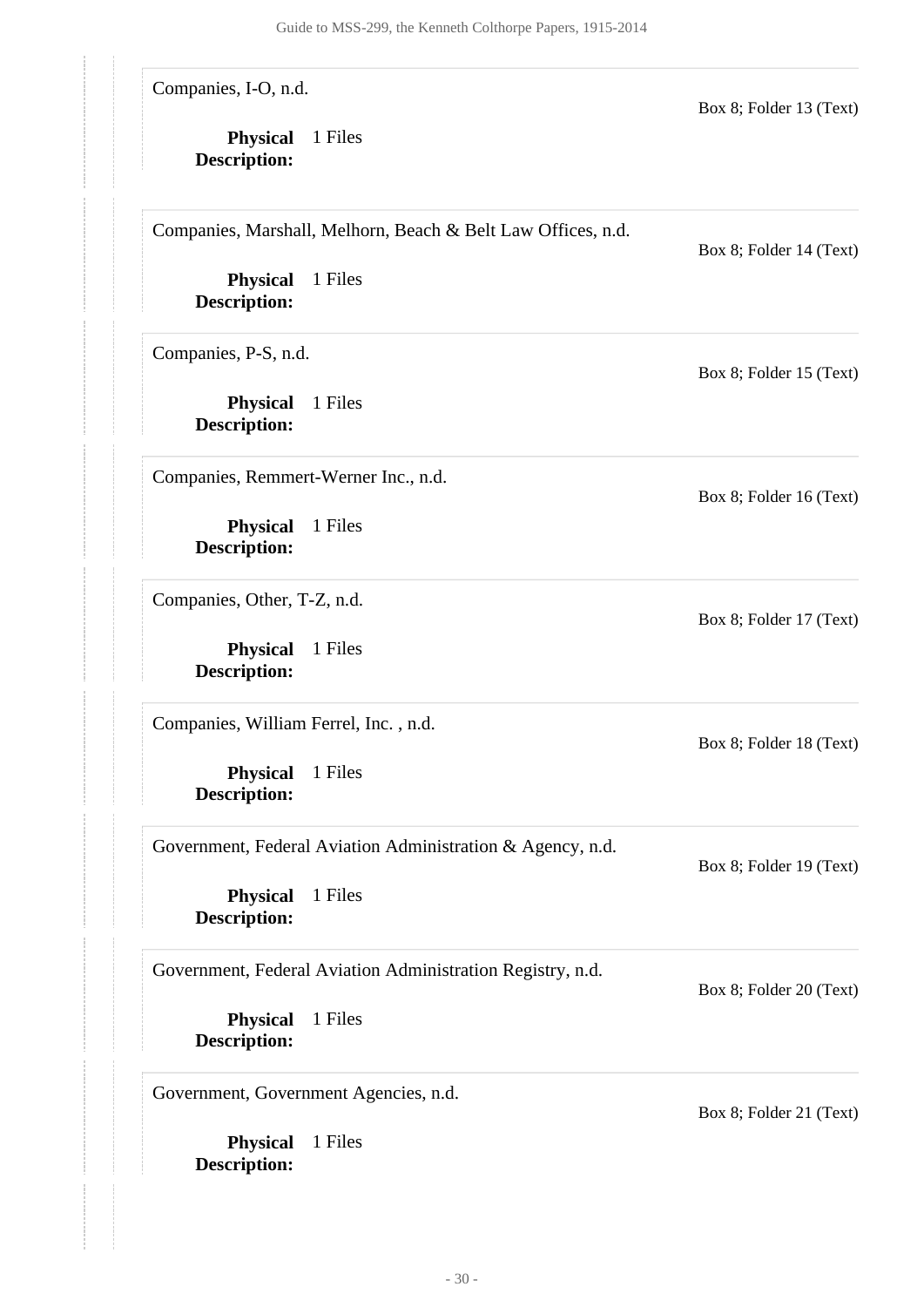Companies, I-O, n.d.

**Physical** 1 Files **Description:**

Companies, Marshall, Melhorn, Beach & Belt Law Offices, n.d.

Box 8; Folder 14 (Text)

Box 8; Folder 15 (Text)

Box 8; Folder 16 (Text)

Box 8; Folder 17 (Text)

Box 8; Folder 18 (Text)

Box 8; Folder 19 (Text)

Box 8; Folder 13 (Text)

**Physical** 1 Files **Description:**

Companies, P-S, n.d.

**Physical** 1 Files **Description:**

Companies, Remmert-Werner Inc., n.d.

**Physical** 1 Files **Description:**

Companies, Other, T-Z, n.d.

**Physical** 1 Files **Description:**

Companies, William Ferrel, Inc. , n.d.

**Physical** 1 Files **Description:**

Government, Federal Aviation Administration & Agency, n.d.

**Physical** 1 Files **Description:**

Government, Federal Aviation Administration Registry, n.d.

Box 8; Folder 20 (Text)

Box 8; Folder 21 (Text)

**Physical** 1 Files **Description:**

Government, Government Agencies, n.d.

**Physical** 1 Files **Description:**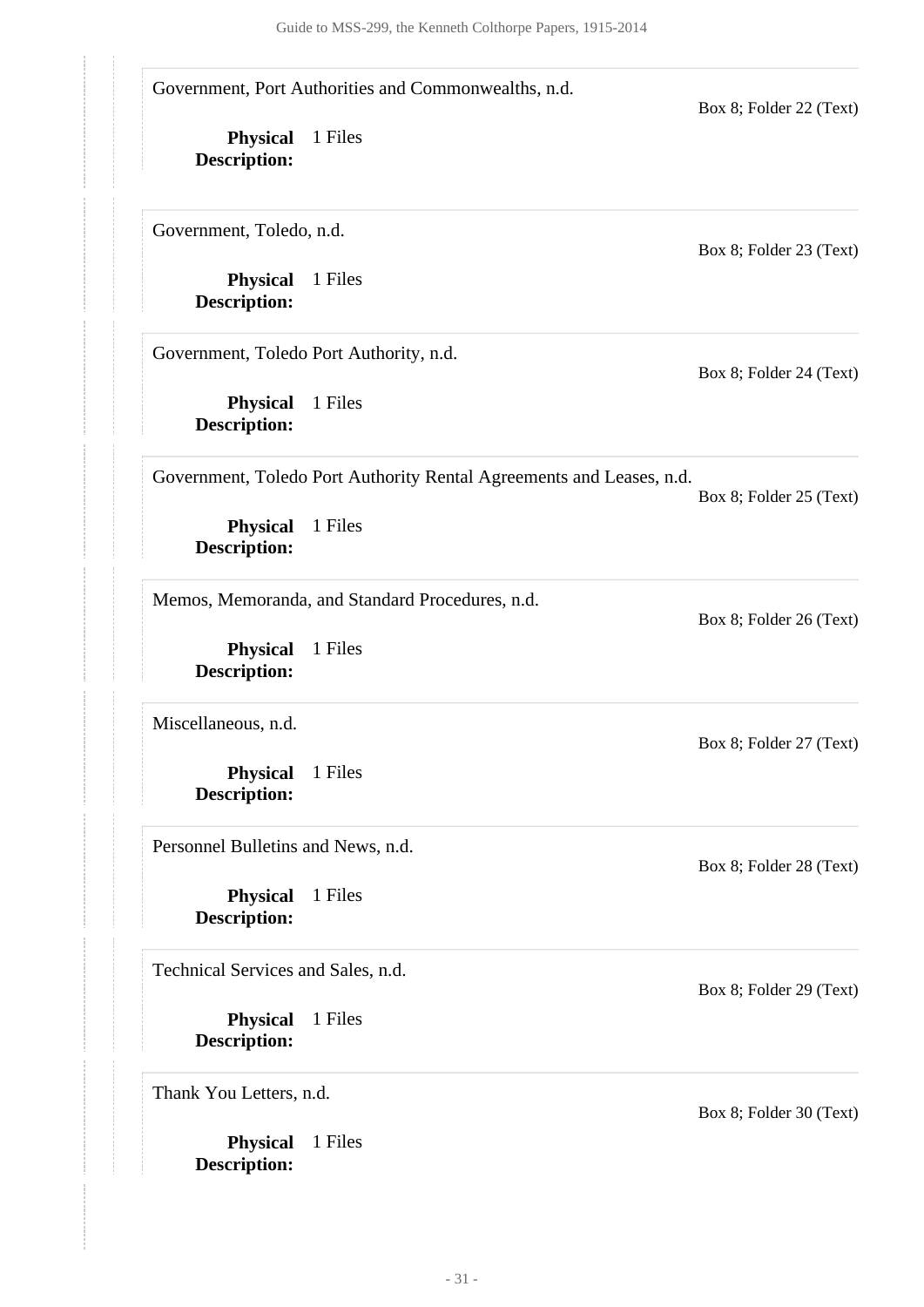**Physical** 1 Files **Description: Physical** 1 Files **Description: Physical** 1 Files **Description: Physical** 1 Files **Description: Physical** 1 Files **Description: Physical** 1 Files **Description: Physical** 1 Files **Description: Physical** 1 Files **Description: Physical** 1 Files **Description:** Government, Port Authorities and Commonwealths, n.d. Box 8; Folder 22 (Text) Government, Toledo, n.d. Box 8; Folder 23 (Text) Government, Toledo Port Authority, n.d. Box 8; Folder 24 (Text) Government, Toledo Port Authority Rental Agreements and Leases, n.d. Box 8; Folder 25 (Text) Memos, Memoranda, and Standard Procedures, n.d. Box 8; Folder 26 (Text) Miscellaneous, n.d. Box 8; Folder 27 (Text) Personnel Bulletins and News, n.d. Box 8; Folder 28 (Text) Technical Services and Sales, n.d. Box 8; Folder 29 (Text) Thank You Letters, n.d. Box 8; Folder 30 (Text)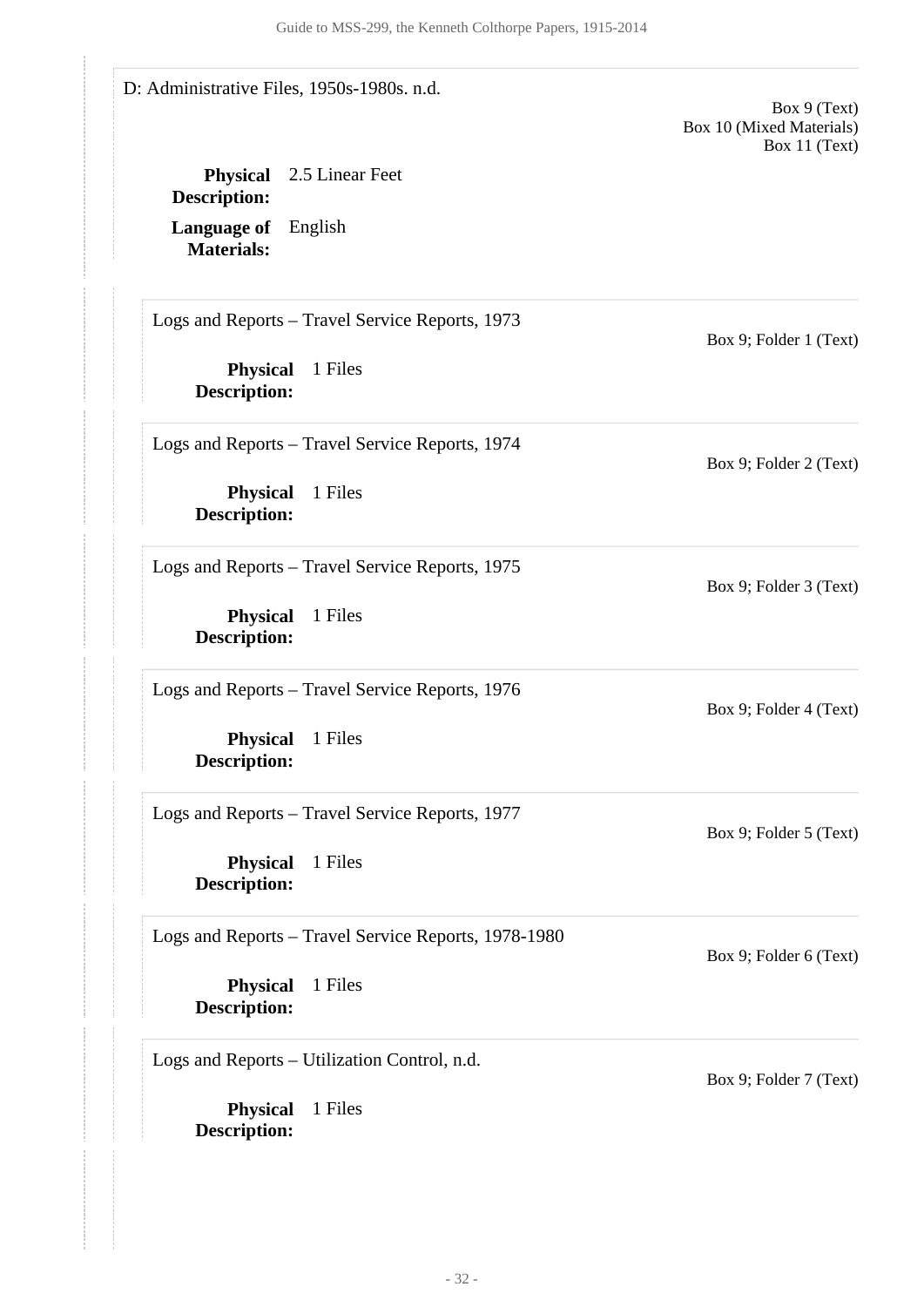<span id="page-31-0"></span>**Physical** 1 Files **Description: Physical** 1 Files **Description: Physical** 1 Files **Description: Physical** 1 Files **Description: Physical** 1 Files **Description: Physical** 1 Files **Description: Physical** 1 Files **Description: Language of** English **Materials: Physical** 2.5 Linear Feet **Description:** D: Administrative Files, 1950s-1980s. n.d. Box 9 (Text) Box 10 (Mixed Materials) Box 11 (Text) Logs and Reports – Travel Service Reports, 1973 Box 9; Folder 1 (Text) Logs and Reports – Travel Service Reports, 1974 Box 9; Folder 2 (Text) Logs and Reports – Travel Service Reports, 1975 Box 9; Folder 3 (Text) Logs and Reports – Travel Service Reports, 1976 Box 9; Folder 4 (Text) Logs and Reports – Travel Service Reports, 1977 Box 9; Folder 5 (Text) Logs and Reports – Travel Service Reports, 1978-1980 Box 9; Folder 6 (Text) Logs and Reports – Utilization Control, n.d. Box 9; Folder 7 (Text)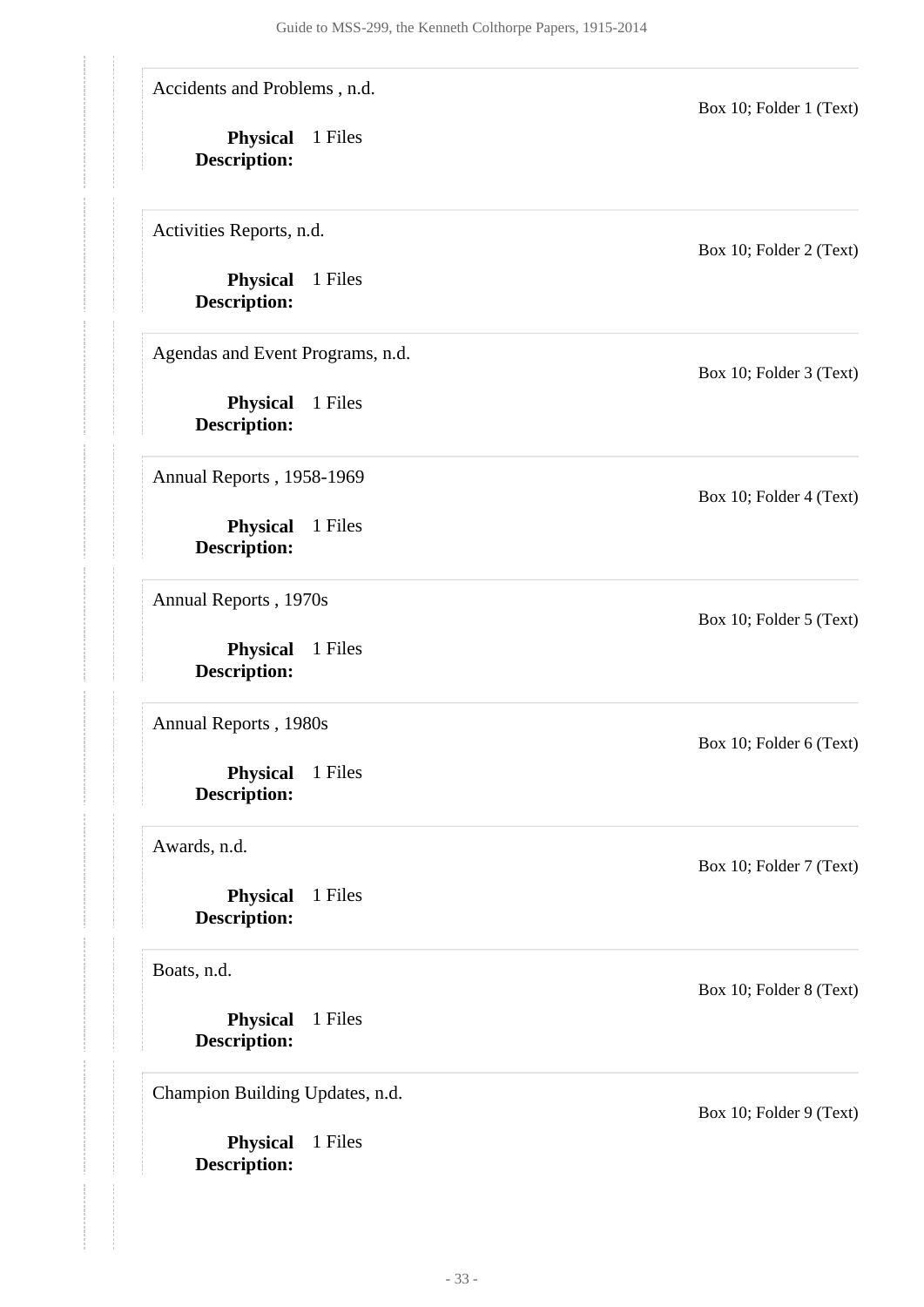Accidents and Problems , n.d.

**Physical** 1 Files **Description:**

Activities Reports, n.d.

**Physical** 1 Files **Description:**

Agendas and Event Programs, n.d.

**Physical** 1 Files **Description:**

Annual Reports , 1958-1969

**Physical** 1 Files **Description:**

Annual Reports , 1970s

**Physical** 1 Files **Description:**

Annual Reports , 1980s

**Physical** 1 Files **Description:**

Awards, n.d.

**Physical** 1 Files **Description:**

Boats, n.d.

**Physical** 1 Files **Description:**

Champion Building Updates, n.d.

**Physical** 1 Files **Description:**

Box 10; Folder 2 (Text)

Box 10; Folder 1 (Text)

Box 10; Folder 3 (Text)

Box 10; Folder 4 (Text)

Box 10; Folder 5 (Text)

Box 10; Folder 6 (Text)

Box 10; Folder 7 (Text)

Box 10; Folder 8 (Text)

Box 10; Folder 9 (Text)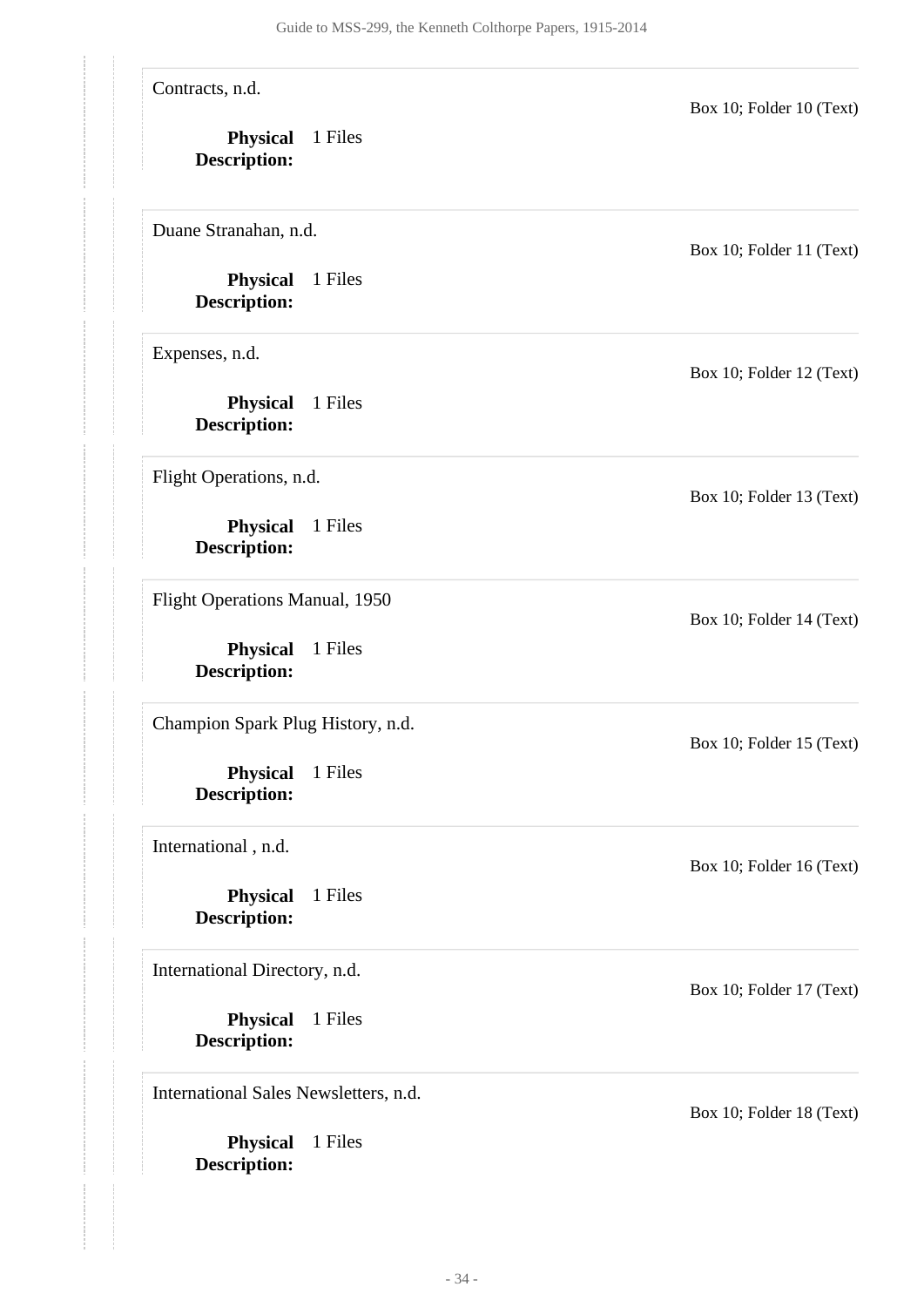**Physical** 1 Files **Description: Physical** 1 Files **Description: Physical** 1 Files **Description: Physical** 1 Files **Description: Physical** 1 Files **Description: Physical** 1 Files **Description: Physical** 1 Files **Description: Physical** 1 Files **Description: Physical** 1 Files **Description:** Contracts, n.d. Box 10; Folder 10 (Text) Duane Stranahan, n.d. Box 10; Folder 11 (Text) Expenses, n.d. Box 10; Folder 12 (Text) Flight Operations, n.d. Box 10; Folder 13 (Text) Flight Operations Manual, 1950 Box 10; Folder 14 (Text) Champion Spark Plug History, n.d. Box 10; Folder 15 (Text) International , n.d. Box 10; Folder 16 (Text) International Directory, n.d. Box 10; Folder 17 (Text) International Sales Newsletters, n.d. Box 10; Folder 18 (Text)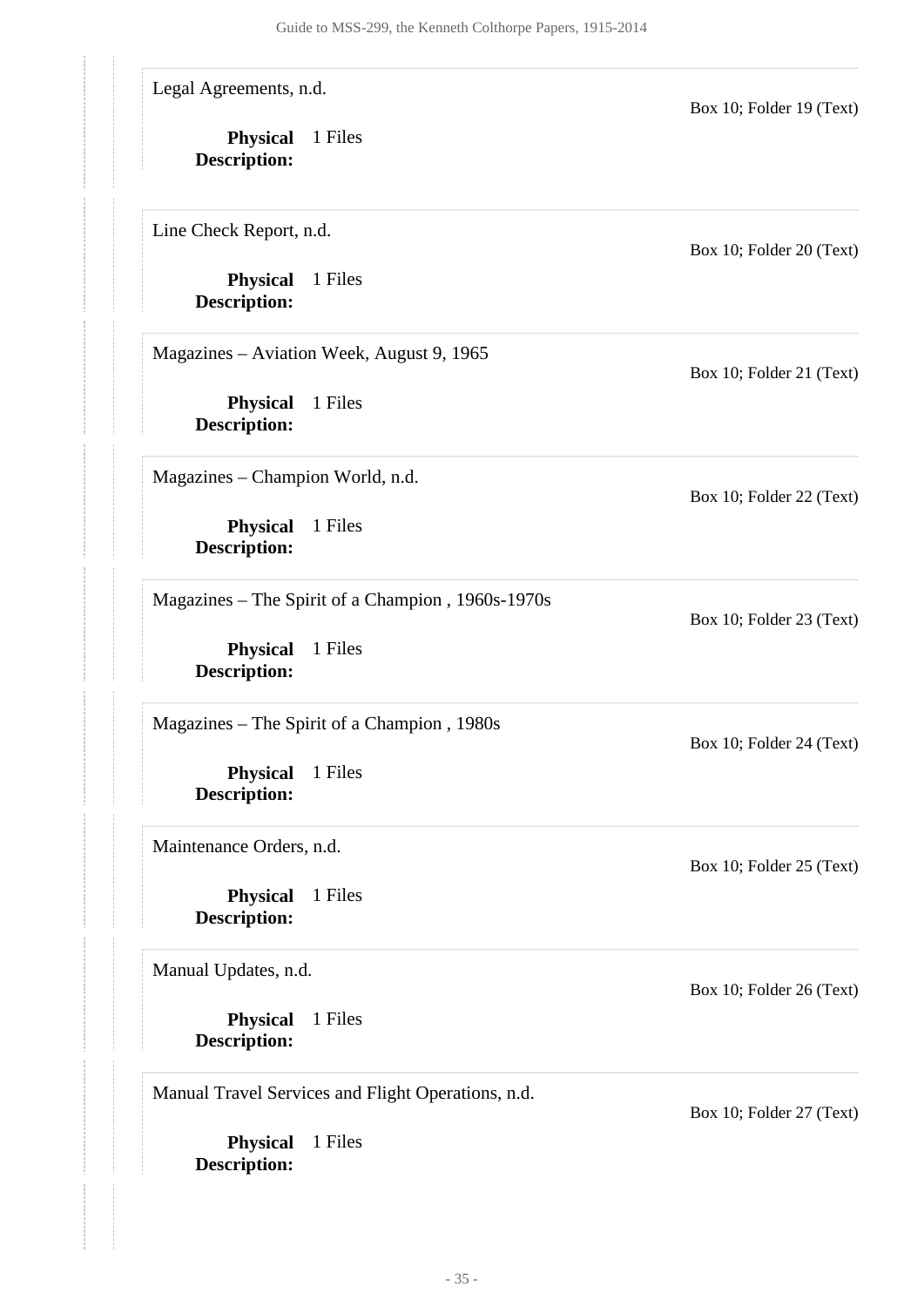Legal Agreements, n.d.

**Physical** 1 Files **Description:**

Line Check Report, n.d.

**Physical** 1 Files **Description:**

Magazines – Aviation Week, August 9, 1965

**Physical** 1 Files **Description:**

Magazines – Champion World, n.d.

**Physical** 1 Files **Description:**

Magazines – The Spirit of a Champion , 1960s-1970s

**Physical** 1 Files **Description:**

Magazines – The Spirit of a Champion , 1980s

**Physical** 1 Files **Description:**

Maintenance Orders, n.d.

**Physical** 1 Files **Description:**

Manual Updates, n.d.

**Physical** 1 Files **Description:**

Manual Travel Services and Flight Operations, n.d.

**Physical** 1 Files **Description:**

Box 10; Folder 20 (Text)

Box 10; Folder 19 (Text)

Box 10; Folder 21 (Text)

Box 10; Folder 22 (Text)

Box 10; Folder 23 (Text)

Box 10; Folder 24 (Text)

Box 10; Folder 25 (Text)

Box 10; Folder 26 (Text)

Box 10; Folder 27 (Text)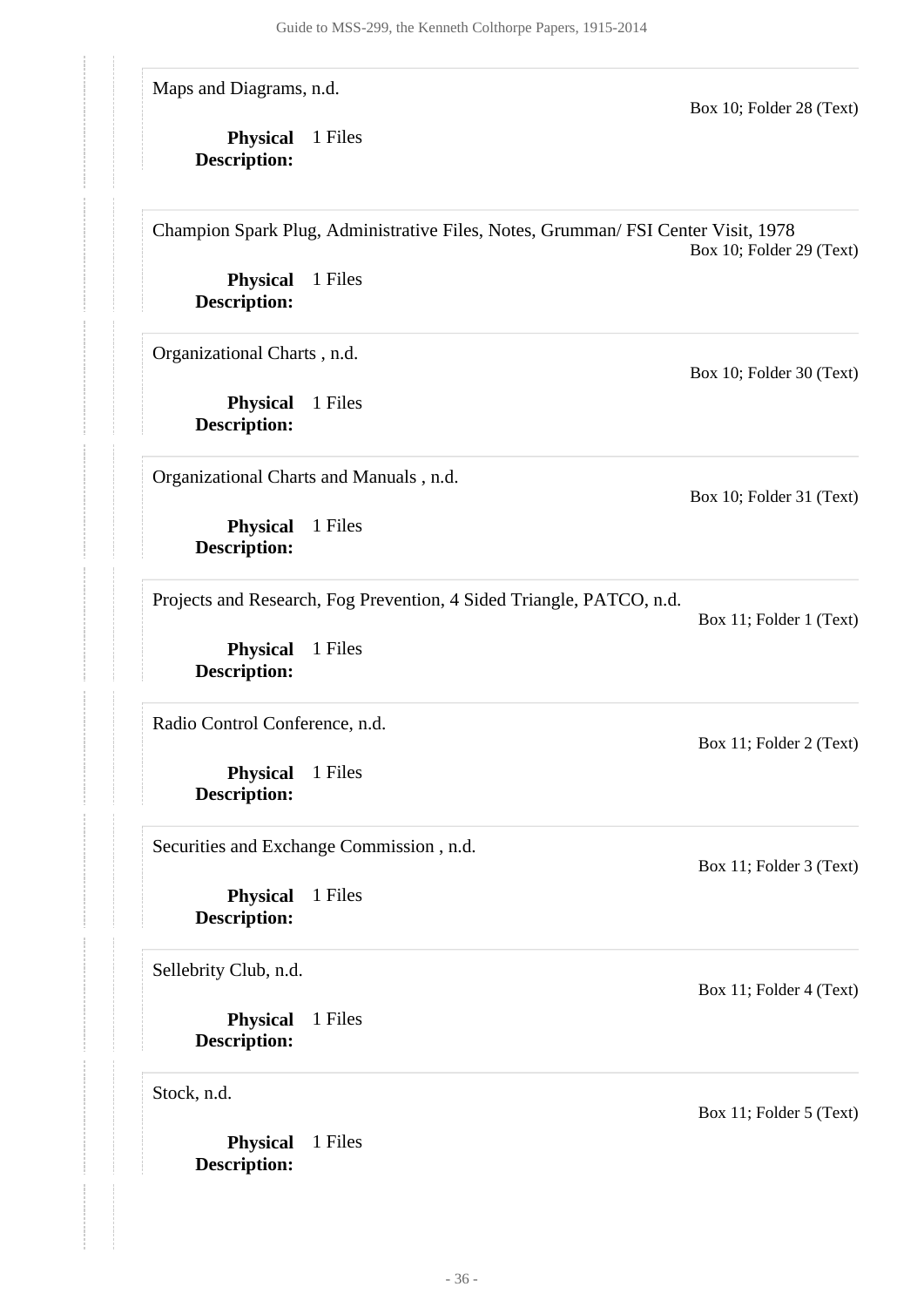Maps and Diagrams, n.d.

**Physical** 1 Files **Description:**

Box 10; Folder 28 (Text)

Box 10; Folder 30 (Text)

Box 10; Folder 31 (Text)

Box 11; Folder 1 (Text)

Box 11; Folder 2 (Text)

Box 11; Folder 3 (Text)

Box 11; Folder 4 (Text)

Champion Spark Plug, Administrative Files, Notes, Grumman/ FSI Center Visit, 1978 Box 10; Folder 29 (Text)

**Physical** 1 Files **Description:**

Organizational Charts , n.d.

**Physical** 1 Files **Description:**

Organizational Charts and Manuals , n.d.

**Physical** 1 Files **Description:**

Projects and Research, Fog Prevention, 4 Sided Triangle, PATCO, n.d.

**Physical** 1 Files **Description:**

Radio Control Conference, n.d.

**Physical** 1 Files **Description:**

Securities and Exchange Commission , n.d.

**Physical** 1 Files **Description:**

Sellebrity Club, n.d.

**Physical** 1 Files **Description:**

Stock, n.d.

**Physical** 1 Files **Description:**

Box 11; Folder 5 (Text)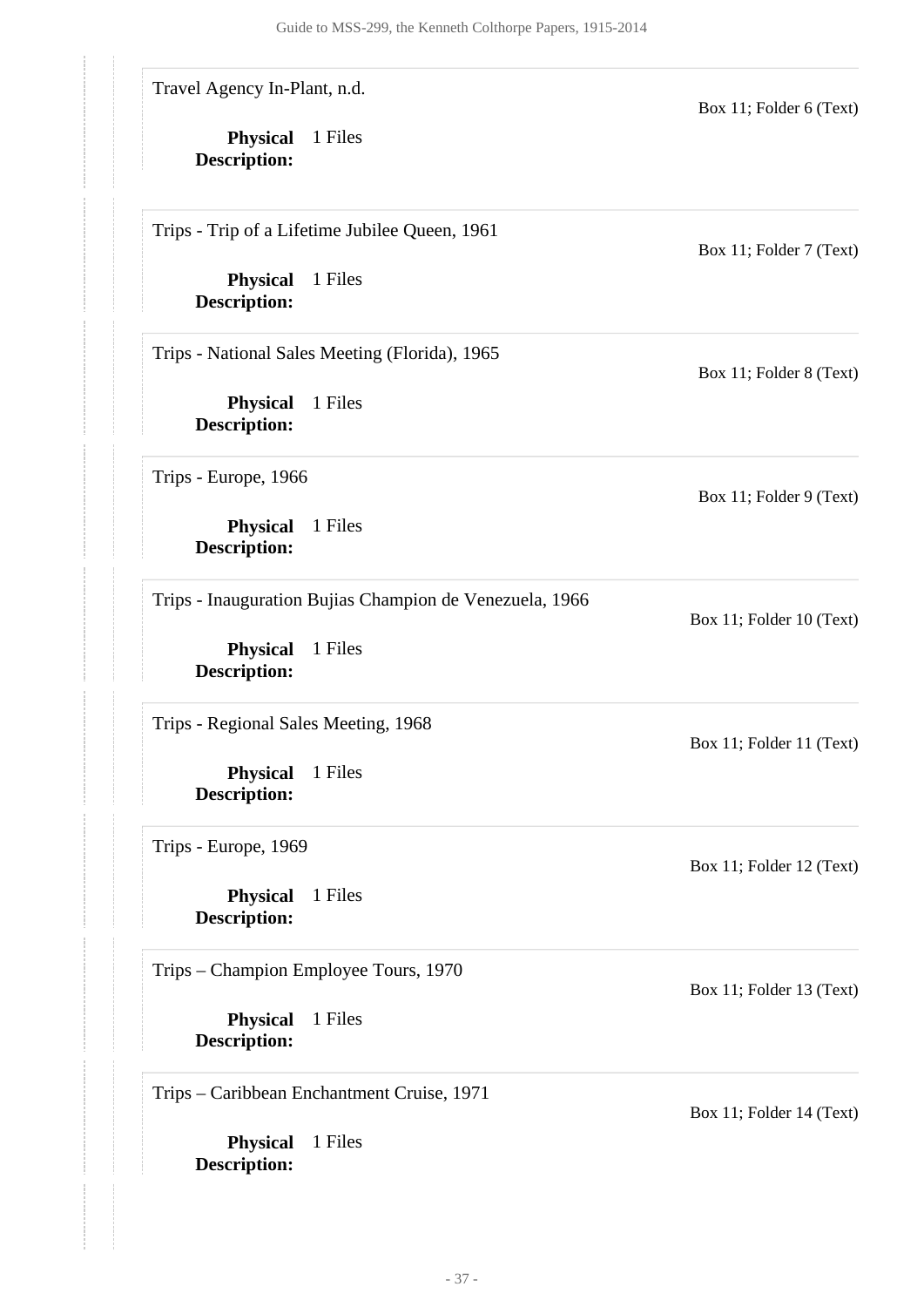Travel Agency In-Plant, n.d.

**Physical** 1 Files **Description:**

Trips - Trip of a Lifetime Jubilee Queen, 1961

**Physical** 1 Files **Description:**

Trips - National Sales Meeting (Florida), 1965

**Physical** 1 Files **Description:**

Trips - Europe, 1966

**Physical** 1 Files **Description:**

Trips - Inauguration Bujias Champion de Venezuela, 1966

**Physical** 1 Files **Description:**

Trips - Regional Sales Meeting, 1968

**Physical** 1 Files **Description:**

Trips - Europe, 1969

**Physical** 1 Files **Description:**

Trips – Champion Employee Tours, 1970

**Physical** 1 Files **Description:**

Trips – Caribbean Enchantment Cruise, 1971

**Physical** 1 Files **Description:**

Box 11; Folder 7 (Text)

Box 11; Folder 6 (Text)

Box 11; Folder 8 (Text)

Box 11; Folder 9 (Text)

Box 11; Folder 11 (Text)

Box 11; Folder 10 (Text)

Box 11; Folder 12 (Text)

Box 11; Folder 13 (Text)

Box 11; Folder 14 (Text)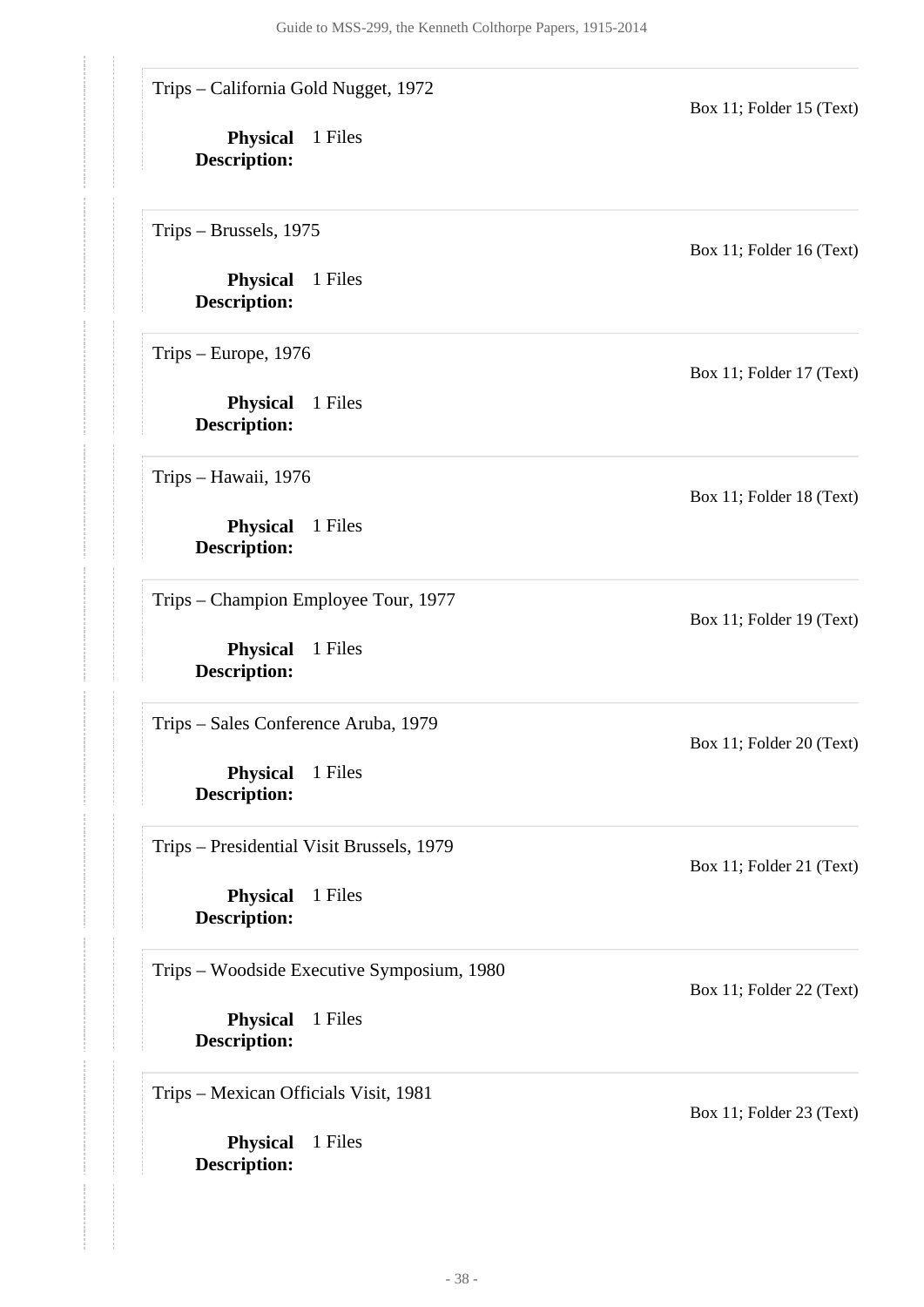Trips – California Gold Nugget, 1972

**Physical** 1 Files **Description:**

Trips – Brussels, 1975

**Physical** 1 Files **Description:**

Trips – Europe, 1976

**Physical** 1 Files **Description:**

Trips – Hawaii, 1976

**Physical** 1 Files **Description:**

Trips – Champion Employee Tour, 1977

**Physical** 1 Files **Description:**

Trips – Sales Conference Aruba, 1979

**Physical** 1 Files **Description:**

Trips – Presidential Visit Brussels, 1979

**Physical** 1 Files **Description:**

Trips – Woodside Executive Symposium, 1980

**Physical** 1 Files **Description:**

Trips – Mexican Officials Visit, 1981

**Physical** 1 Files **Description:**

Box 11; Folder 16 (Text)

Box 11; Folder 15 (Text)

Box 11; Folder 17 (Text)

Box 11; Folder 18 (Text)

Box 11; Folder 19 (Text)

Box 11; Folder 20 (Text)

Box 11; Folder 21 (Text)

Box 11; Folder 22 (Text)

Box 11; Folder 23 (Text)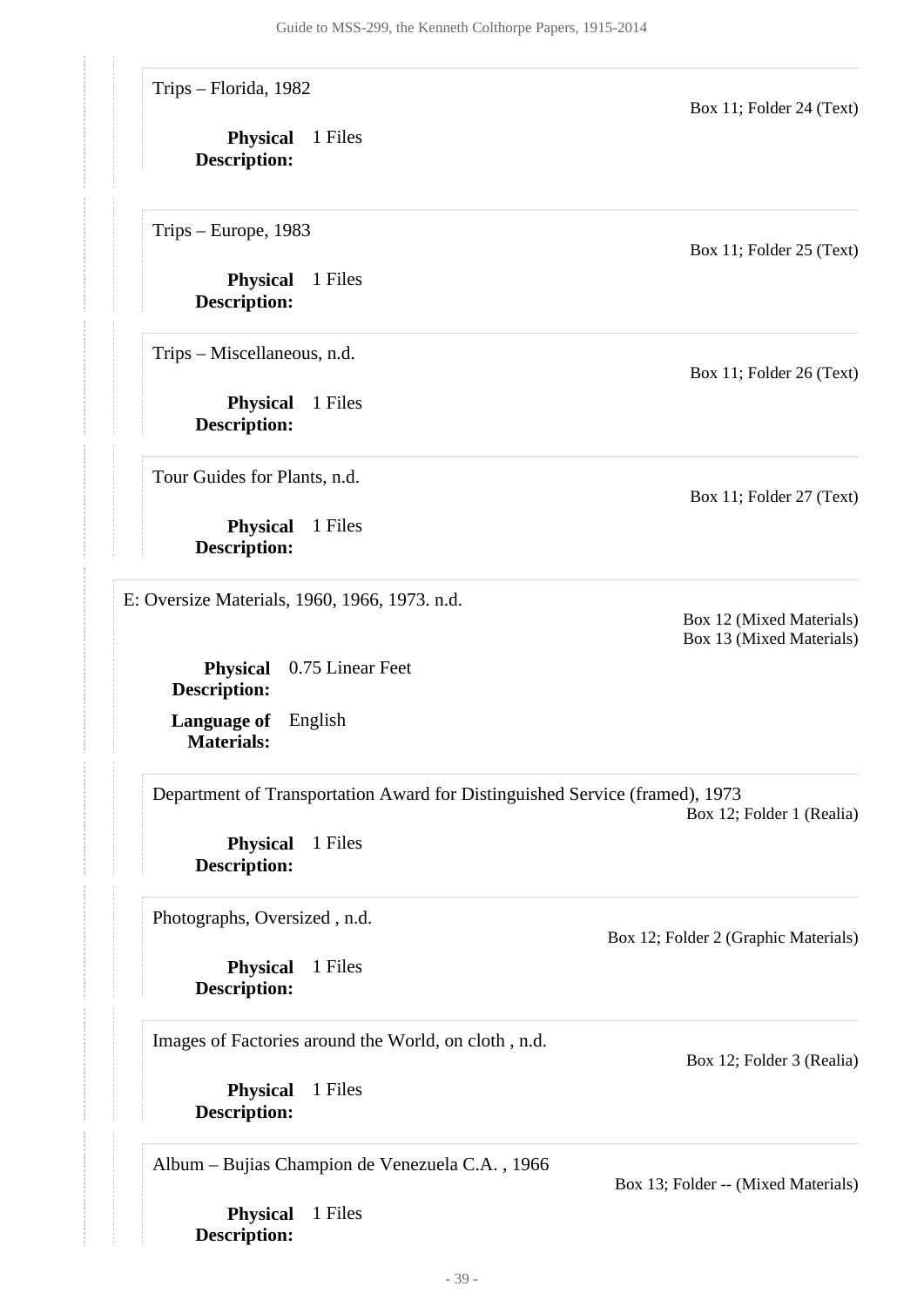Trips – Florida, 1982

**Physical** 1 Files **Description:**

Trips – Europe, 1983

**Physical** 1 Files **Description:**

Trips – Miscellaneous, n.d.

**Physical** 1 Files **Description:**

Tour Guides for Plants, n.d.

**Physical** 1 Files **Description:**

<span id="page-38-0"></span>E: Oversize Materials, 1960, 1966, 1973. n.d.

**Physical** 0.75 Linear Feet **Description:**

**Language of** English **Materials:**

Department of Transportation Award for Distinguished Service (framed), 1973

Box 12; Folder 1 (Realia)

**Physical** 1 Files **Description:**

Photographs, Oversized , n.d.

**Physical** 1 Files **Description:**

Images of Factories around the World, on cloth , n.d.

**Physical** 1 Files **Description:**

Album – Bujias Champion de Venezuela C.A. , 1966

**Physical** 1 Files **Description:**

Box 11; Folder 25 (Text)

Box 11; Folder 24 (Text)

Box 11; Folder 26 (Text)

Box 11; Folder 27 (Text)

Box 12 (Mixed Materials) Box 13 (Mixed Materials)

Box 12; Folder 2 (Graphic Materials)

Box 12; Folder 3 (Realia)

Box 13; Folder -- (Mixed Materials)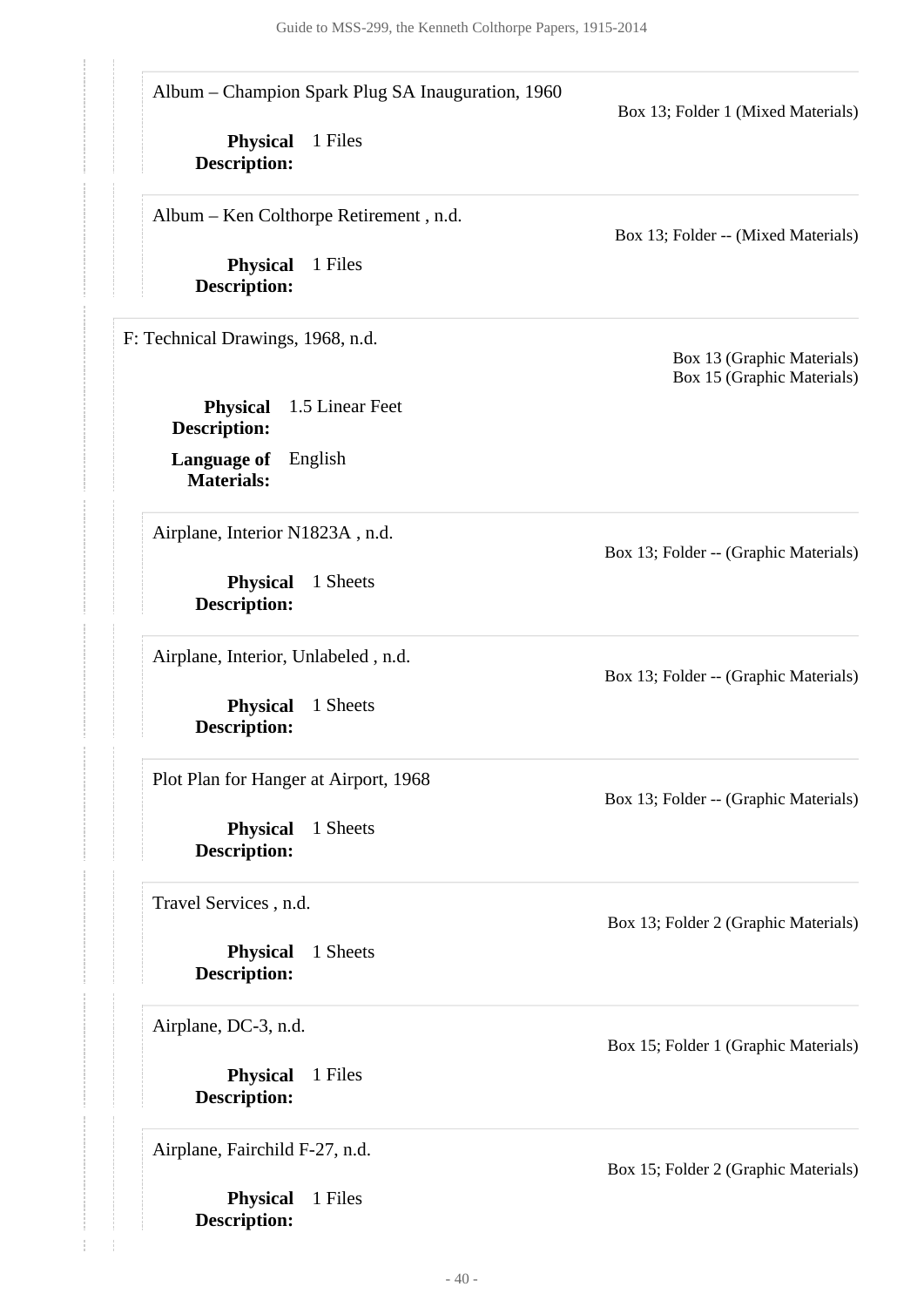<span id="page-39-0"></span>

| Album – Champion Spark Plug SA Inauguration, 1960         | Box 13; Folder 1 (Mixed Materials)                       |  |
|-----------------------------------------------------------|----------------------------------------------------------|--|
| 1 Files<br><b>Physical</b><br><b>Description:</b>         |                                                          |  |
| Album - Ken Colthorpe Retirement, n.d.                    | Box 13; Folder -- (Mixed Materials)                      |  |
| 1 Files<br><b>Physical</b><br><b>Description:</b>         |                                                          |  |
| F: Technical Drawings, 1968, n.d.                         | Box 13 (Graphic Materials)<br>Box 15 (Graphic Materials) |  |
| <b>Physical</b><br>1.5 Linear Feet<br><b>Description:</b> |                                                          |  |
| <b>Language of</b><br>English<br><b>Materials:</b>        |                                                          |  |
| Airplane, Interior N1823A, n.d.                           | Box 13; Folder -- (Graphic Materials)                    |  |
| 1 Sheets<br><b>Physical</b><br><b>Description:</b>        |                                                          |  |
| Airplane, Interior, Unlabeled, n.d.                       | Box 13; Folder -- (Graphic Materials)                    |  |
| <b>Physical</b><br>1 Sheets<br><b>Description:</b>        |                                                          |  |
| Plot Plan for Hanger at Airport, 1968                     | Box 13; Folder -- (Graphic Materials)                    |  |
| Physical<br>1 Sheets<br><b>Description:</b>               |                                                          |  |
| Travel Services, n.d.                                     | Box 13; Folder 2 (Graphic Materials)                     |  |
| <b>Physical</b><br>1 Sheets<br><b>Description:</b>        |                                                          |  |
| Airplane, DC-3, n.d.                                      | Box 15; Folder 1 (Graphic Materials)                     |  |
| <b>Physical</b><br>1 Files                                |                                                          |  |

Airplane, Fairchild F-27, n.d.

**Description:**

**Physical** 1 Files **Description:**

Box 15; Folder 2 (Graphic Materials)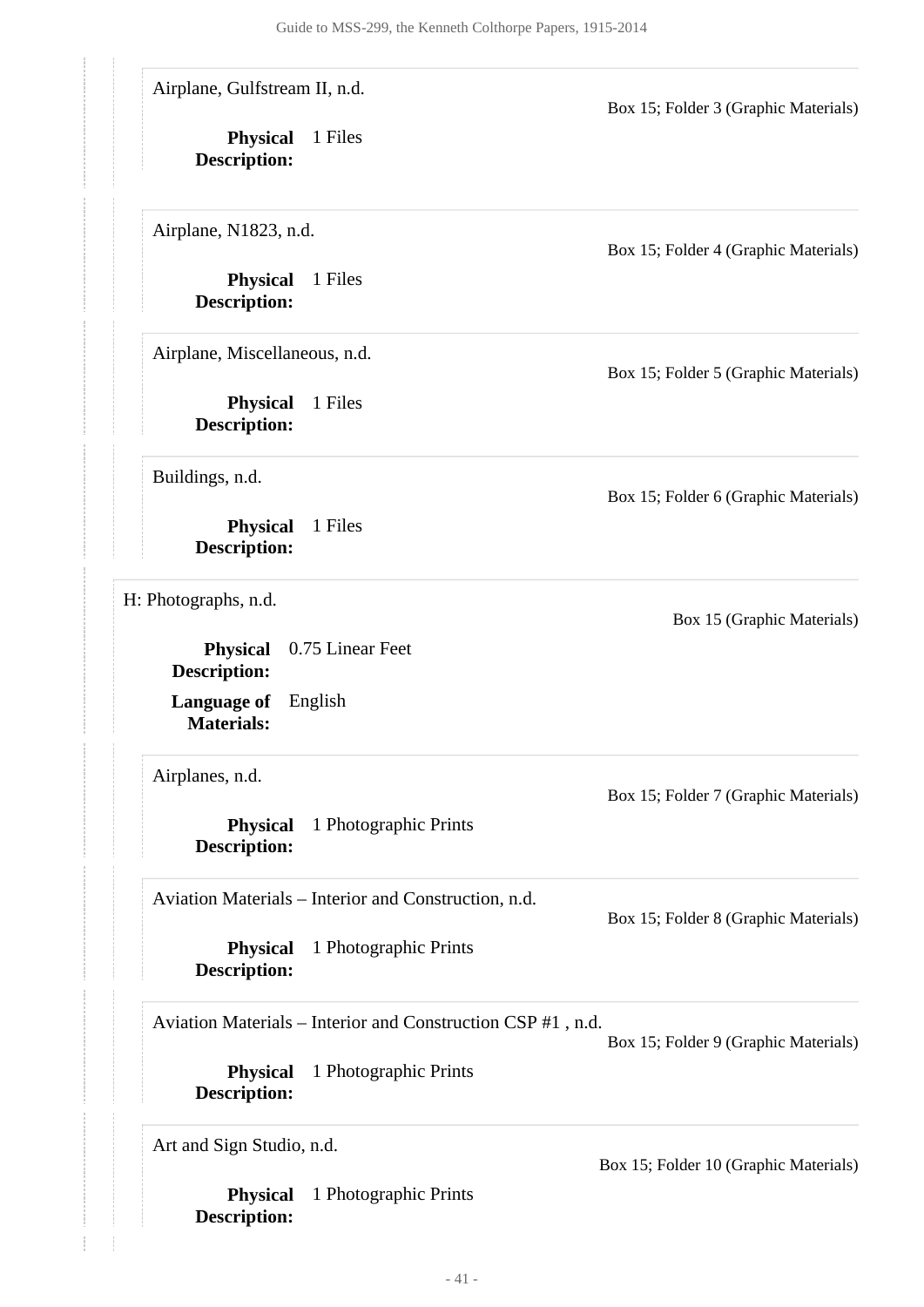Airplane, Gulfstream II, n.d.

**Physical** 1 Files **Description:**

Airplane, N1823, n.d.

**Physical** 1 Files **Description:**

Airplane, Miscellaneous, n.d.

**Physical** 1 Files **Description:**

Buildings, n.d.

**Physical** 1 Files **Description:**

<span id="page-40-0"></span>H: Photographs, n.d.

**Language of** English **Materials: Physical** 0.75 Linear Feet **Description:**

Airplanes, n.d.

**Physical** 1 Photographic Prints **Description:**

Aviation Materials – Interior and Construction, n.d.

**Physical** 1 Photographic Prints **Description:**

Aviation Materials – Interior and Construction CSP #1 , n.d.

Box 15; Folder 9 (Graphic Materials)

**Physical** 1 Photographic Prints **Description:**

Art and Sign Studio, n.d.

**Physical** 1 Photographic Prints **Description:**

Box 15; Folder 4 (Graphic Materials)

Box 15; Folder 3 (Graphic Materials)

Box 15; Folder 5 (Graphic Materials)

Box 15; Folder 6 (Graphic Materials)

Box 15 (Graphic Materials)

Box 15; Folder 8 (Graphic Materials)

Box 15; Folder 7 (Graphic Materials)

Box 15; Folder 10 (Graphic Materials)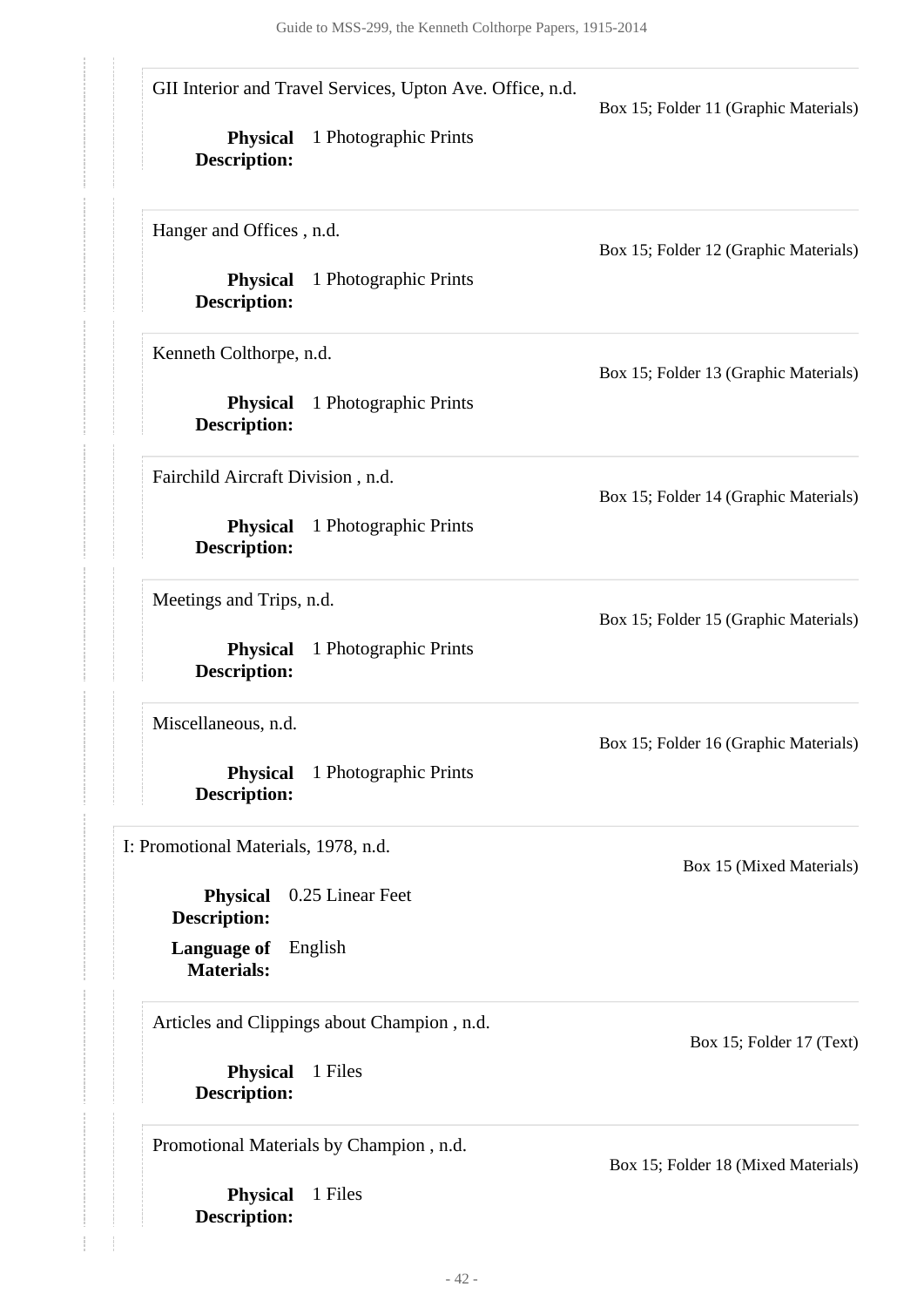| GII Interior and Travel Services, Upton Ave. Office, n.d.<br>1 Photographic Prints<br><b>Physical</b><br><b>Description:</b> | Box 15; Folder 11 (Graphic Materials) |  |
|------------------------------------------------------------------------------------------------------------------------------|---------------------------------------|--|
| Hanger and Offices, n.d.<br><b>Physical</b><br>1 Photographic Prints                                                         | Box 15; Folder 12 (Graphic Materials) |  |
| <b>Description:</b><br>Kenneth Colthorpe, n.d.                                                                               |                                       |  |
| 1 Photographic Prints<br><b>Physical</b><br><b>Description:</b>                                                              | Box 15; Folder 13 (Graphic Materials) |  |
| Fairchild Aircraft Division, n.d.                                                                                            | Box 15; Folder 14 (Graphic Materials) |  |
| <b>Physical</b><br>1 Photographic Prints<br><b>Description:</b>                                                              |                                       |  |
| Meetings and Trips, n.d.<br><b>Physical</b><br>1 Photographic Prints<br><b>Description:</b>                                  | Box 15; Folder 15 (Graphic Materials) |  |
| Miscellaneous, n.d.<br><b>Physical</b><br>1 Photographic Prints<br><b>Description:</b>                                       | Box 15; Folder 16 (Graphic Materials) |  |
| I: Promotional Materials, 1978, n.d.<br>0.25 Linear Feet<br><b>Physical</b>                                                  | Box 15 (Mixed Materials)              |  |
| <b>Description:</b><br><b>Language of</b><br>English<br><b>Materials:</b>                                                    |                                       |  |
| Articles and Clippings about Champion, n.d.<br>1 Files<br><b>Physical</b><br><b>Description:</b>                             | Box 15; Folder 17 (Text)              |  |
| Promotional Materials by Champion, n.d.<br>1 Files<br><b>Physical</b><br><b>Description:</b>                                 | Box 15; Folder 18 (Mixed Materials)   |  |

<span id="page-41-0"></span>**Description:**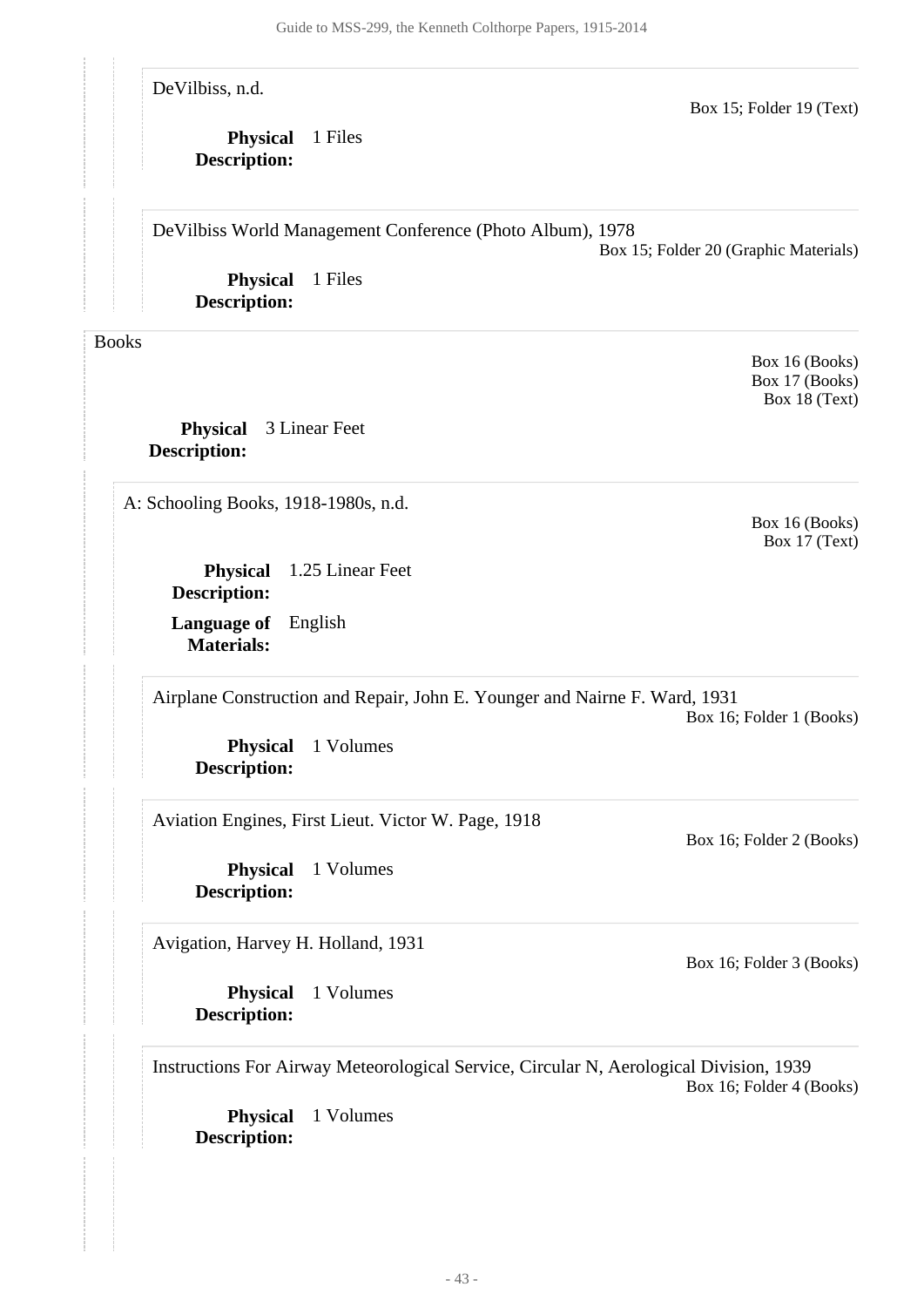DeVilbiss, n.d.

#### **Physical** 1 Files **Description:**

DeVilbiss World Management Conference (Photo Album), 1978

Box 15; Folder 20 (Graphic Materials)

Box 15; Folder 19 (Text)

**Physical** 1 Files **Description:**

<span id="page-42-0"></span>Books

**Physical** 3 Linear Feet **Description:**

<span id="page-42-1"></span>A: Schooling Books, 1918-1980s, n.d.

Box 17 (Text)

**Physical** 1.25 Linear Feet **Description:**

**Language of** English **Materials:**

Airplane Construction and Repair, John E. Younger and Nairne F. Ward, 1931

Box 16; Folder 1 (Books)

**Physical** 1 Volumes **Description:**

Aviation Engines, First Lieut. Victor W. Page, 1918

**Physical** 1 Volumes **Description:**

Avigation, Harvey H. Holland, 1931

**Physical** 1 Volumes **Description:**

Instructions For Airway Meteorological Service, Circular N, Aerological Division, 1939 Box 16; Folder 4 (Books)

**Physical** 1 Volumes **Description:**

Box 16; Folder 3 (Books)

Box 16; Folder 2 (Books)

Box 16 (Books)

Box 16 (Books) Box 17 (Books) Box 18 (Text)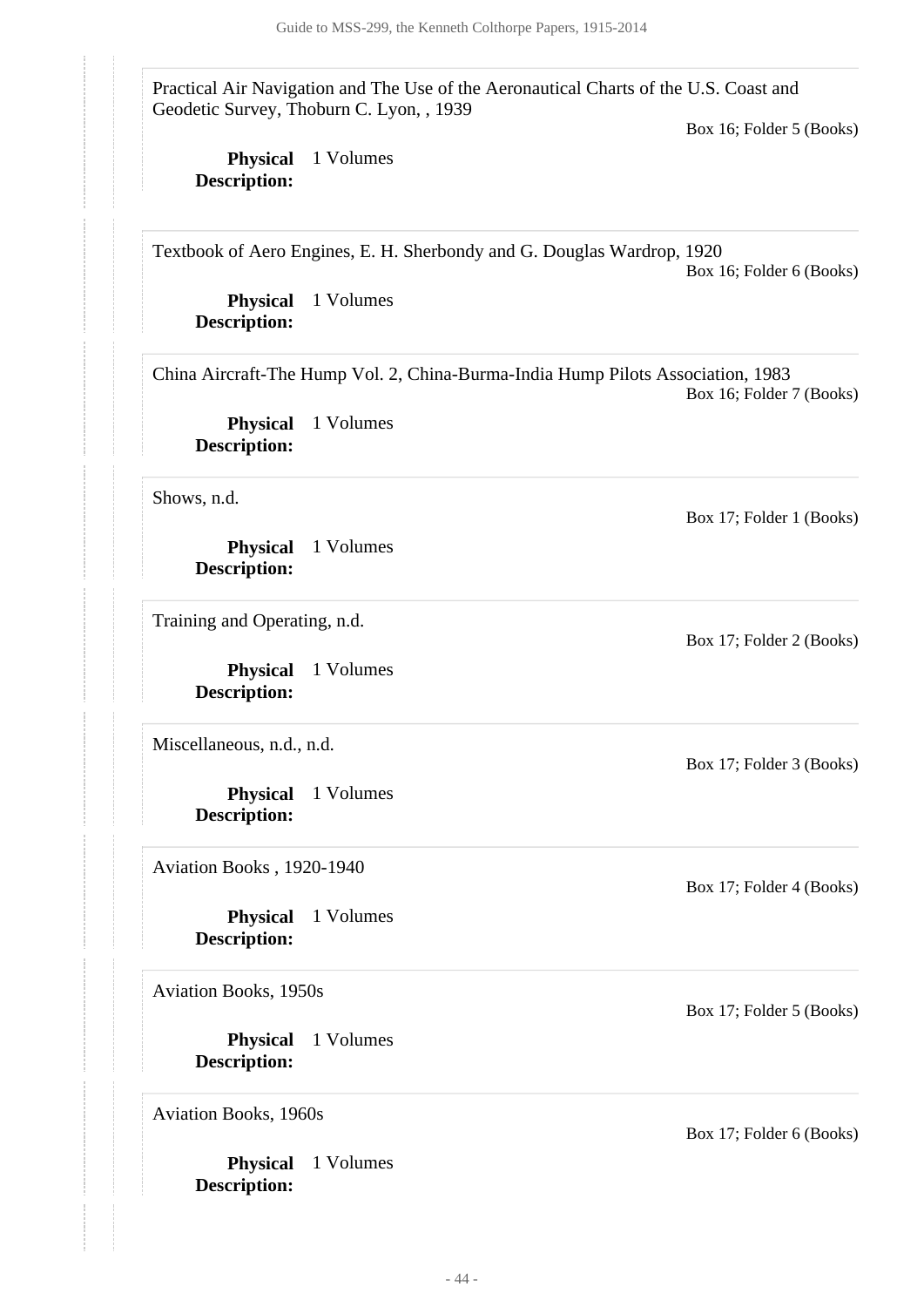Practical Air Navigation and The Use of the Aeronautical Charts of the U.S. Coast and Geodetic Survey, Thoburn C. Lyon, , 1939

Box 16; Folder 5 (Books)

**Physical** 1 Volumes **Description:**

Textbook of Aero Engines, E. H. Sherbondy and G. Douglas Wardrop, 1920

Box 16; Folder 6 (Books)

**Physical** 1 Volumes **Description:**

China Aircraft-The Hump Vol. 2, China-Burma-India Hump Pilots Association, 1983 Box 16; Folder 7 (Books)

**Physical** 1 Volumes **Description:**

Shows, n.d.

**Physical** 1 Volumes **Description:**

Training and Operating, n.d.

**Physical** 1 Volumes **Description:**

Miscellaneous, n.d., n.d.

**Physical** 1 Volumes **Description:**

Aviation Books , 1920-1940

**Physical** 1 Volumes **Description:**

Aviation Books, 1950s

**Physical** 1 Volumes **Description:**

Aviation Books, 1960s

**Physical** 1 Volumes **Description:**

Box 17; Folder 1 (Books)

Box 17; Folder 2 (Books)

Box 17; Folder 3 (Books)

Box 17; Folder 4 (Books)

Box 17; Folder 5 (Books)

Box 17; Folder 6 (Books)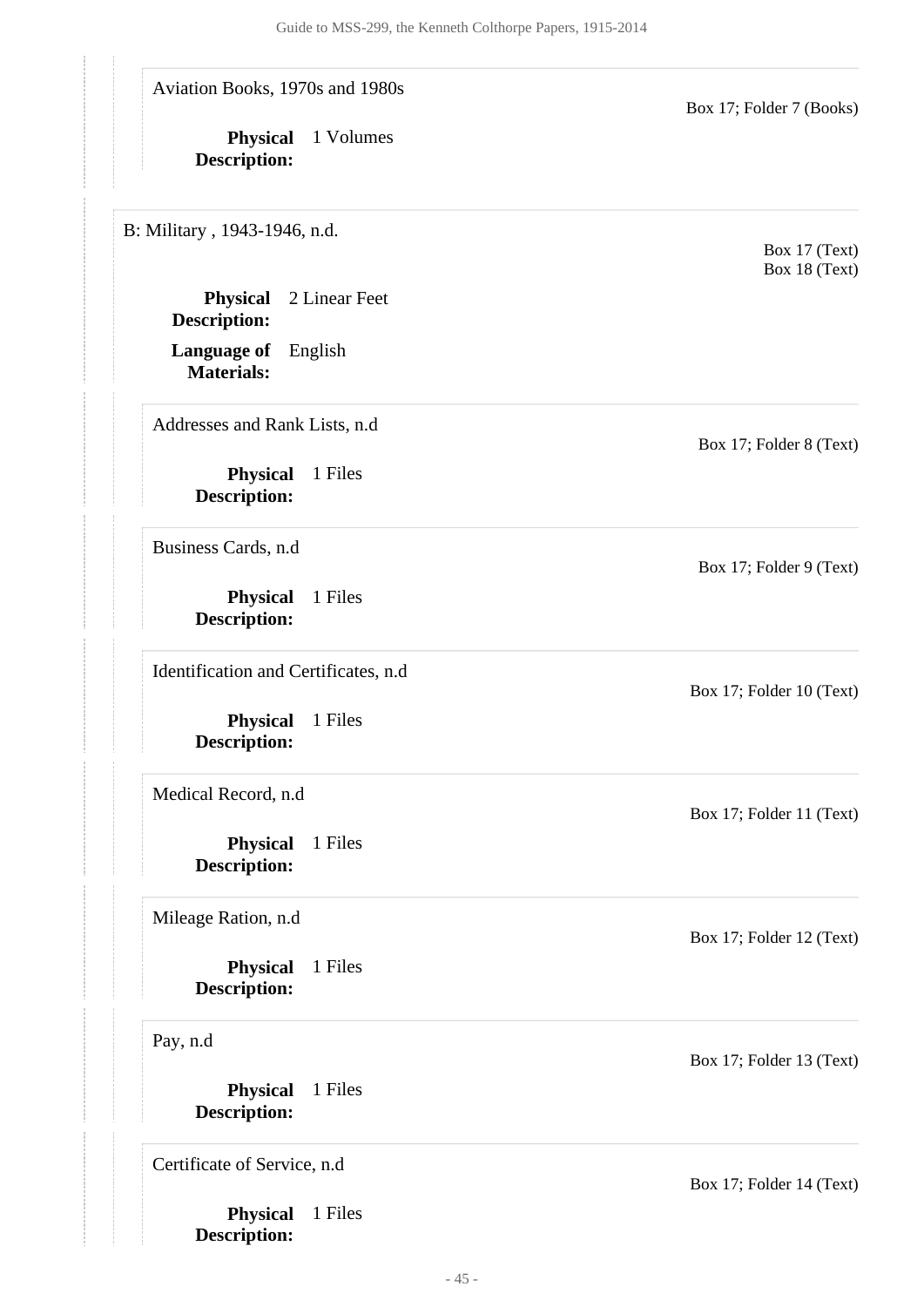Aviation Books, 1970s and 1980s

**Physical** 1 Volumes **Description:**

<span id="page-44-0"></span>B: Military , 1943-1946, n.d.

**Physical** 2 Linear Feet **Description:**

**Language of** English **Materials:**

Addresses and Rank Lists, n.d

**Physical** 1 Files **Description:**

Business Cards, n.d

**Physical** 1 Files **Description:**

Identification and Certificates, n.d

**Physical** 1 Files **Description:**

Medical Record, n.d

**Physical** 1 Files **Description:**

Mileage Ration, n.d

**Physical** 1 Files **Description:**

Pay, n.d

**Physical** 1 Files **Description:**

Certificate of Service, n.d

**Physical** 1 Files **Description:**

Box 17; Folder 14 (Text)

Box 17; Folder 11 (Text)

Box 17; Folder 10 (Text)

Box 17; Folder 7 (Books)

Box 17 (Text) Box 18 (Text)

Box 17; Folder 8 (Text)

Box 17; Folder 9 (Text)

Box 17; Folder 12 (Text)

Box 17; Folder 13 (Text)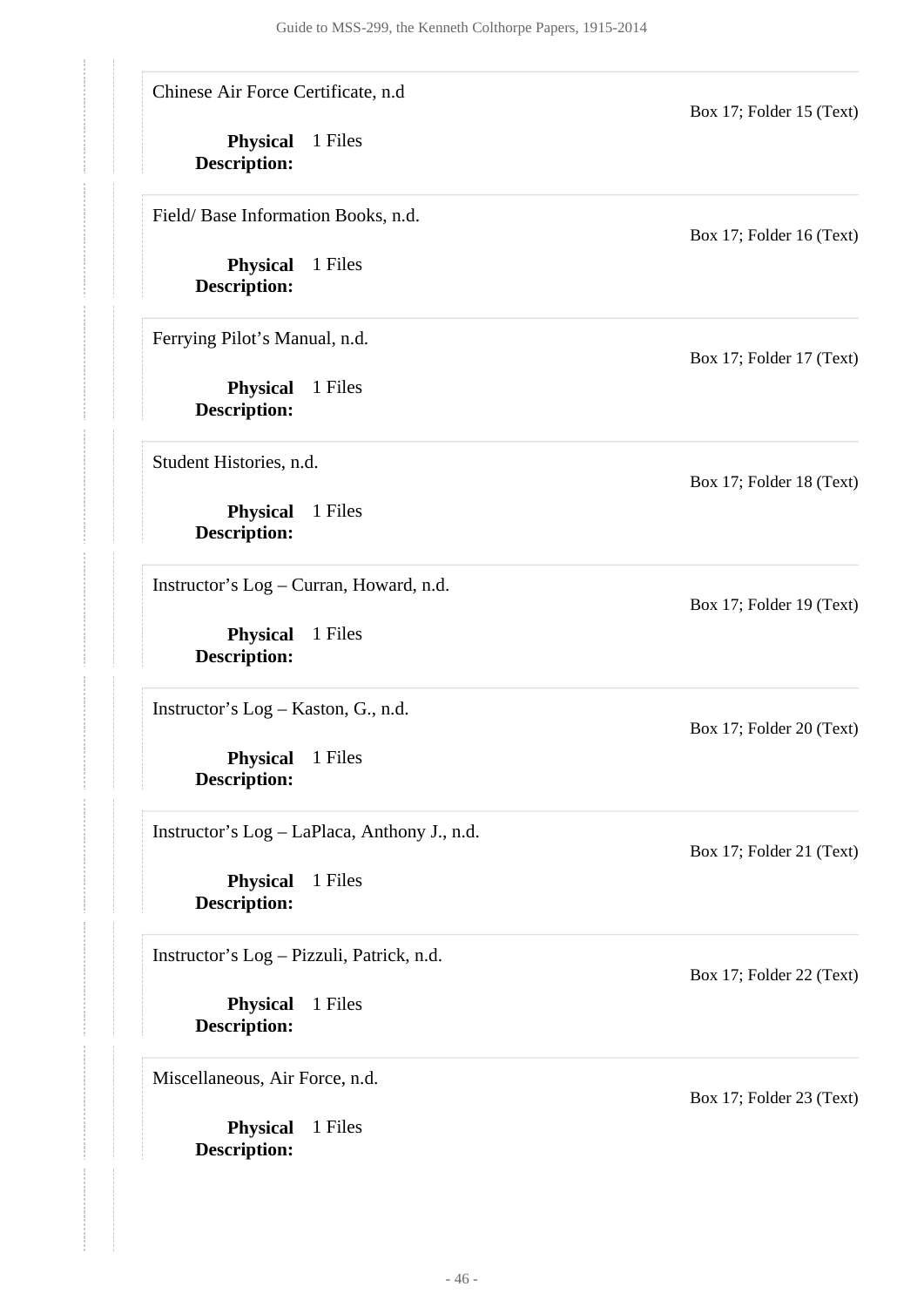Chinese Air Force Certificate, n.d

**Physical** 1 Files **Description:**

Field/ Base Information Books, n.d.

**Physical** 1 Files **Description:**

Ferrying Pilot's Manual, n.d.

**Physical** 1 Files **Description:**

Student Histories, n.d.

**Physical** 1 Files **Description:**

Instructor's Log – Curran, Howard, n.d.

**Physical** 1 Files **Description:**

Instructor's Log – Kaston, G., n.d.

**Physical** 1 Files **Description:**

Instructor's Log – LaPlaca, Anthony J., n.d.

**Physical** 1 Files **Description:**

Instructor's Log – Pizzuli, Patrick, n.d.

**Physical** 1 Files **Description:**

Miscellaneous, Air Force, n.d.

**Physical** 1 Files **Description:**

Box 17; Folder 15 (Text)

Box 17; Folder 16 (Text)

Box 17; Folder 17 (Text)

Box 17; Folder 18 (Text)

Box 17; Folder 19 (Text)

Box 17; Folder 20 (Text)

Box 17; Folder 21 (Text)

Box 17; Folder 22 (Text)

Box 17; Folder 23 (Text)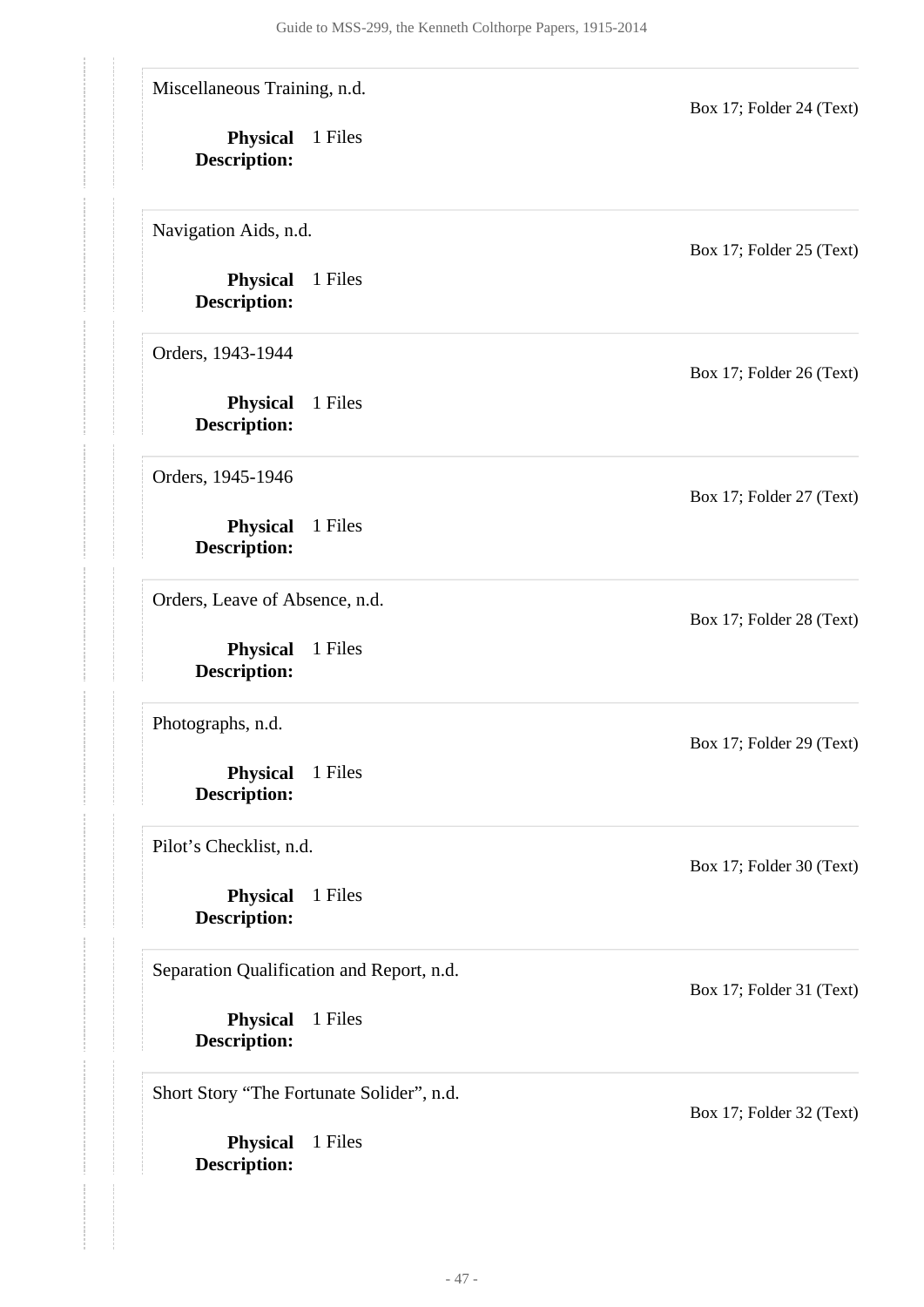**Physical** 1 Files **Description: Physical** 1 Files **Description: Physical** 1 Files **Description: Physical** 1 Files **Description: Physical** 1 Files **Description: Physical** 1 Files **Description: Physical** 1 Files **Description: Physical** 1 Files **Description: Physical** 1 Files **Description:** Miscellaneous Training, n.d. Box 17; Folder 24 (Text) Navigation Aids, n.d. Box 17; Folder 25 (Text) Orders, 1943-1944 Box 17; Folder 26 (Text) Orders, 1945-1946 Box 17; Folder 27 (Text) Orders, Leave of Absence, n.d. Box 17; Folder 28 (Text) Photographs, n.d. Box 17; Folder 29 (Text) Pilot's Checklist, n.d. Box 17; Folder 30 (Text) Separation Qualification and Report, n.d. Box 17; Folder 31 (Text) Short Story "The Fortunate Solider", n.d. Box 17; Folder 32 (Text)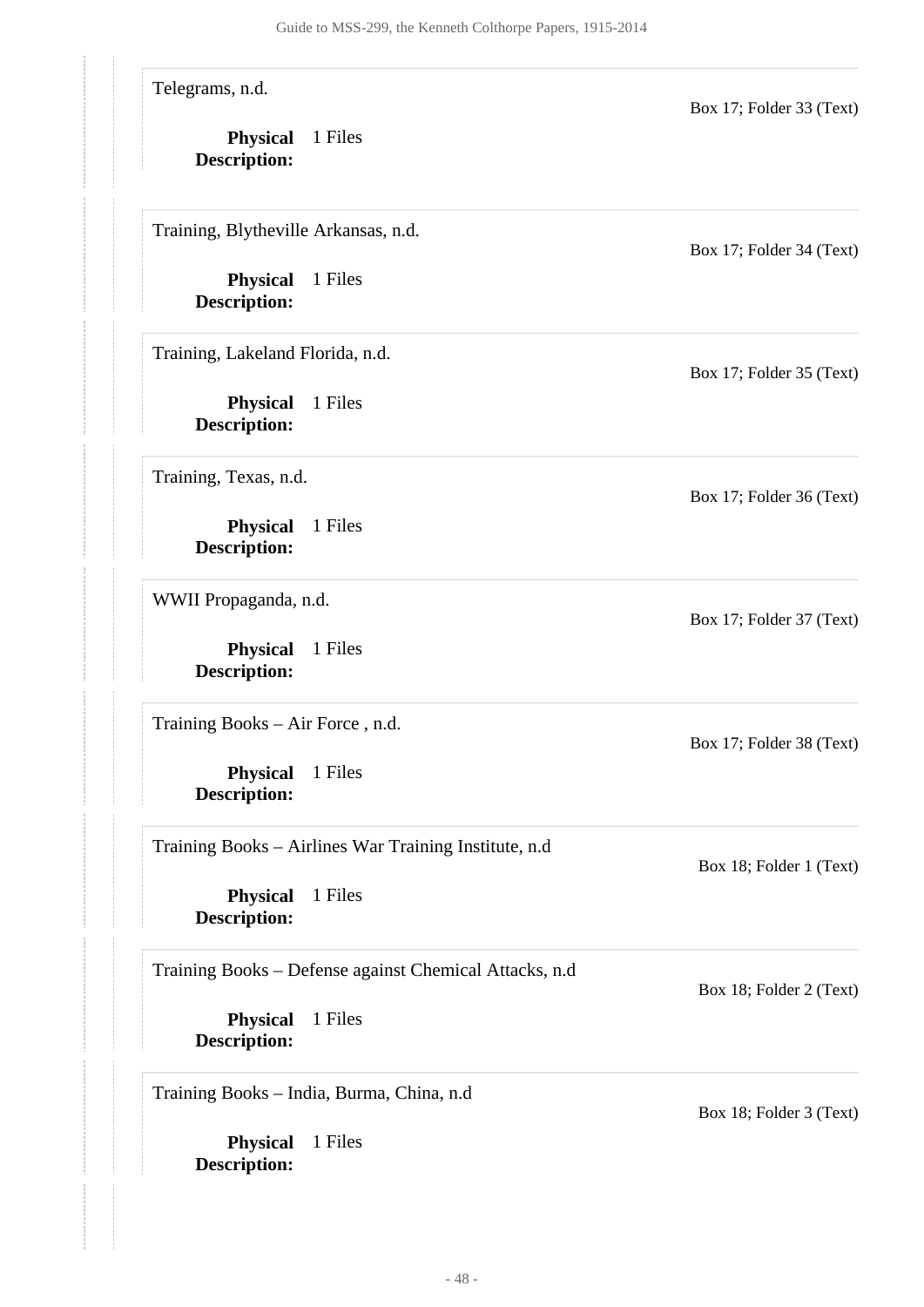Telegrams, n.d.

**Physical** 1 Files **Description:**

Training, Blytheville Arkansas, n.d.

**Physical** 1 Files **Description:**

Training, Lakeland Florida, n.d.

**Physical** 1 Files **Description:**

Training, Texas, n.d.

**Physical** 1 Files **Description:**

WWII Propaganda, n.d.

**Physical** 1 Files **Description:**

Training Books – Air Force , n.d.

**Physical** 1 Files **Description:**

Training Books – Airlines War Training Institute, n.d

**Physical** 1 Files **Description:**

#### Training Books – Defense against Chemical Attacks, n.d

**Physical** 1 Files **Description:**

Training Books – India, Burma, China, n.d

**Physical** 1 Files **Description:**

Box 17; Folder 34 (Text)

Box 17; Folder 33 (Text)

Box 17; Folder 35 (Text)

Box 17; Folder 36 (Text)

Box 17; Folder 37 (Text)

Box 17; Folder 38 (Text)

Box 18; Folder 1 (Text)

Box 18; Folder 2 (Text)

Box 18; Folder 3 (Text)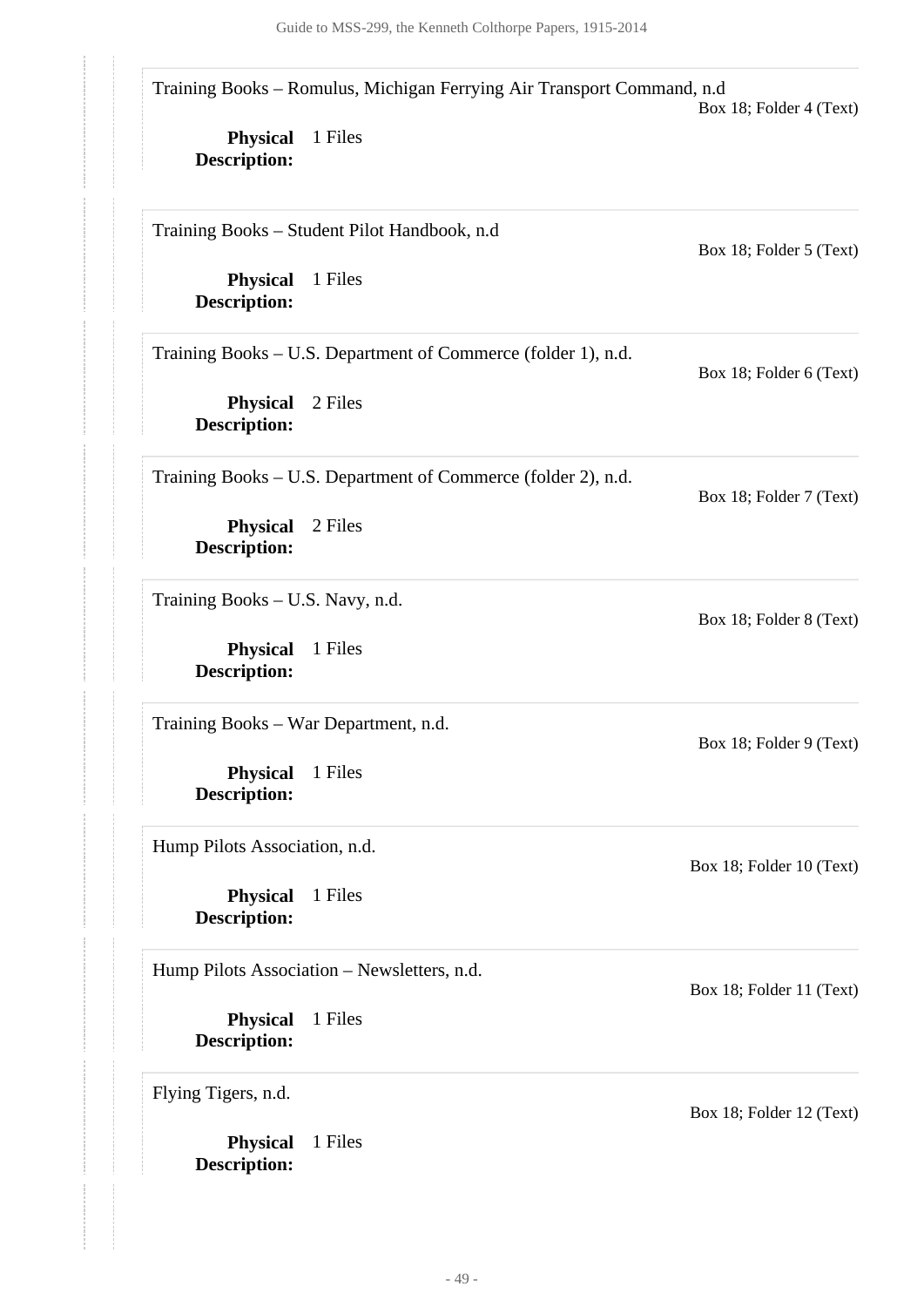Training Books – Romulus, Michigan Ferrying Air Transport Command, n.d

**Physical** 1 Files **Description:**

Training Books – Student Pilot Handbook, n.d

**Physical** 1 Files **Description:**

Training Books – U.S. Department of Commerce (folder 1), n.d.

**Physical** 2 Files **Description:**

Training Books – U.S. Department of Commerce (folder 2), n.d.

**Physical** 2 Files **Description:**

Training Books – U.S. Navy, n.d.

**Physical** 1 Files **Description:**

Training Books – War Department, n.d.

**Physical** 1 Files **Description:**

Hump Pilots Association, n.d.

**Physical** 1 Files **Description:**

Hump Pilots Association – Newsletters, n.d.

**Physical** 1 Files **Description:**

Flying Tigers, n.d.

**Physical** 1 Files **Description:**

Box 18; Folder 5 (Text)

Box 18; Folder 4 (Text)

Box 18; Folder 7 (Text)

Box 18; Folder 6 (Text)

Box 18; Folder 8 (Text)

Box 18; Folder 9 (Text)

Box 18; Folder 10 (Text)

Box 18; Folder 11 (Text)

Box 18; Folder 12 (Text)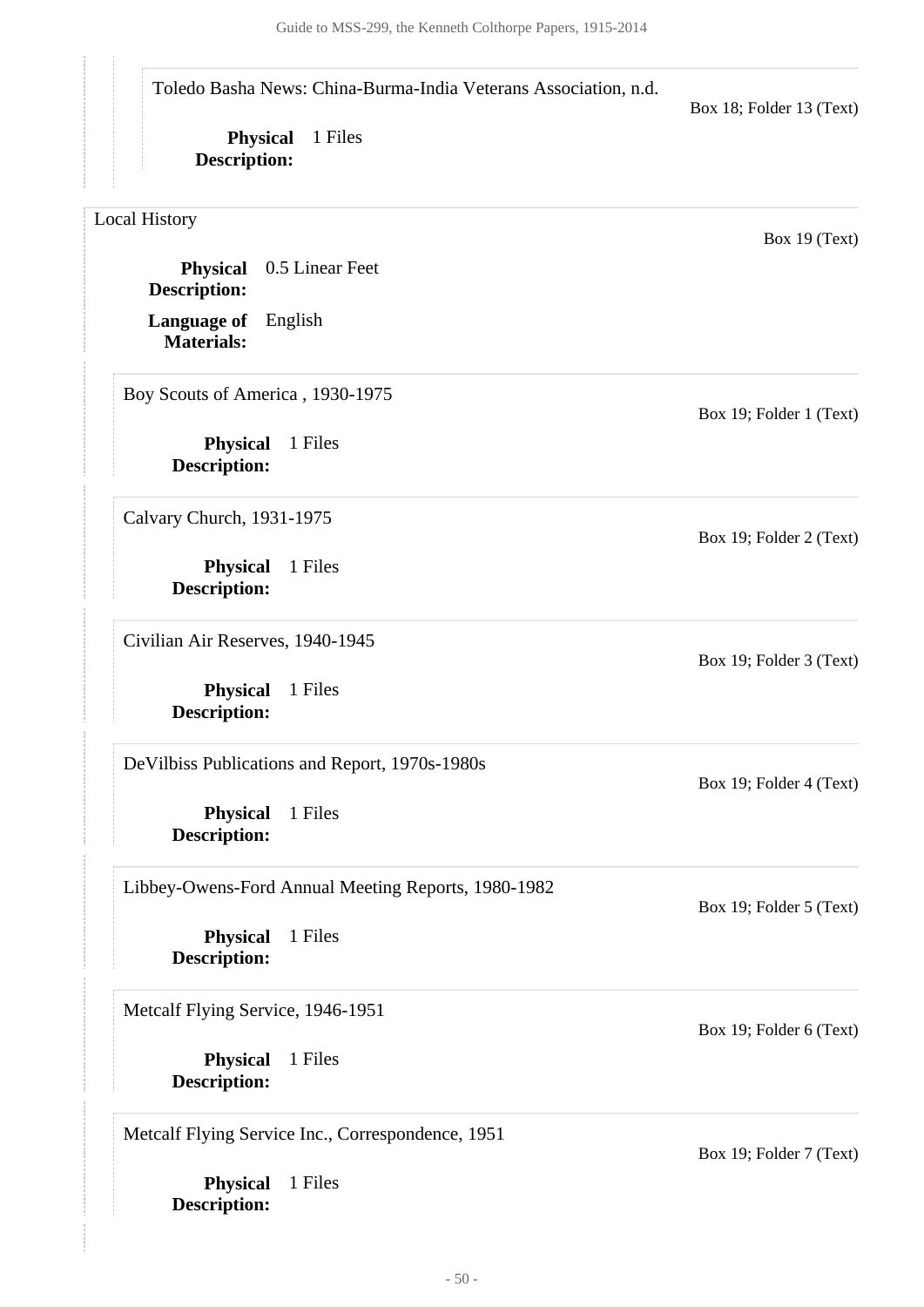Guide to MSS-299, the Kenneth Colthorpe Papers, 1915-2014

Toledo Basha News: China-Burma-India Veterans Association, n.d.

**Physical** 1 Files **Description:**

Box 18; Folder 13 (Text)

Box 19; Folder 1 (Text)

Box 19; Folder 2 (Text)

Box 19; Folder 3 (Text)

Box 19; Folder 4 (Text)

Box 19; Folder 5 (Text)

Box 19; Folder 6 (Text)

Box 19 (Text)

<span id="page-49-0"></span>Local History

**Language of** English **Physical** 0.5 Linear Feet **Description:**

Boy Scouts of America , 1930-1975

**Physical** 1 Files **Description:**

Calvary Church, 1931-1975

**Materials:**

**Physical** 1 Files **Description:**

Civilian Air Reserves, 1940-1945

**Physical** 1 Files **Description:**

DeVilbiss Publications and Report, 1970s-1980s

**Physical** 1 Files **Description:**

Libbey-Owens-Ford Annual Meeting Reports, 1980-1982

**Physical** 1 Files **Description:**

Metcalf Flying Service, 1946-1951

**Physical** 1 Files **Description:**

Metcalf Flying Service Inc., Correspondence, 1951

**Physical** 1 Files **Description:**

Box 19; Folder 7 (Text)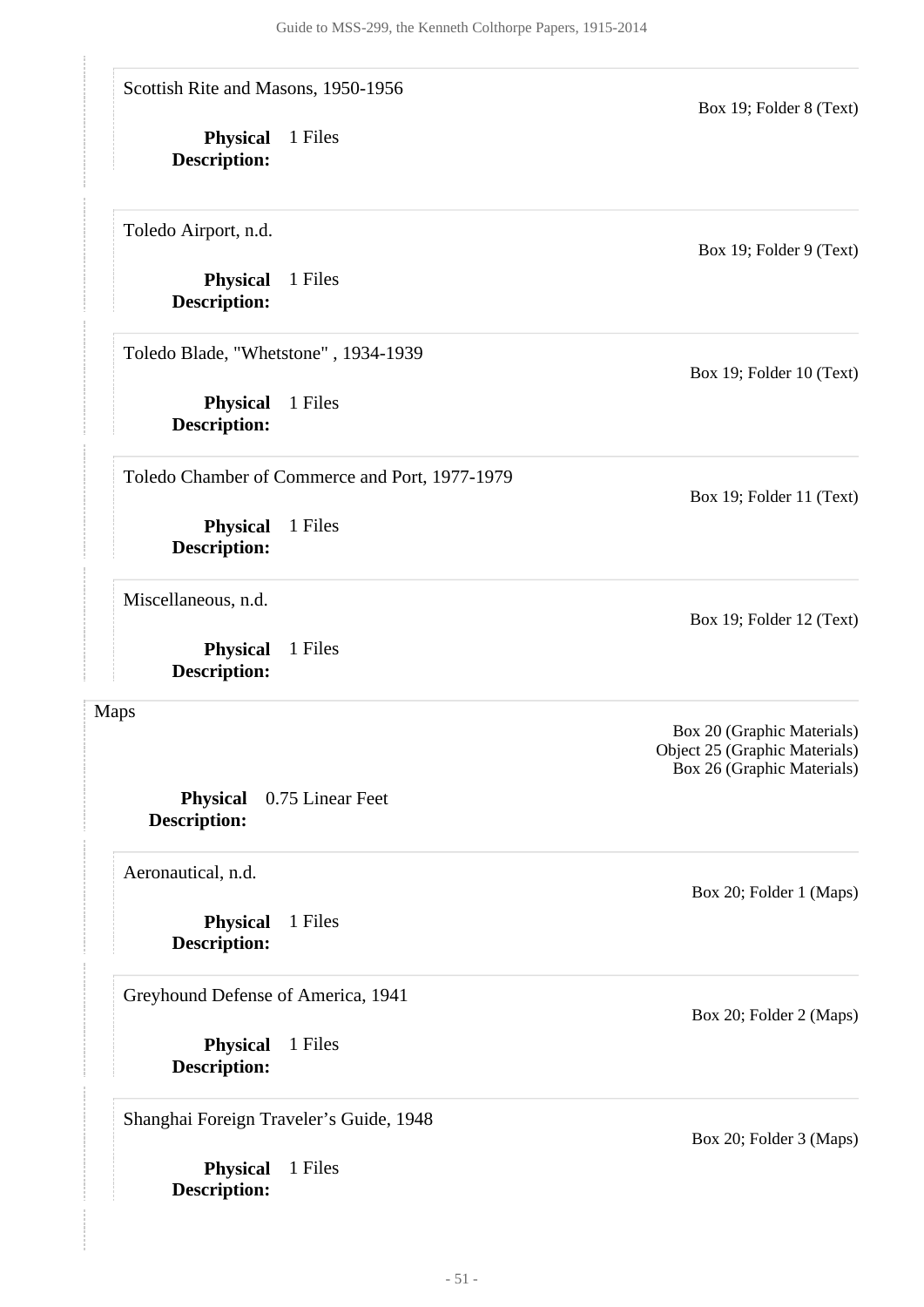**Physical** 1 Files **Description: Physical** 1 Files **Description: Physical** 0.75 Linear Feet **Description: Physical** 1 Files **Description: Physical** 1 Files **Description: Physical** 1 Files **Description: Physical** 1 Files **Description: Physical** 1 Files **Description:** Scottish Rite and Masons, 1950-1956 Box 19; Folder 8 (Text) Toledo Airport, n.d. Box 19; Folder 9 (Text) Toledo Blade, "Whetstone" , 1934-1939 Box 19; Folder 10 (Text) Toledo Chamber of Commerce and Port, 1977-1979 Box 19; Folder 11 (Text) Miscellaneous, n.d. Box 19; Folder 12 (Text) Maps Box 20 (Graphic Materials) Object 25 (Graphic Materials) Box 26 (Graphic Materials) Aeronautical, n.d. Box 20; Folder 1 (Maps) Greyhound Defense of America, 1941 Box 20; Folder 2 (Maps) Shanghai Foreign Traveler's Guide, 1948 Box 20; Folder 3 (Maps)

<span id="page-50-0"></span>**Physical** 1 Files

**Description:**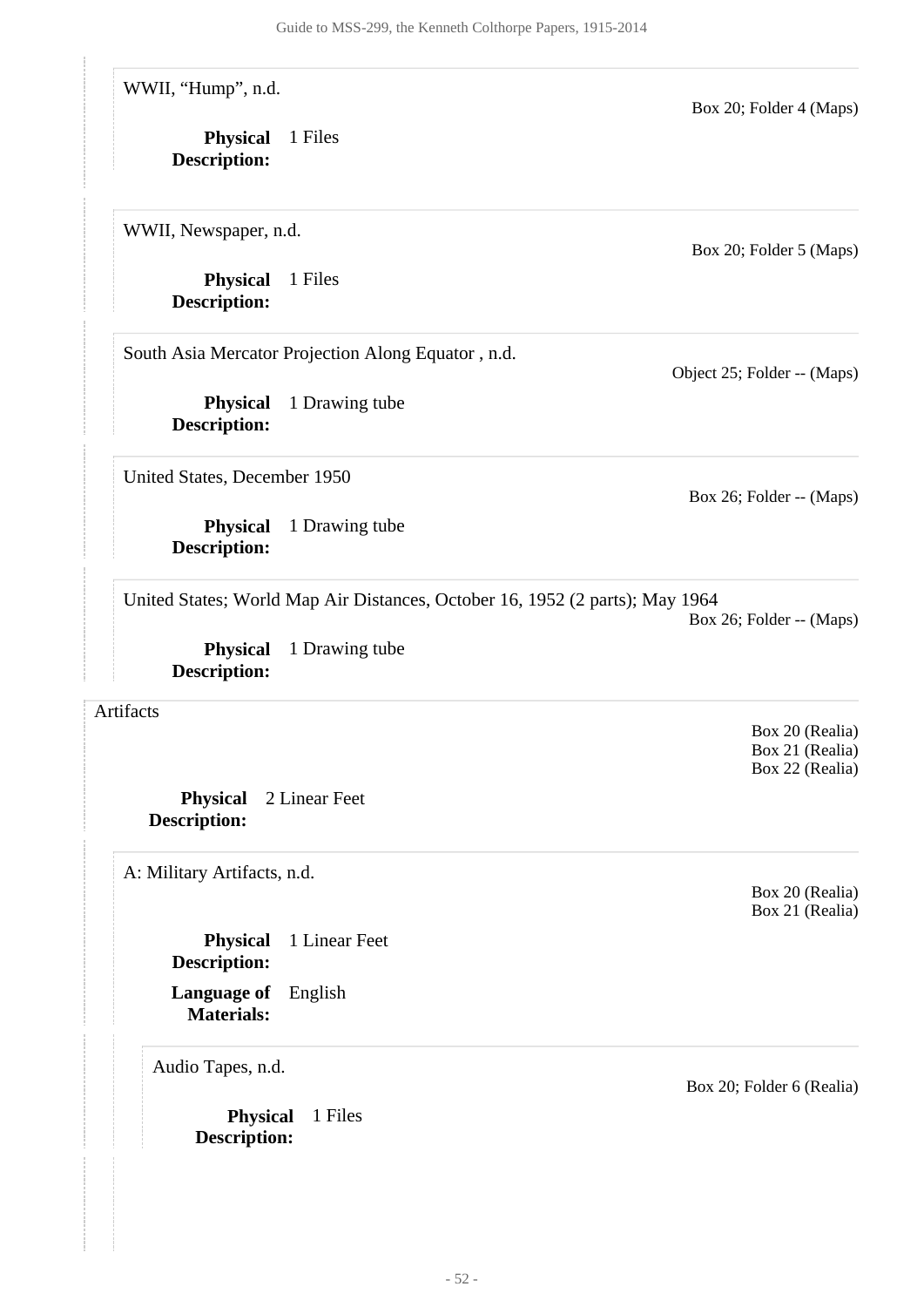WWII, "Hump", n.d.

**Physical** 1 Files **Description:**

WWII, Newspaper, n.d.

**Physical** 1 Files **Description:**

South Asia Mercator Projection Along Equator , n.d.

**Physical** 1 Drawing tube **Description:**

United States, December 1950

**Physical** 1 Drawing tube **Description:**

United States; World Map Air Distances, October 16, 1952 (2 parts); May 1964

**Physical** 1 Drawing tube **Description:**

<span id="page-51-0"></span>Artifacts

**Physical** 2 Linear Feet **Description:**

<span id="page-51-1"></span>A: Military Artifacts, n.d.

**Physical** 1 Linear Feet **Description:**

**Language of** English **Materials:**

Audio Tapes, n.d.

**Physical** 1 Files **Description:**

Box 20; Folder 5 (Maps)

Object 25; Folder -- (Maps)

Box 26; Folder -- (Maps)

Box 26; Folder -- (Maps)

Box 20; Folder 4 (Maps)

Box 20 (Realia)

Box 21 (Realia) Box 22 (Realia)

Box 20 (Realia) Box 21 (Realia)

Box 20; Folder 6 (Realia)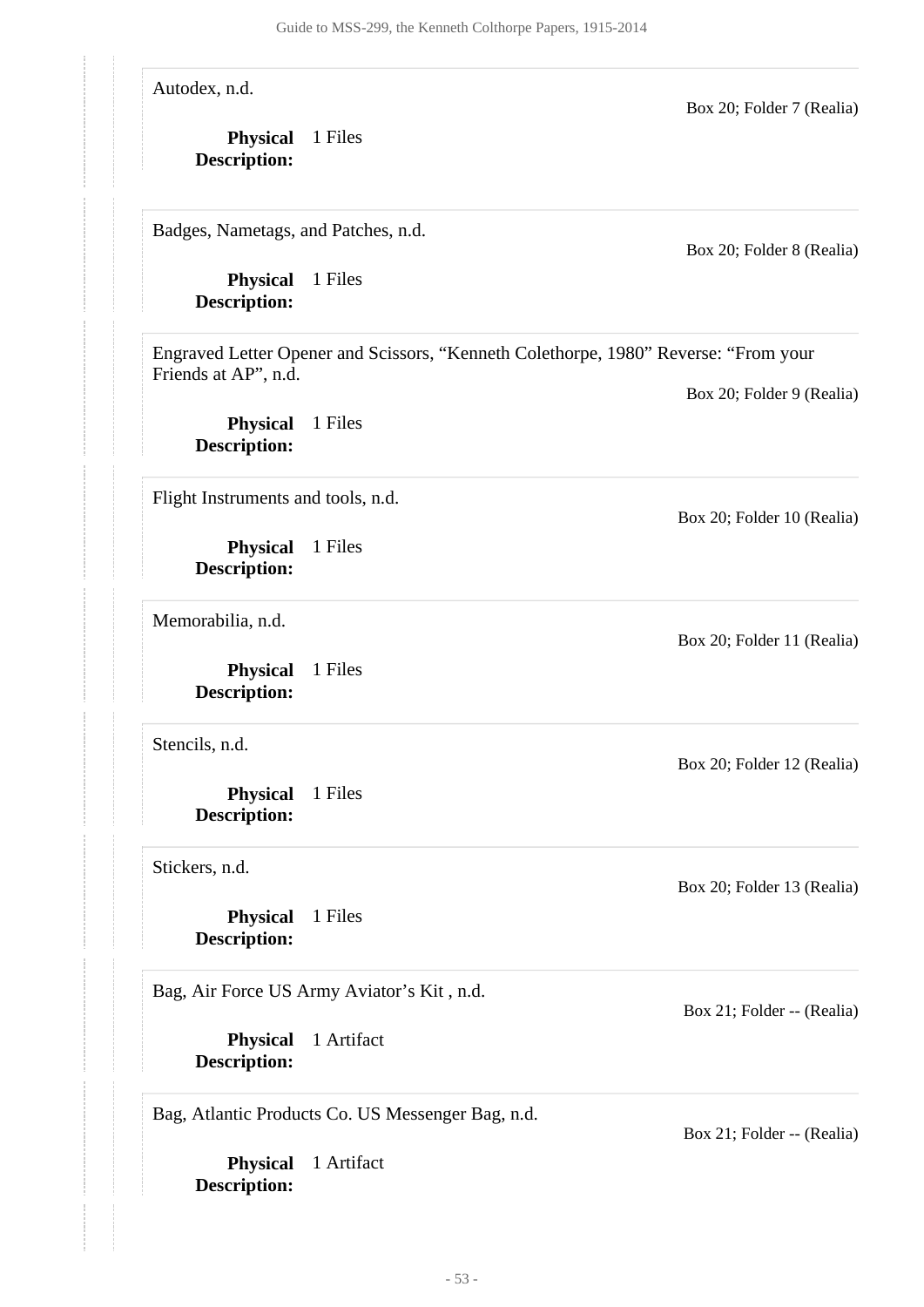**Physical** 1 Artifact **Description: Physical** 1 Artifact **Description: Physical** 1 Files **Description: Physical** 1 Files **Description: Physical** 1 Files **Description: Physical** 1 Files **Description: Physical** 1 Files **Description: Physical** 1 Files **Description: Physical** 1 Files **Description:** Autodex, n.d. Box 20; Folder 7 (Realia) Badges, Nametags, and Patches, n.d. Box 20; Folder 8 (Realia) Engraved Letter Opener and Scissors, "Kenneth Colethorpe, 1980" Reverse: "From your Friends at AP", n.d. Box 20; Folder 9 (Realia) Flight Instruments and tools, n.d. Box 20; Folder 10 (Realia) Memorabilia, n.d. Box 20; Folder 11 (Realia) Stencils, n.d. Box 20; Folder 12 (Realia) Stickers, n.d. Box 20; Folder 13 (Realia) Bag, Air Force US Army Aviator's Kit , n.d. Box 21; Folder -- (Realia) Bag, Atlantic Products Co. US Messenger Bag, n.d. Box 21; Folder -- (Realia)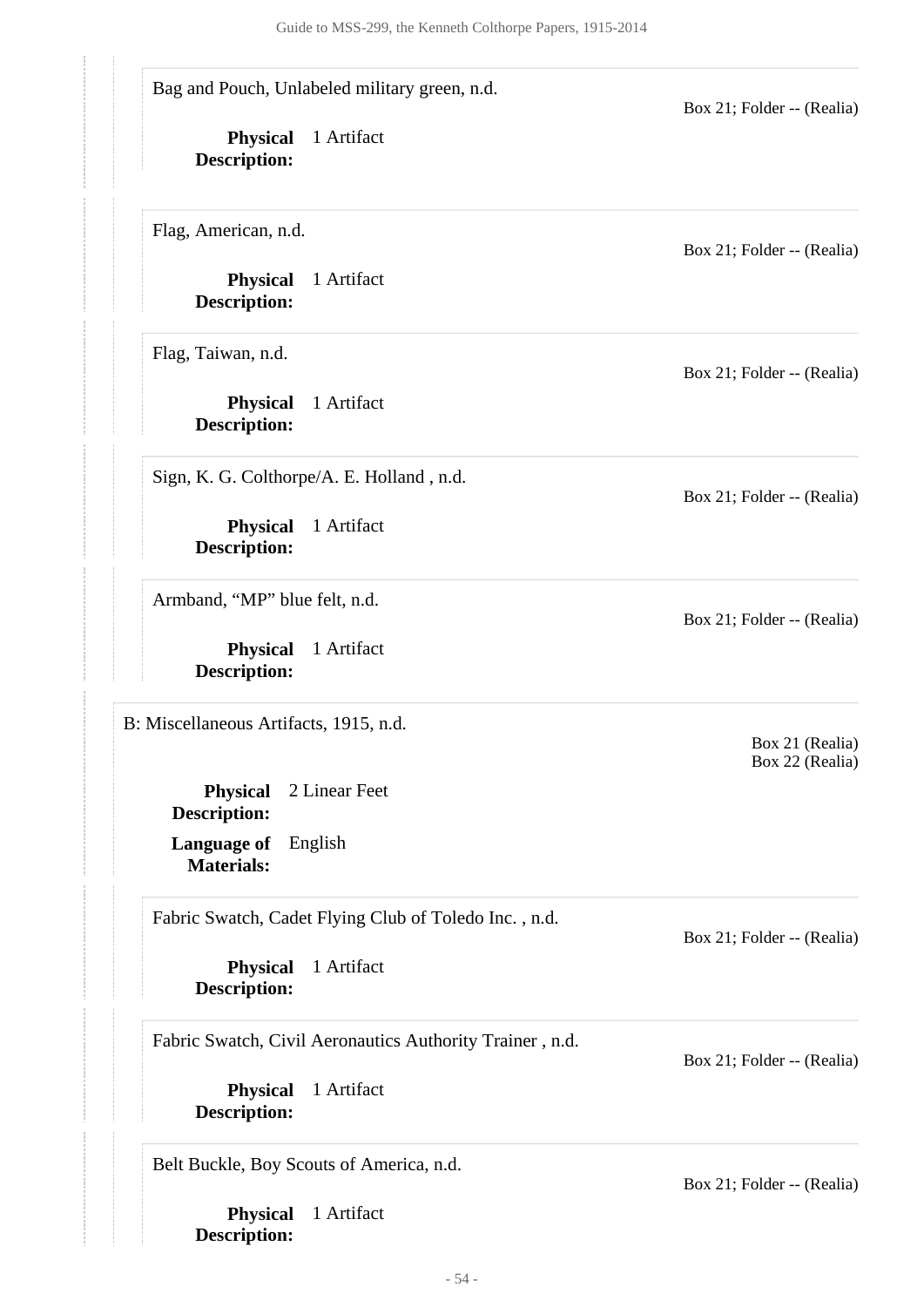<span id="page-53-0"></span>**Physical** 1 Artifact **Description: Physical** 1 Artifact **Description: Physical** 1 Artifact **Description: Language of** English **Materials: Physical** 2 Linear Feet **Description: Physical** 1 Artifact **Description: Physical** 1 Artifact **Description: Physical** 1 Artifact **Description: Physical** 1 Artifact **Description: Physical** 1 Artifact **Description:** Bag and Pouch, Unlabeled military green, n.d. Box 21; Folder -- (Realia) Flag, American, n.d. Box 21; Folder -- (Realia) Flag, Taiwan, n.d. Box 21; Folder -- (Realia) Sign, K. G. Colthorpe/A. E. Holland , n.d. Box 21; Folder -- (Realia) Armband, "MP" blue felt, n.d. Box 21; Folder -- (Realia) B: Miscellaneous Artifacts, 1915, n.d. Box 21 (Realia) Box 22 (Realia) Fabric Swatch, Cadet Flying Club of Toledo Inc. , n.d. Box 21; Folder -- (Realia) Fabric Swatch, Civil Aeronautics Authority Trainer , n.d. Box 21; Folder -- (Realia) Belt Buckle, Boy Scouts of America, n.d. Box 21; Folder -- (Realia)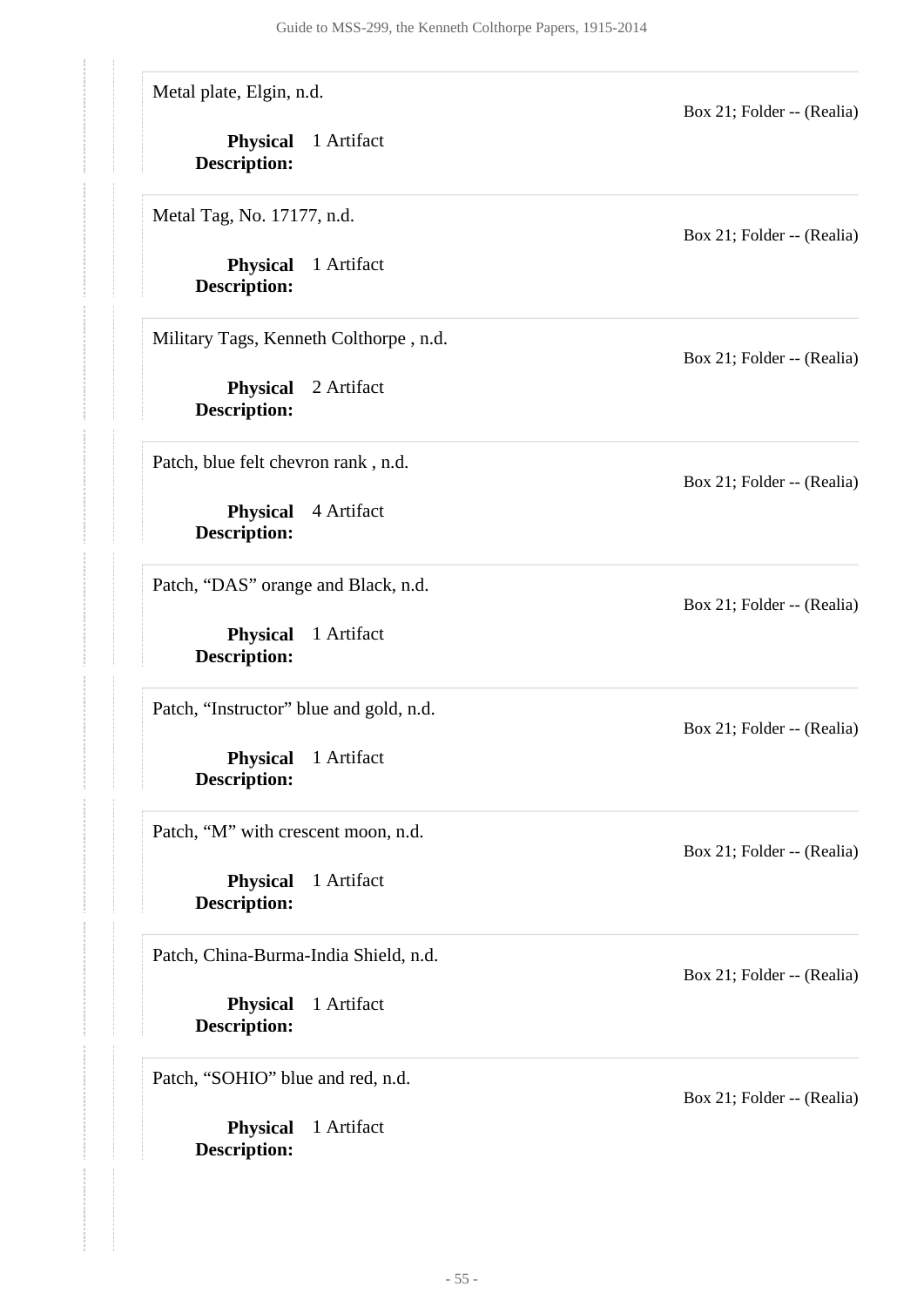Metal plate, Elgin, n.d.

**Physical** 1 Artifact **Description:**

Metal Tag, No. 17177, n.d.

**Physical** 1 Artifact **Description:**

Military Tags, Kenneth Colthorpe , n.d.

**Physical** 2 Artifact **Description:**

Patch, blue felt chevron rank , n.d.

**Physical** 4 Artifact **Description:**

Patch, "DAS" orange and Black, n.d.

**Physical** 1 Artifact **Description:**

Patch, "Instructor" blue and gold, n.d.

**Physical** 1 Artifact **Description:**

Patch, "M" with crescent moon, n.d.

**Physical** 1 Artifact **Description:**

Patch, China-Burma-India Shield, n.d.

**Physical** 1 Artifact **Description:**

Patch, "SOHIO" blue and red, n.d.

**Physical** 1 Artifact **Description:**

Box 21; Folder -- (Realia)

Box 21; Folder -- (Realia)

Box 21; Folder -- (Realia)

Box 21; Folder -- (Realia)

Box 21; Folder -- (Realia)

Box 21; Folder -- (Realia)

Box 21; Folder -- (Realia)

Box 21; Folder -- (Realia)

Box 21; Folder -- (Realia)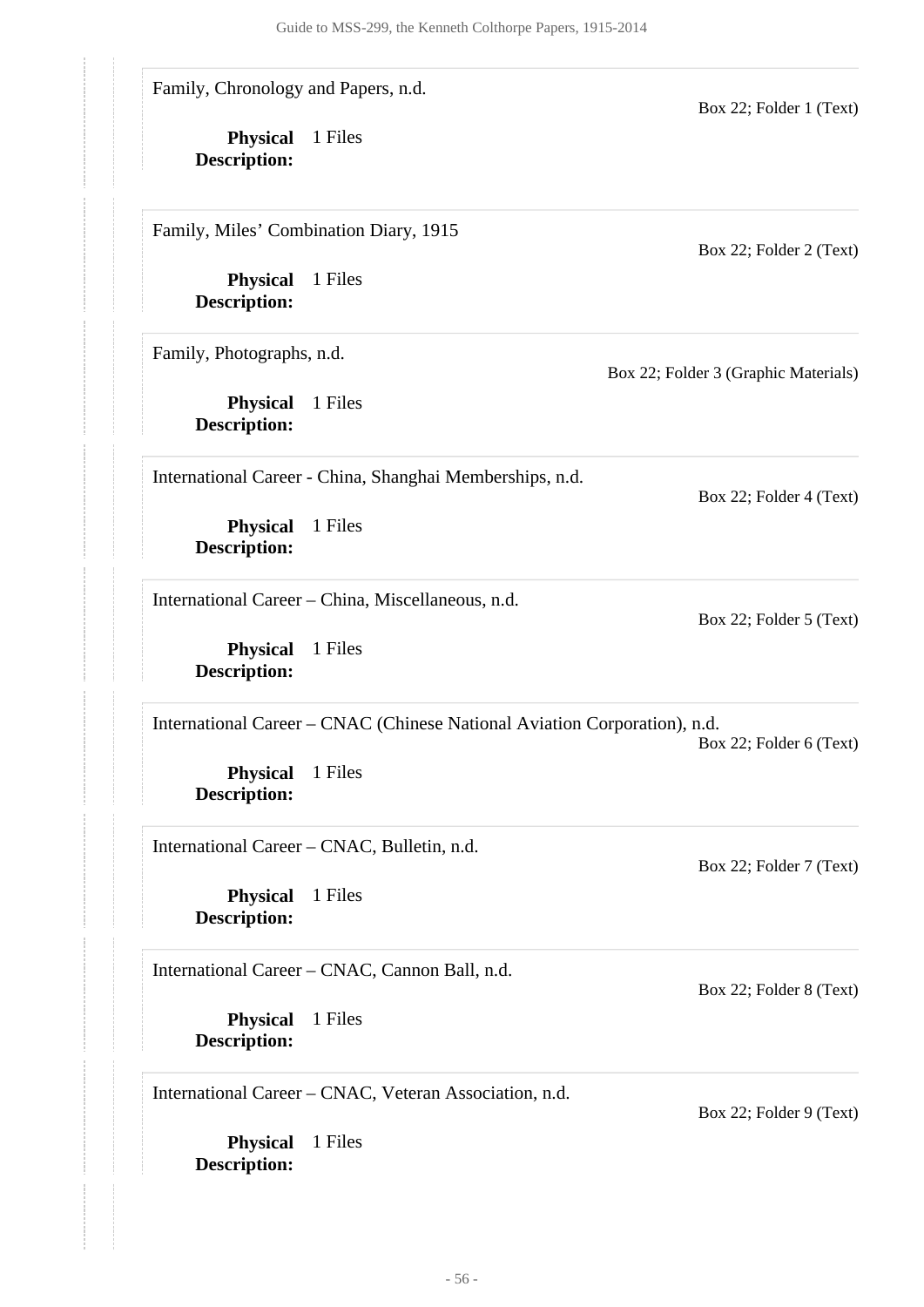Family, Chronology and Papers, n.d.

**Physical** 1 Files **Description:**

Family, Miles' Combination Diary, 1915

**Physical** 1 Files **Description:**

Family, Photographs, n.d.

**Physical** 1 Files **Description:**

Box 22; Folder 2 (Text)

Box 22; Folder 4 (Text)

Box 22; Folder 5 (Text)

Box 22; Folder 1 (Text)

Box 22; Folder 3 (Graphic Materials)

International Career - China, Shanghai Memberships, n.d.

**Physical** 1 Files **Description:**

International Career – China, Miscellaneous, n.d.

**Physical** 1 Files **Description:**

International Career – CNAC (Chinese National Aviation Corporation), n.d.

Box 22; Folder 6 (Text)

Box 22; Folder 7 (Text)

Box 22; Folder 8 (Text)

Box 22; Folder 9 (Text)

**Physical** 1 Files **Description:**

International Career – CNAC, Bulletin, n.d.

**Physical** 1 Files **Description:**

International Career – CNAC, Cannon Ball, n.d.

**Physical** 1 Files **Description:**

International Career – CNAC, Veteran Association, n.d.

**Physical** 1 Files **Description:**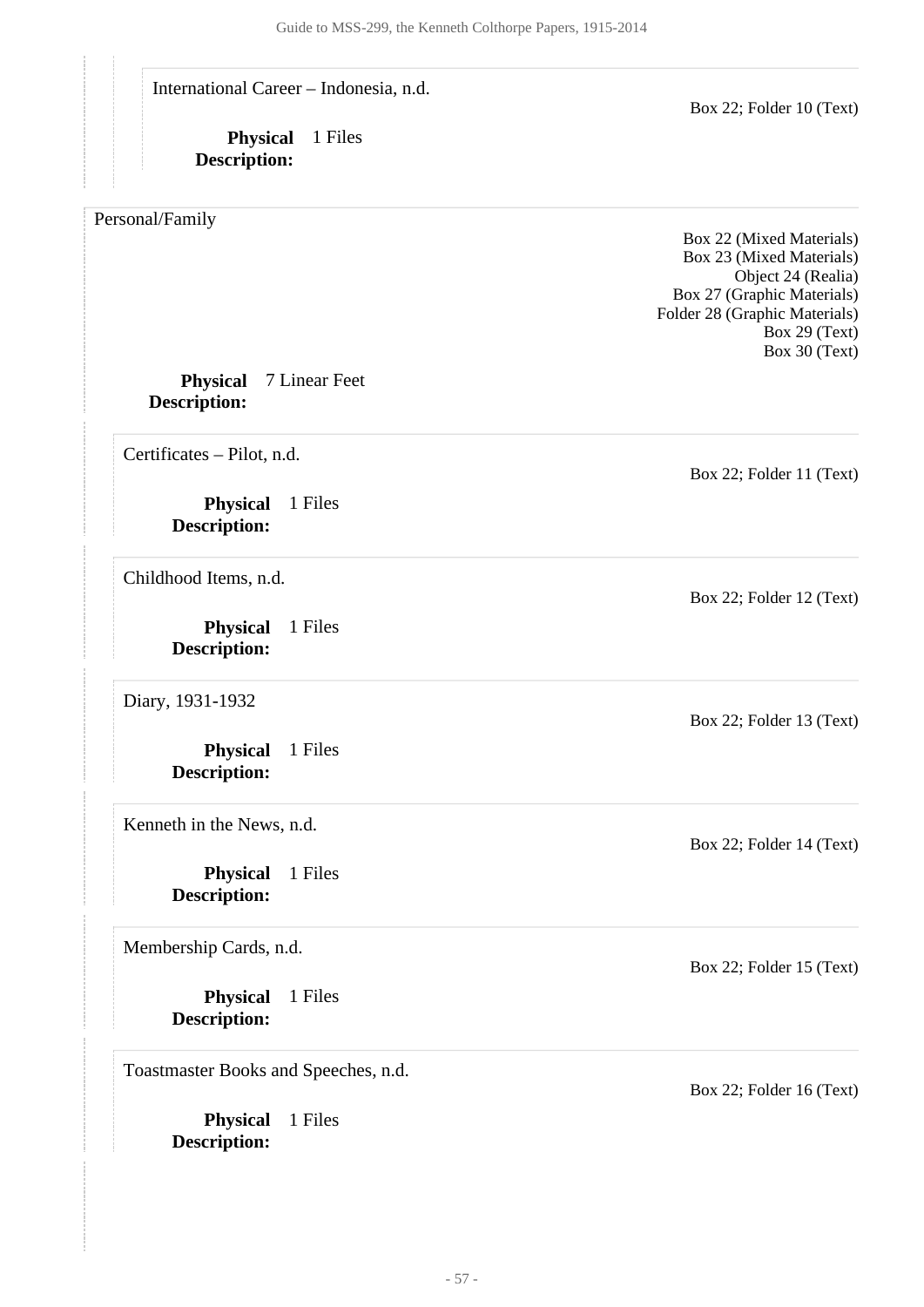International Career – Indonesia, n.d.

**Physical** 1 Files **Description:**

<span id="page-56-0"></span>Personal/Family

Box 22 (Mixed Materials) Box 23 (Mixed Materials) Object 24 (Realia) Box 27 (Graphic Materials) Folder 28 (Graphic Materials) Box 29 (Text) Box 30 (Text)

Box 22; Folder 10 (Text)

#### **Physical** 7 Linear Feet **Description:**

Certificates – Pilot, n.d.

**Physical** 1 Files **Description:**

Childhood Items, n.d.

**Physical** 1 Files **Description:**

Diary, 1931-1932

**Physical** 1 Files **Description:**

Kenneth in the News, n.d.

**Physical** 1 Files **Description:**

Membership Cards, n.d.

**Physical** 1 Files **Description:**

Toastmaster Books and Speeches, n.d.

**Physical** 1 Files **Description:**

Box 22; Folder 11 (Text)

Box 22; Folder 12 (Text)

Box 22; Folder 13 (Text)

Box 22; Folder 14 (Text)

Box 22; Folder 15 (Text)

Box 22; Folder 16 (Text)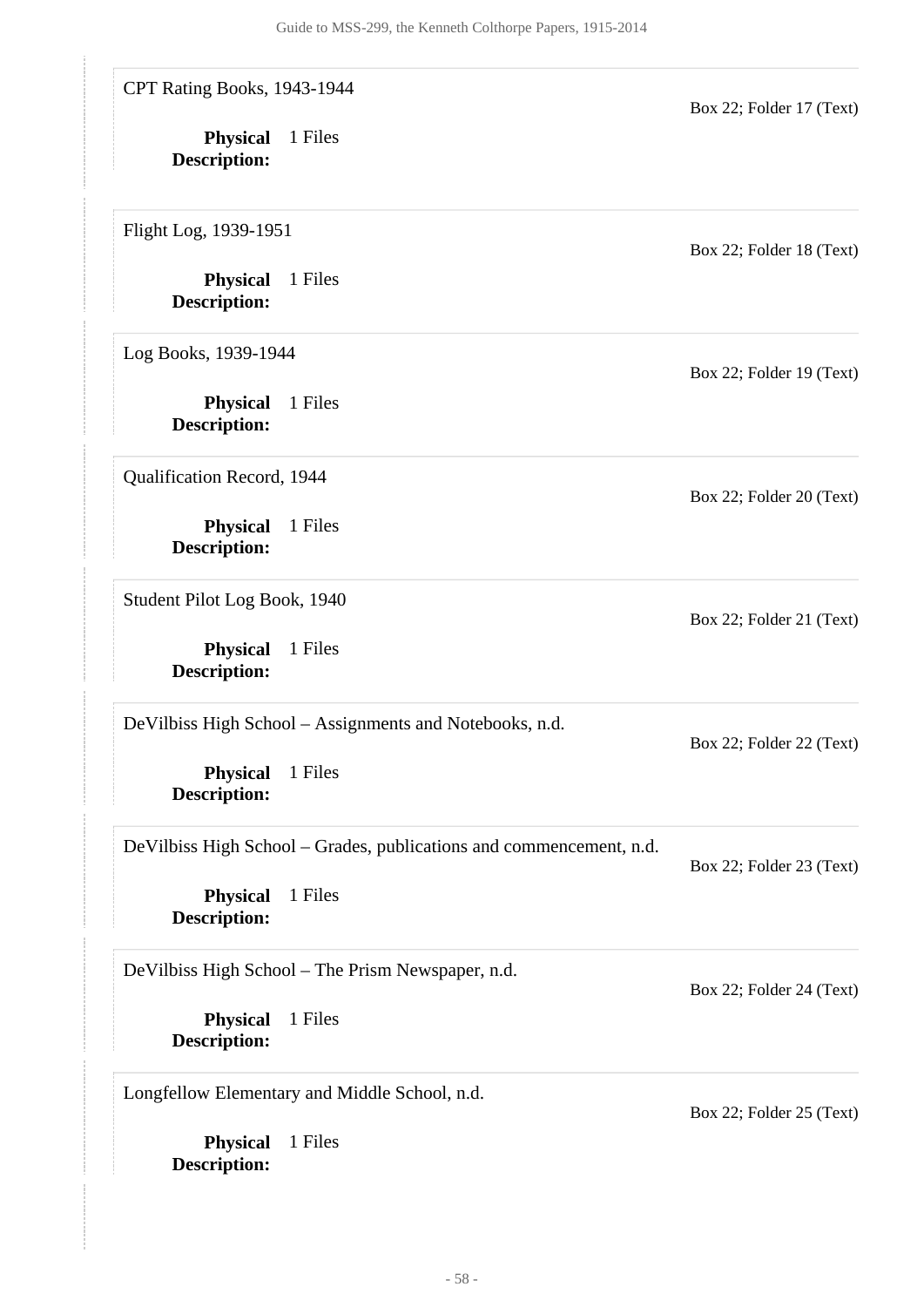**Physical** 1 Files **Physical** 1 Files **Description: Physical** 1 Files **Description: Physical** 1 Files **Description: Physical** 1 Files **Description: Physical** 1 Files **Description: Physical** 1 Files **Description: Physical** 1 Files **Description: Physical** 1 Files **Description:** CPT Rating Books, 1943-1944 Box 22; Folder 17 (Text) Flight Log, 1939-1951 Box 22; Folder 18 (Text) Log Books, 1939-1944 Box 22; Folder 19 (Text) Qualification Record, 1944 Box 22; Folder 20 (Text) Student Pilot Log Book, 1940 Box 22; Folder 21 (Text) DeVilbiss High School – Assignments and Notebooks, n.d. Box 22; Folder 22 (Text) DeVilbiss High School – Grades, publications and commencement, n.d. Box 22; Folder 23 (Text) DeVilbiss High School – The Prism Newspaper, n.d. Box 22; Folder 24 (Text) Longfellow Elementary and Middle School, n.d. Box 22; Folder 25 (Text)

**Description:**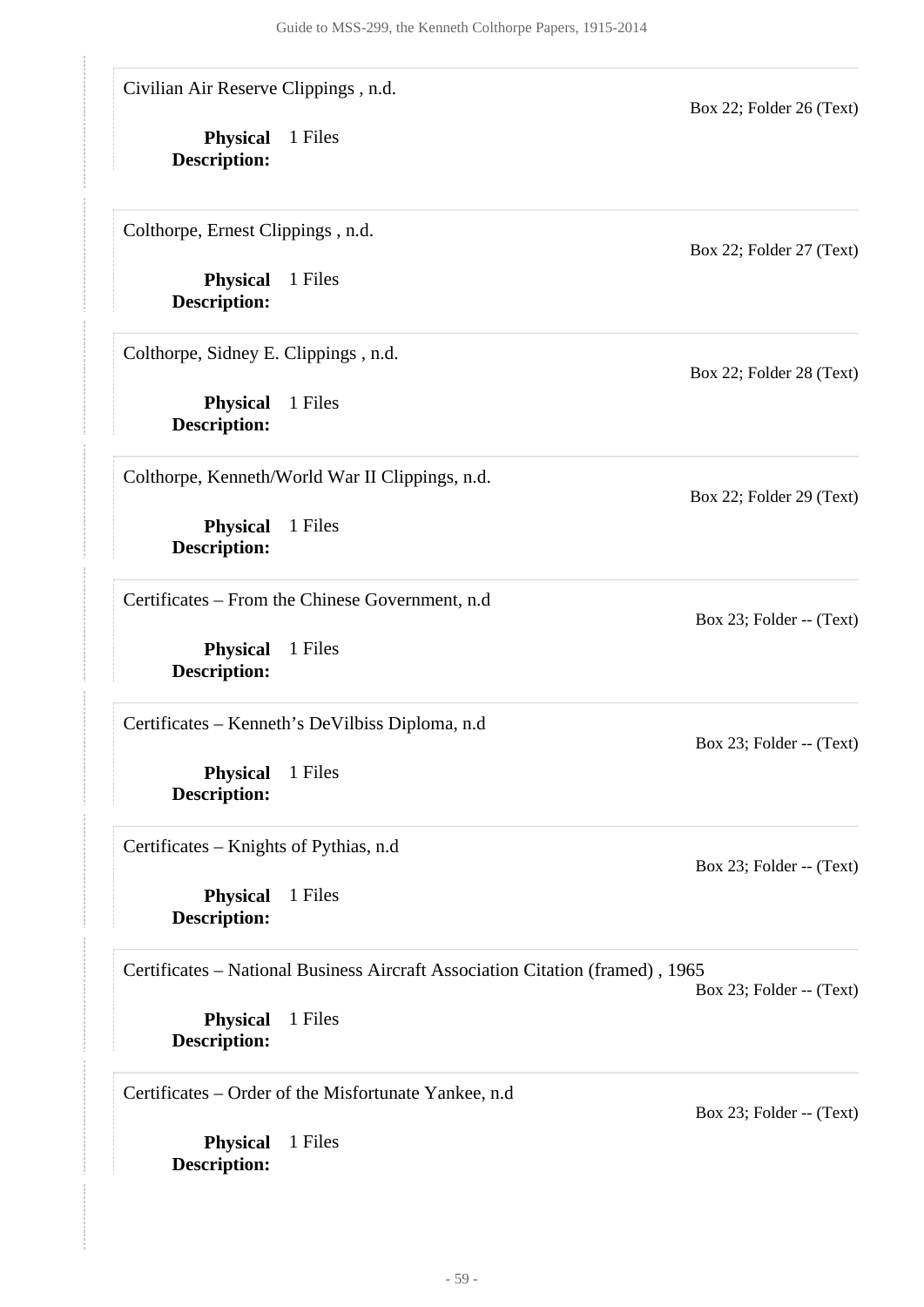| Civilian Air Reserve Clippings, n.d.    |                                                                               | Box 22; Folder 26 (Text)  |
|-----------------------------------------|-------------------------------------------------------------------------------|---------------------------|
| <b>Physical</b><br><b>Description:</b>  | 1 Files                                                                       |                           |
| Colthorpe, Ernest Clippings, n.d.       |                                                                               | Box 22; Folder 27 (Text)  |
| <b>Physical</b><br><b>Description:</b>  | 1 Files                                                                       |                           |
| Colthorpe, Sidney E. Clippings, n.d.    |                                                                               | Box 22; Folder 28 (Text)  |
| <b>Physical</b><br><b>Description:</b>  | 1 Files                                                                       |                           |
|                                         | Colthorpe, Kenneth/World War II Clippings, n.d.                               | Box 22; Folder 29 (Text)  |
| <b>Physical</b><br><b>Description:</b>  | 1 Files                                                                       |                           |
|                                         | Certificates – From the Chinese Government, n.d.                              | Box 23; Folder $-$ (Text) |
| <b>Physical</b><br><b>Description:</b>  | 1 Files                                                                       |                           |
|                                         | Certificates – Kenneth's DeVilbiss Diploma, n.d.                              | Box 23; Folder -- (Text)  |
| <b>Physical</b><br><b>Description:</b>  | 1 Files                                                                       |                           |
| Certificates – Knights of Pythias, n.d. |                                                                               | Box 23; Folder $-$ (Text) |
| <b>Physical</b><br><b>Description:</b>  | 1 Files                                                                       |                           |
|                                         | Certificates – National Business Aircraft Association Citation (framed), 1965 | Box 23; Folder $-$ (Text) |
| <b>Physical</b><br><b>Description:</b>  | 1 Files                                                                       |                           |
|                                         | Certificates – Order of the Misfortunate Yankee, n.d.                         | Box 23; Folder $-$ (Text) |
| <b>Physical</b><br><b>Description:</b>  | 1 Files                                                                       |                           |

- 59 -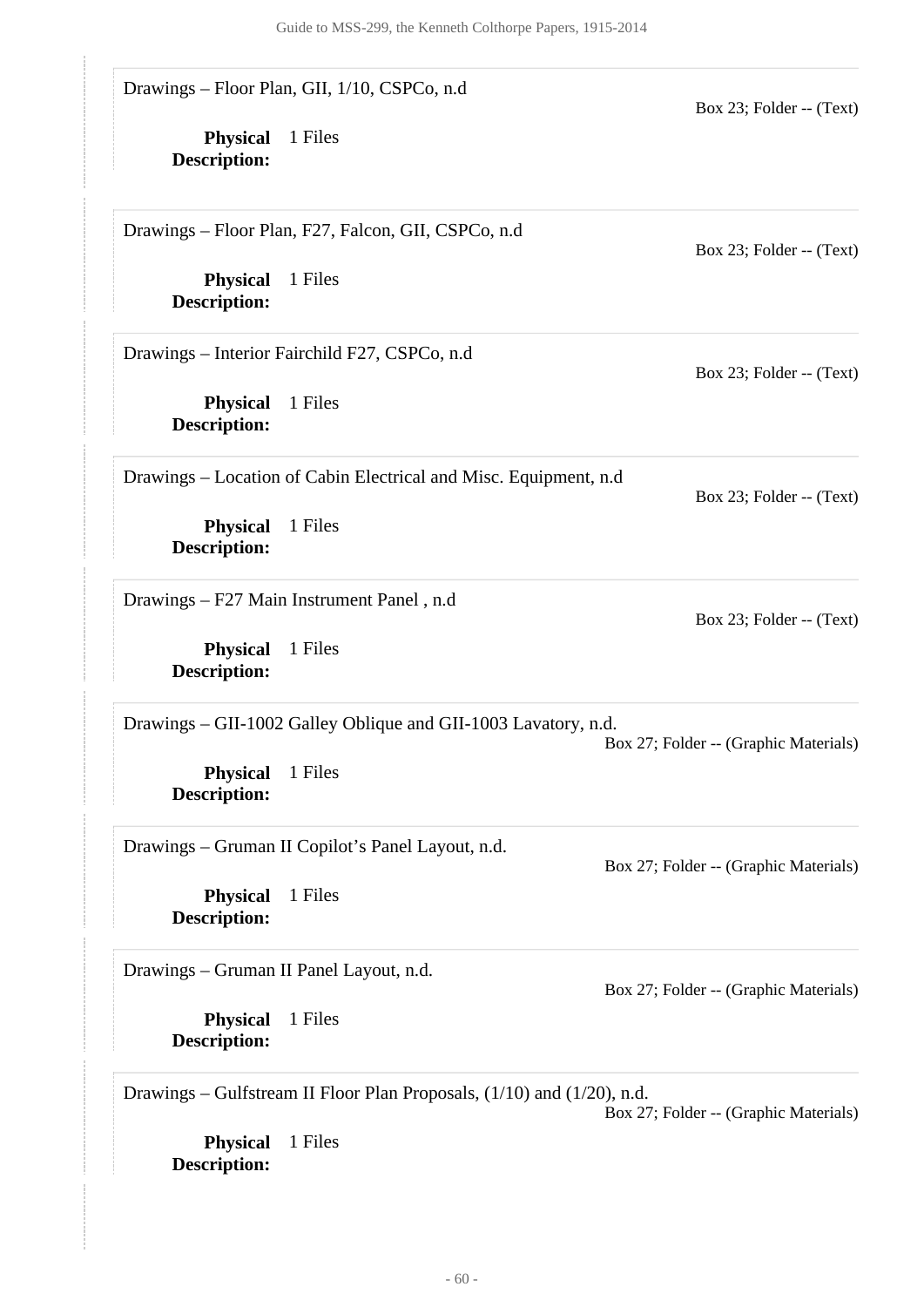**Physical** 1 Files **Description: Physical** 1 Files **Description: Physical** 1 Files **Description: Physical** 1 Files **Description: Physical** 1 Files **Description: Physical** 1 Files **Description: Physical** 1 Files **Description:** Drawings – Floor Plan, GII, 1/10, CSPCo, n.d Box 23; Folder -- (Text) Drawings – Floor Plan, F27, Falcon, GII, CSPCo, n.d Box 23; Folder -- (Text) Drawings – Interior Fairchild F27, CSPCo, n.d Box 23; Folder -- (Text) Drawings – Location of Cabin Electrical and Misc. Equipment, n.d Box 23; Folder -- (Text) Drawings – F27 Main Instrument Panel , n.d Box 23; Folder -- (Text) Drawings – GII-1002 Galley Oblique and GII-1003 Lavatory, n.d. Box 27; Folder -- (Graphic Materials) Drawings – Gruman II Copilot's Panel Layout, n.d. Box 27; Folder -- (Graphic Materials) Drawings – Gruman II Panel Layout, n.d.

**Physical** 1 Files **Description:**

Box 27; Folder -- (Graphic Materials)

Drawings – Gulfstream II Floor Plan Proposals, (1/10) and (1/20), n.d.

Box 27; Folder -- (Graphic Materials)

**Physical** 1 Files **Description:**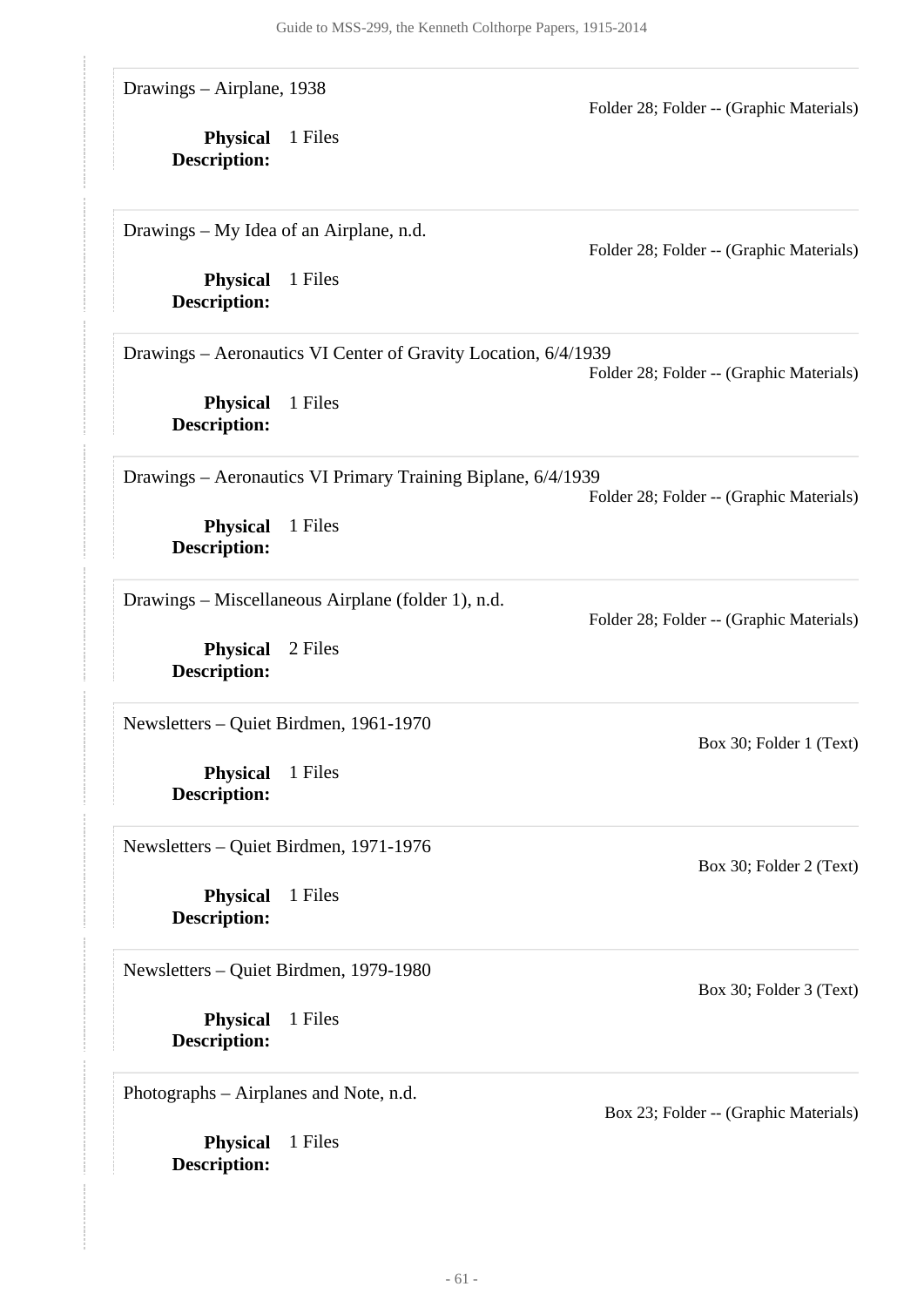| Drawings - Airplane, 1938<br><b>Physical</b><br>Description:                     | 1 Files                                                                   | Folder 28; Folder -- (Graphic Materials) |
|----------------------------------------------------------------------------------|---------------------------------------------------------------------------|------------------------------------------|
| Drawings – My Idea of an Airplane, n.d.<br><b>Physical</b>                       | 1 Files                                                                   | Folder 28; Folder -- (Graphic Materials) |
| <b>Description:</b><br><b>Physical</b>                                           | Drawings - Aeronautics VI Center of Gravity Location, 6/4/1939<br>1 Files | Folder 28; Folder -- (Graphic Materials) |
| <b>Description:</b><br><b>Physical</b>                                           | Drawings - Aeronautics VI Primary Training Biplane, 6/4/1939<br>1 Files   | Folder 28; Folder -- (Graphic Materials) |
| <b>Description:</b><br><b>Physical</b>                                           | Drawings – Miscellaneous Airplane (folder 1), n.d.<br>2 Files             | Folder 28; Folder -- (Graphic Materials) |
| <b>Description:</b><br>Newsletters - Quiet Birdmen, 1961-1970                    |                                                                           | Box 30; Folder 1 (Text)                  |
| <b>Physical</b><br><b>Description:</b><br>Newsletters - Quiet Birdmen, 1971-1976 | 1 Files                                                                   | Box 30; Folder 2 (Text)                  |
| <b>Physical</b><br><b>Description:</b><br>Newsletters - Quiet Birdmen, 1979-1980 | 1 Files                                                                   |                                          |
| <b>Physical</b><br>Description:<br>Photographs – Airplanes and Note, n.d.        | 1 Files                                                                   | Box 30; Folder 3 (Text)                  |
| <b>Physical</b><br><b>Description:</b>                                           | 1 Files                                                                   | Box 23; Folder -- (Graphic Materials)    |